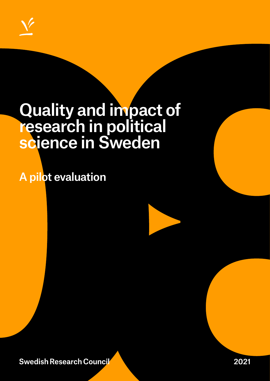

# Quality and impact of research in political science in Sweden

A pilot evaluation

**Swedish Research Council** 

2021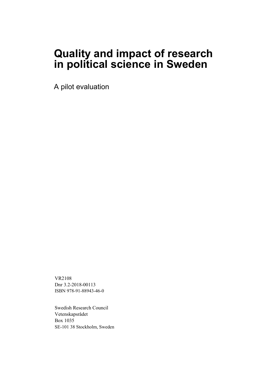## **Quality and impact of research in political science in Sweden**

A pilot evaluation

VR2108 Dnr 3.2-2018-00113 ISBN 978-91-88943-46-0

Swedish Research Council Vetenskapsrådet Box 1035 SE-101 38 Stockholm, Sweden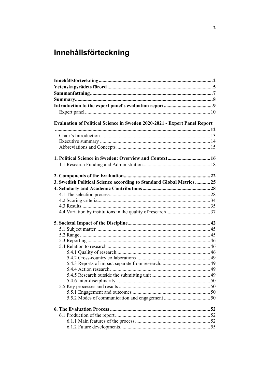## <span id="page-2-0"></span>Innehållsförteckning

| <b>Evaluation of Political Science in Sweden 2020-2021 - Expert Panel Report</b> |  |
|----------------------------------------------------------------------------------|--|
|                                                                                  |  |
|                                                                                  |  |
|                                                                                  |  |
|                                                                                  |  |
|                                                                                  |  |
|                                                                                  |  |
|                                                                                  |  |
|                                                                                  |  |
| 3. Swedish Political Science according to Standard Global Metrics 25             |  |
|                                                                                  |  |
|                                                                                  |  |
|                                                                                  |  |
|                                                                                  |  |
|                                                                                  |  |
|                                                                                  |  |
|                                                                                  |  |
|                                                                                  |  |
|                                                                                  |  |
|                                                                                  |  |
|                                                                                  |  |
|                                                                                  |  |
|                                                                                  |  |
|                                                                                  |  |
|                                                                                  |  |
|                                                                                  |  |
|                                                                                  |  |
|                                                                                  |  |
|                                                                                  |  |
|                                                                                  |  |
|                                                                                  |  |
|                                                                                  |  |
|                                                                                  |  |
|                                                                                  |  |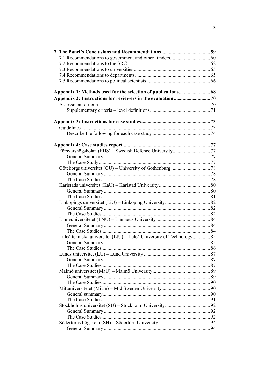| Luleå tekniska universitet (LtU) - Luleå University of Technology 85 |  |
|----------------------------------------------------------------------|--|
|                                                                      |  |
|                                                                      |  |
|                                                                      |  |
|                                                                      |  |
|                                                                      |  |
|                                                                      |  |
|                                                                      |  |
|                                                                      |  |
|                                                                      |  |
|                                                                      |  |
|                                                                      |  |
|                                                                      |  |
|                                                                      |  |
|                                                                      |  |
|                                                                      |  |
|                                                                      |  |
|                                                                      |  |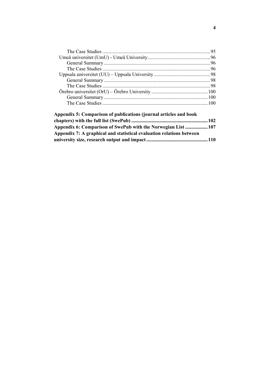| Appendix 5: Comparison of publications (journal articles and book    |  |
|----------------------------------------------------------------------|--|
|                                                                      |  |
| Appendix 6: Comparison of SwePub with the Norwegian List  107        |  |
| Appendix 7: A graphical and statistical evaluation relations between |  |

**[university size, research output and impact ................................................. 110](#page-110-0)**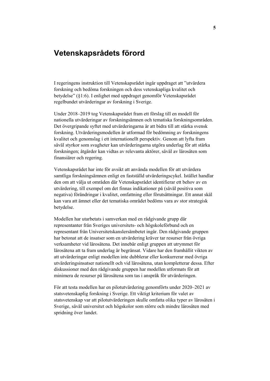## <span id="page-5-0"></span>**Vetenskapsrådets förord**

I regeringens instruktion till Vetenskapsrådet ingår uppdraget att "utvärdera forskning och bedöma forskningen och dess vetenskapliga kvalitet och betydelse" (§1:6). I enlighet med uppdraget genomför Vetenskapsrådet regelbundet utvärderingar av forskning i Sverige.

Under 2018–2019 tog Vetenskapsrådet fram ett förslag till en modell för nationella utvärderingar av forskningsämnen och tematiska forskningsområden. Det övergripande syftet med utvärderingarna är att bidra till att stärka svensk forskning. Utvärderingsmodellen är utformad för bedömning av forskningens kvalitet och genomslag i ett internationellt perspektiv. Genom att lyfta fram såväl styrkor som svagheter kan utvärderingarna utgöra underlag för att stärka forskningen; åtgärder kan vidtas av relevanta aktörer, såväl av lärosäten som finansiärer och regering.

Vetenskapsrådet har inte för avsikt att använda modellen för att utvärdera samtliga forskningsämnen enligt en fastställd utvärderingscykel. Istället handlar den om att välja ut områden där Vetenskapsrådet identifierar ett behov av en utvärdering, till exempel om det finnas indikationer på (såväl positiva som negativa) förändringar i kvalitet, omfattning eller förutsättningar. Ett annat skäl kan vara att ämnet eller det tematiska området bedöms vara av stor strategisk betydelse.

Modellen har utarbetats i samverkan med en rådgivande grupp där representanter från Sveriges universitets- och högskoleförbund och en representant från Universitetskanslersämbetet ingår. Den rådgivande gruppen har betonat att de insatser som en utvärdering kräver tar resurser från övriga verksamheter vid lärosätena. Det innebär enligt gruppen att utrymmet för lärosätena att ta fram underlag är begränsat. Vidare har den framhållit vikten av att utvärderingar enligt modellen inte dubblerar eller konkurrerar med övriga utvärderingsinsatser nationellt och vid lärosätena, utan kompletterar dessa. Efter diskussioner med den rådgivande gruppen har modellen utformats för att minimera de resurser på lärosätena som tas i anspråk för utvärderingen.

För att testa modellen har en pilotutvärdering genomförts under 2020–2021 av statsvetenskaplig forskning i Sverige. Ett viktigt kriterium för valet av statsvetenskap var att pilotutvärderingen skulle omfatta olika typer av lärosäten i Sverige, såväl universitet och högskolor som större och mindre lärosäten med spridning över landet.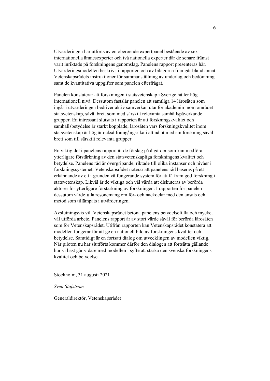Utvärderingen har utförts av en oberoende expertpanel bestående av sex internationella ämnesexperter och två nationella experter där de senare främst varit inriktade på forskningens genomslag. Panelens rapport presenteras här. Utvärderingsmodellen beskrivs i rapporten och av bilagorna framgår bland annat Vetenskapsrådets instruktioner för sammanställning av underlag och bedömning samt de kvantitativa uppgifter som panelen efterfrågat.

Panelen konstaterar att forskningen i statsvetenskap i Sverige håller hög internationell nivå. Dessutom fastslår panelen att samtliga 14 lärosäten som ingår i utvärderingen bedriver aktiv samverkan utanför akademin inom området statsvetenskap, såväl brett som med särskilt relevanta samhällspåverkande grupper. En intressant slutsats i rapporten är att forskningskvalitet och samhällsbetydelse är starkt kopplade; lärosäten vars forskningskvalitet inom statsvetenskap är hög är också framgångsrika i att nå ut med sin forskning såväl brett som till särskilt relevanta grupper.

En viktig del i panelens rapport är de förslag på åtgärder som kan medföra ytterligare förstärkning av den statsvetenskapliga forskningens kvalitet och betydelse. Panelens råd är övergripande, riktade till olika instanser och nivåer i forskningssystemet. Vetenskapsrådet noterar att panelens råd baseras på ett erkännande av ett i grunden välfungerande system för att få fram god forskning i statsvetenskap. Likväl är de viktiga och väl värda att diskuteras av berörda aktörer för ytterligare förstärkning av forskningen. I rapporten för panelen dessutom värdefulla resonemang om för- och nackdelar med den ansats och metod som tillämpats i utvärderingen.

Avslutningsvis vill Vetenskapsrådet betona panelens betydelsefulla och mycket väl utförda arbete. Panelens rapport är av stort värde såväl för berörda lärosäten som för Vetenskapsrådet. Utifrån rapporten kan Vetenskapsrådet konstatera att modellen fungerar för att ge en nationell bild av forskningens kvalitet och betydelse. Samtidigt är en fortsatt dialog om utvecklingen av modellen viktig. När piloten nu har slutförts kommer därför den dialogen att fortsätta gällande hur vi bäst går vidare med modellen i syfte att stärka den svenska forskningens kvalitet och betydelse.

Stockholm, 31 augusti 2021

*Sven Stafström*

Generaldirektör, Vetenskapsrådet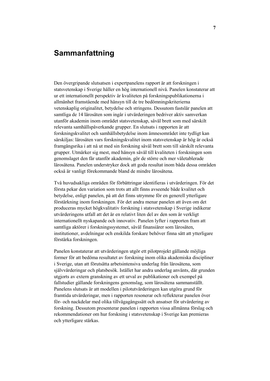## <span id="page-7-0"></span>**Sammanfattning**

Den övergripande slutsatsen i expertpanelens rapport är att forskningen i statsvetenskap i Sverige håller en hög internationell nivå. Panelen konstaterar att ur ett internationellt perspektiv är kvaliteten på forskningspublikationerna i allmänhet framstående med hänsyn till de tre bedömningskriterierna vetenskaplig originalitet, betydelse och stringens. Dessutom fastslår panelen att samtliga de 14 lärosäten som ingår i utvärderingen bedriver aktiv samverkan utanför akademin inom området statsvetenskap, såväl brett som med särskilt relevanta samhällspåverkande grupper. En slutsats i rapporten är att forskningskvalitet och samhällsbetydelse inom ämnesområdet inte tydligt kan särskiljas: lärosäten vars forskningskvalitet inom statsvetenskap är hög är också framgångsrika i att nå ut med sin forskning såväl brett som till särskilt relevanta grupper. Utmärker sig mest, med hänsyn såväl till kvaliteten i forskningen som genomslaget den får utanför akademin, gör de större och mer väletablerade lärosätena. Panelen understryker dock att goda resultat inom båda dessa områden också är vanligt förekommande bland de mindre lärosätena.

Två huvudsakliga områden för förbättringar identifieras i utvärderingen. För det första pekar den variation som trots att allt finns avseende både kvalitet och betydelse, enligt panelen, på att det finns utrymme för en generell ytterligare förstärkning inom forskningen. För det andra menar panelen att även om det produceras mycket högkvalitativ forskning i statsvetenskap i Sverige indikerar utvärderingens utfall att det är en relativt liten del av den som är verkligt internationellt nyskapande och innovativ. Panelen lyfter i rapporten fram att samtliga aktörer i forskningssystemet, såväl finansiärer som lärosäten, institutioner, avdelningar och enskilda forskare behöver finna sätt att ytterligare förstärka forskningen.

Panelen konstaterar att utvärderingen utgör ett pilotprojekt gällande möjliga former för att bedöma resultatet av forskning inom olika akademiska discipliner i Sverige, utan att förutsätta arbetsintensiva underlag från lärosätena, som självvärderingar och platsbesök. Istället har andra underlag använts, där grunden utgjorts av extern granskning av ett urval av publikationer och exempel på fallstudier gällande forskningens genomslag, som lärosätena sammanställt. Panelens slutsats är att modellen i pilotutvärderingen kan utgöra grund för framtida utvärderingar, men i rapporten resonerar och reflekterar panelen över för- och nackdelar med olika tillvägagångssätt och ansatser för utvärdering av forskning. Dessutom presenterar panelen i rapporten vissa allmänna förslag och rekommendationer om hur forskning i statsvetenskap i Sverige kan premieras och ytterligare stärkas.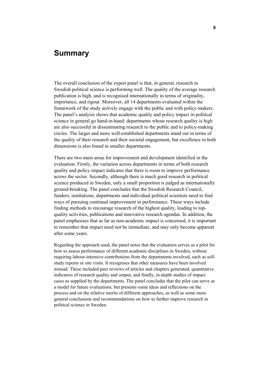## <span id="page-8-0"></span>**Summary**

The overall conclusion of the expert panel is that, in general, research in Swedish political science is performing well. The quality of the average research publication is high, and is recognised internationally in terms of originality, importance, and rigour. Moreover, all 14 departments evaluated within the framework of the study actively engage with the public and with policy-makers. The panel's analysis shows that academic quality and policy impact in political science in general go hand-in-hand: departments whose research quality is high are also successful in disseminating research to the public and to policy-making circles. The larger and more well-established departments stand out in terms of the quality of their research and their societal engagement, but excellence in both dimensions is also found in smaller departments.

There are two main areas for improvement and development identified in the evaluation. Firstly, the variation across departments in terms of both research quality and policy impact indicates that there is room to improve performance across the sector. Secondly, although there is much good research in political science produced in Sweden, only a small proportion is judged as internationally ground-breaking. The panel concludes that the Swedish Research Council, funders, institutions, departments and individual political scientists need to find ways of pursuing continual improvement in performance. These ways include finding methods to encourage research of the highest quality, leading to topquality activities, publications and innovative research agendas. In addition, the panel emphasises that as far as non-academic impact is concerned, it is important to remember that impact need not be immediate, and may only become apparent after some years.

Regarding the approach used, the panel notes that the evaluation serves as a pilot for how to assess performance of different academic disciplines in Sweden, without requiring labour-intensive contributions from the departments involved, such as selfstudy reports or site visits. It recognises that other measures have been involved instead. These included peer reviews of articles and chapters generated, quantitative indicators of research quality and output, and finally, in-depth studies of impact cases as supplied by the departments. The panel concludes that the pilot can serve as a model for future evaluations, but presents some ideas and reflections on the process and on the relative merits of different approaches, as well as some more general conclusions and recommendations on how to further improve research in political science in Sweden.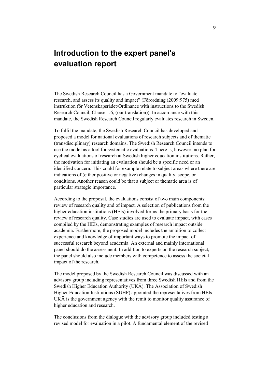## <span id="page-9-0"></span>**Introduction to the expert panel's evaluation report**

The Swedish Research Council has a Government mandate to "evaluate research, and assess its quality and impact" (Förordning (2009:975) med instruktion för Vetenskapsrådet/Ordinance with instructions to the Swedish Research Council, Clause 1:6, (our translation)). In accordance with this mandate, the Swedish Research Council regularly evaluates research in Sweden.

To fulfil the mandate, the Swedish Research Council has developed and proposed a model for national evaluations of research subjects and of thematic (transdisciplinary) research domains. The Swedish Research Council intends to use the model as a tool for systematic evaluations. There is, however, no plan for cyclical evaluations of research at Swedish higher education institutions. Rather, the motivation for initiating an evaluation should be a specific need or an identified concern. This could for example relate to subject areas where there are indications of (either positive or negative) changes in quality, scope, or conditions. Another reason could be that a subject or thematic area is of particular strategic importance.

According to the proposal, the evaluations consist of two main components: review of research quality and of impact. A selection of publications from the higher education institutions (HEIs) involved forms the primary basis for the review of research quality. Case studies are used to evaluate impact, with cases compiled by the HEIs, demonstrating examples of research impact outside academia. Furthermore, the proposed model includes the ambition to collect experience and knowledge of important ways to promote the impact of successful research beyond academia. An external and mainly international panel should do the assessment. In addition to experts on the research subject, the panel should also include members with competence to assess the societal impact of the research.

The model proposed by the Swedish Research Council was discussed with an advisory group including representatives from three Swedish HEIs and from the Swedish Higher Education Authority (UKÄ). The Association of Swedish Higher Education Institutions (SUHF) appointed the representatives from HEIs. UKÄ is the government agency with the remit to monitor quality assurance of higher education and research.

The conclusions from the dialogue with the advisory group included testing a revised model for evaluation in a pilot. A fundamental element of the revised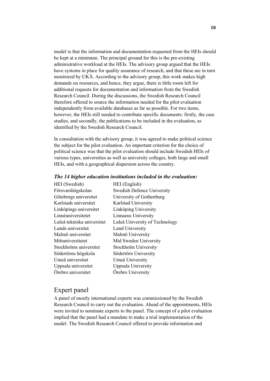model is that the information and documentation requested from the HEIs should be kept at a minimum. The principal ground for this is the pre-existing administrative workload at the HEIs. The advisory group argued that the HEIs have systems in place for quality assurance of research, and that these are in turn monitored by UKÄ. According to the advisory group, this work makes high demands on resources, and hence, they argue, there is little room left for additional requests for documentation and information from the Swedish Research Council. During the discussions, the Swedish Research Council therefore offered to source the information needed for the pilot evaluation independently from available databases as far as possible. For two items, however, the HEIs still needed to contribute specific documents: firstly, the case studies, and secondly, the publications to be included in the evaluation, as identified by the Swedish Research Council.

In consultation with the advisory group, it was agreed to make political science the subject for the pilot evaluation. An important criterion for the choice of political science was that the pilot evaluation should include Swedish HEIs of various types, universities as well as university colleges, both large and small HEIs, and with a geographical dispersion across the country.

|                 |  | The 14 higher education institutions included in the evaluation: |  |  |  |
|-----------------|--|------------------------------------------------------------------|--|--|--|
| <b>TTTT</b> / C |  |                                                                  |  |  |  |

| HEI (Swedish)              | HEI (English)                     |
|----------------------------|-----------------------------------|
| Försvarshögskolan          | <b>Swedish Defence University</b> |
| Göteborgs universitet      | University of Gothenburg          |
| Karlstads universitet      | Karlstad University               |
| Linköpings universitet     | Linköping University              |
| Linnéuniversitetet         | Linnaeus University               |
| Luleå tekniska universitet | Luleå University of Technology    |
| Lunds universitet          | Lund University                   |
| Malmö universitet          | Malmö University                  |
| Mittuniversitetet          | Mid Sweden University             |
| Stockholms universitet     | Stockholm University              |
| Södertörns högskola        | Södertörn University              |
| Umeå universitet           | Umeå University                   |
| Uppsala universitet        | Uppsala University                |
| Örebro universitet         | Örebro University                 |

### <span id="page-10-0"></span>Expert panel

A panel of mostly international experts was commissioned by the Swedish Research Council to carry out the evaluation. Ahead of the appointments, HEIs were invited to nominate experts to the panel. The concept of a pilot evaluation implied that the panel had a mandate to make a trial implementation of the model. The Swedish Research Council offered to provide information and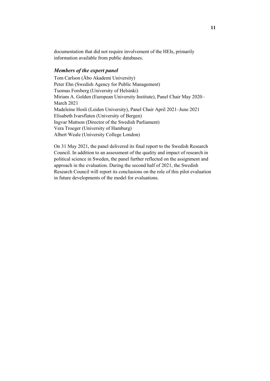documentation that did not require involvement of the HEIs, primarily information available from public databases.

#### *Members of the expert panel*

Tom Carlson (Åbo Akademi University) Peter Ehn (Swedish Agency for Public Management) Tuomas Forsberg (University of Helsinki) Miriam A. Golden (European University Institute), Panel Chair May 2020– March 2021 Madeleine Hosli (Leiden University), Panel Chair April 2021–June 2021 Elisabeth Ivarsflaten (University of Bergen) Ingvar Mattson (Director of the Swedish Parliament) Vera Troeger (University of Hamburg) Albert Weale (University College London)

On 31 May 2021, the panel delivered its final report to the Swedish Research Council. In addition to an assessment of the quality and impact of research in political science in Sweden, the panel further reflected on the assignment and approach in the evaluation. During the second half of 2021, the Swedish Research Council will report its conclusions on the role of this pilot evaluation in future developments of the model for evaluations.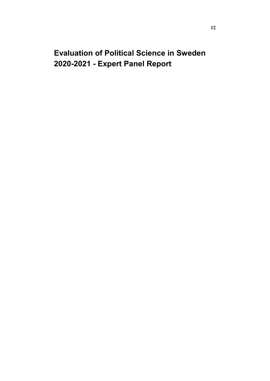## <span id="page-12-0"></span>**Evaluation of Political Science in Sweden 2020-2021 - Expert Panel Report**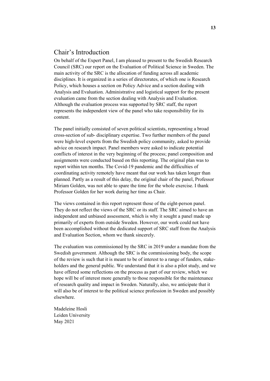## <span id="page-13-0"></span>Chair's Introduction

On behalf of the Expert Panel, I am pleased to present to the Swedish Research Council (SRC) our report on the Evaluation of Political Science in Sweden. The main activity of the SRC is the allocation of funding across all academic disciplines. It is organized in a series of directorates, of which one is Research Policy, which houses a section on Policy Advice and a section dealing with Analysis and Evaluation. Administrative and logistical support for the present evaluation came from the section dealing with Analysis and Evaluation. Although the evaluation process was supported by SRC staff, the report represents the independent view of the panel who take responsibility for its content.

The panel initially consisted of seven political scientists, representing a broad cross-section of sub- disciplinary expertise. Two further members of the panel were high-level experts from the Swedish policy community, asked to provide advice on research impact. Panel members were asked to indicate potential conflicts of interest in the very beginning of the process; panel composition and assignments were conducted based on this reporting. The original plan was to report within ten months. The Covid-19 pandemic and the difficulties of coordinating activity remotely have meant that our work has taken longer than planned. Partly as a result of this delay, the original chair of the panel, Professor Miriam Golden, was not able to spare the time for the whole exercise. I thank Professor Golden for her work during her time as Chair.

The views contained in this report represent those of the eight-person panel. They do not reflect the views of the SRC or its staff. The SRC aimed to have an independent and unbiased assessment, which is why it sought a panel made up primarily of experts from outside Sweden. However, our work could not have been accomplished without the dedicated support of SRC staff from the Analysis and Evaluation Section, whom we thank sincerely.

The evaluation was commissioned by the SRC in 2019 under a mandate from the Swedish government. Although the SRC is the commissioning body, the scope of the review is such that it is meant to be of interest to a range of funders, stakeholders and the general public. We understand that it is also a pilot study, and we have offered some reflections on the process as part of our review, which we hope will be of interest more generally to those responsible for the maintenance of research quality and impact in Sweden. Naturally, also, we anticipate that it will also be of interest to the political science profession in Sweden and possibly elsewhere.

Madeleine Hosli Leiden University May 2021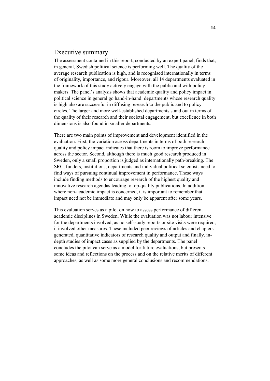#### <span id="page-14-0"></span>Executive summary

The assessment contained in this report, conducted by an expert panel, finds that, in general, Swedish political science is performing well. The quality of the average research publication is high, and is recognised internationally in terms of originality, importance, and rigour. Moreover, all 14 departments evaluated in the framework of this study actively engage with the public and with policy makers. The panel's analysis shows that academic quality and policy impact in political science in general go hand-in-hand: departments whose research quality is high also are successful in diffusing research to the public and to policy circles. The larger and more well-established departments stand out in terms of the quality of their research and their societal engagement, but excellence in both dimensions is also found in smaller departments.

There are two main points of improvement and development identified in the evaluation. First, the variation across departments in terms of both research quality and policy impact indicates that there is room to improve performance across the sector. Second, although there is much good research produced in Sweden, only a small proportion is judged as internationally path-breaking. The SRC, funders, institutions, departments and individual political scientists need to find ways of pursuing continual improvement in performance. These ways include finding methods to encourage research of the highest quality and innovative research agendas leading to top-quality publications. In addition, where non-academic impact is concerned, it is important to remember that impact need not be immediate and may only be apparent after some years.

This evaluation serves as a pilot on how to assess performance of different academic disciplines in Sweden. While the evaluation was not labour intensive for the departments involved, as no self-study reports or site visits were required, it involved other measures. These included peer reviews of articles and chapters generated, quantitative indicators of research quality and output and finally, indepth studies of impact cases as supplied by the departments. The panel concludes the pilot can serve as a model for future evaluations, but presents some ideas and reflections on the process and on the relative merits of different approaches, as well as some more general conclusions and recommendations.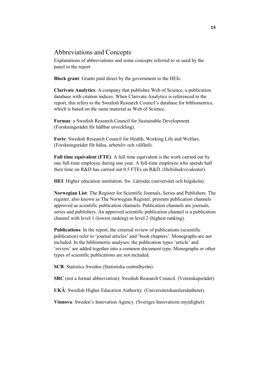## <span id="page-15-0"></span>Abbreviations and Concepts

Explanations of abbreviations and some concepts referred to or used by the panel in the report

**Block grant**: Grants paid direct by the government to the HEIs.

**Clarivate Analytics**: A company that publishes Web of Science, a publication database with citation indices. When Clarivate Analytics is referenced in the report, this refers to the Swedish Research Council's database for bibliometrics, which is based on the same material as Web of Science.

**Formas**: a Swedish Research Council for Sustainable Development. (Forskningsrådet för hållbar utveckling).

**Forte**: Swedish Research Council for Health, Working Life and Welfare. (Forskningsrådet för hälsa, arbetsliv och välfärd).

**Full time equivalent (FTE)**: A full time equivalent is the work carried out by one full-time employee during one year. A full-time employee who spends half their time on R&D has carried out 0.5 FTEs on R&D. (Heltidsekvivalenter).

**HEI**: Higher education institution. Sw. Lärosäte (universitet och högskola).

**Norwegian List**: The Register for Scientific Journals, Series and Publishers. The register, also known as The Norwegian Register, presents publication channels approved as scientific publication channels. Publication channels are journals, series and publishers. An approved scientific publication channel is a publication channel with level 1 (lowest ranking) or level 2 (highest ranking).

**Publications**: In the report, the external review of publications (scientific publication) refer to 'journal articles' and 'book chapters'. Monographs are not included. In the bibliometric analyses, the publication types 'article' and 'review' are added together into a common document type. Monographs or other types of scientific publications are not included.

**SCB**: Statistics Sweden (Statistiska centralbyrån).

**SRC** (not a formal abbreviation): Swedish Research Council. (Vetenskapsrådet).

**UKÄ**: Swedish Higher Education Authority. (Universitetskanslersämbetet).

**Vinnova**: Sweden's Innovation Agency. (Sveriges Innovations myndighet).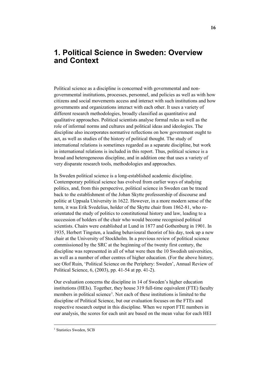## <span id="page-16-0"></span>**1. Political Science in Sweden: Overview and Context**

Political science as a discipline is concerned with governmental and nongovernmental institutions, processes, personnel, and policies as well as with how citizens and social movements access and interact with such institutions and how governments and organizations interact with each other. It uses a variety of different research methodologies, broadly classified as quantitative and qualitative approaches. Political scientists analyse formal rules as well as the role of informal norms and cultures and political ideas and ideologies. The discipline also incorporates normative reflections on how government ought to act, as well as studies of the history of political thought. The study of international relations is sometimes regarded as a separate discipline, but work in international relations is included in this report. Thus, political science is a broad and heterogeneous discipline, and in addition one that uses a variety of very disparate research tools, methodologies and approaches.

In Sweden political science is a long-established academic discipline. Contemporary political science has evolved from earlier ways of studying politics, and, from this perspective, political science in Sweden can be traced back to the establishment of the Johan Skytte professorship of discourse and politic at Uppsala University in 1622. However, in a more modern sense of the term, it was Erik Svedelius, holder of the Skytte chair from 1862-81, who reorientated the study of politics to constitutional history and law, leading to a succession of holders of the chair who would become recognised political scientists. Chairs were established at Lund in 1877 and Gothenburg in 1901. In 1935, Herbert Tingsten, a leading behavioural theorist of his day, took up a new chair at the University of Stockholm. In a previous review of political science commissioned by the SRC at the beginning of the twenty first century, the discipline was represented in all of what were then the 10 Swedish universities, as well as a number of other centres of higher education. (For the above history, see Olof Ruin, 'Political Science on the Periphery: Sweden', Annual Review of Political Science, 6, (2003), pp. 41-54 at pp. 41-2).

Our evaluation concerns the discipline in 14 of Sweden's higher education institutions (HEIs). Together, they house 319 full-time equivalent (FTE) faculty members in political science<sup>[1](#page-16-1)</sup>. Not each of these institutions is limited to the discipline of Political Science, but our evaluation focuses on the FTEs and respective research output in this discipline. When we report FTE numbers in our analysis, the scores for each unit are based on the mean value for each HEI

<span id="page-16-1"></span><sup>&</sup>lt;sup>1</sup> Statistics Sweden, SCB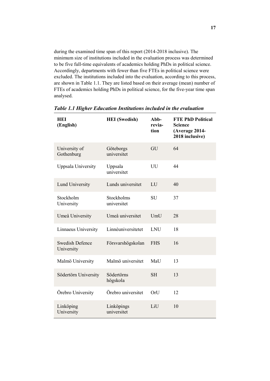during the examined time span of this report (2014-2018 inclusive). The minimum size of institutions included in the evaluation process was determined to be five full-time equivalents of academics holding PhDs in political science. Accordingly, departments with fewer than five FTEs in political science were excluded. The institutions included into the evaluation, according to this process, are shown in Table 1.1. They are listed based on their average (mean) number of FTEs of academics holding PhDs in political science, for the five-year time span analysed.

| <b>HEI</b><br>(English)              | <b>HEI</b> (Swedish)      | Abb-<br>revia-<br>tion | <b>FTE PhD Political</b><br><b>Science</b><br>(Average 2014-<br>2018 inclusive) |
|--------------------------------------|---------------------------|------------------------|---------------------------------------------------------------------------------|
| University of<br>Gothenburg          | Göteborgs<br>universitet  | GU                     | 64                                                                              |
| Uppsala University                   | Uppsala<br>universitet    | UU                     | 44                                                                              |
| Lund University                      | Lunds universitet         | LU                     | 40                                                                              |
| Stockholm<br>University              | Stockholms<br>universitet | SU                     | 37                                                                              |
| Umeå University                      | Umeå universitet          | UmU                    | 28                                                                              |
| Linnaeus University                  | Linnéuniversitetet        | <b>LNU</b>             | 18                                                                              |
| <b>Swedish Defence</b><br>University | Försvarshögskolan         | <b>FHS</b>             | 16                                                                              |
| Malmö University                     | Malmö universitet         | MaU                    | 13                                                                              |
| Södertörn University                 | Södertörns<br>högskola    | <b>SH</b>              | 13                                                                              |
| Örebro University                    | Örebro universitet        | OrU                    | 12                                                                              |
| Linköping<br>University              | Linköpings<br>universitet | LiU                    | 10                                                                              |

*Table 1.1 Higher Education Institutions included in the evaluation*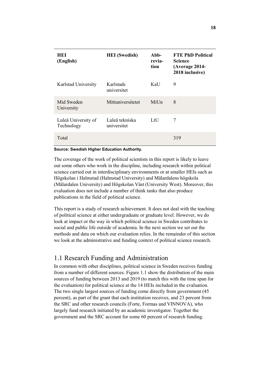| HEI<br>(English)                  | <b>HEI</b> (Swedish)          | $Abb-$<br>revia-<br>tion | <b>FTE PhD Political</b><br><b>Science</b><br>(Average 2014-<br>2018 inclusive) |
|-----------------------------------|-------------------------------|--------------------------|---------------------------------------------------------------------------------|
| Karlstad University               | Karlstads<br>universitet      | KaU                      | 9                                                                               |
| Mid Sweden<br>University          | Mittuniversitetet             | $M$ i $U$ n              | 8                                                                               |
| Luleå University of<br>Technology | Luleå tekniska<br>universitet | LtU                      | 7                                                                               |
| Total                             |                               |                          | 319                                                                             |

#### **Source: Swedish Higher Education Authority.**

The coverage of the work of political scientists in this report is likely to leave out some others who work in the discipline, including research within political science carried out in interdisciplinary environments or at smaller HEIs such as Högskolan i Halmstad (Halmstad University) and Mälardalens högskola (Mälardalen University) and Högskolan Väst (University West). Moreover, this evaluation does not include a number of think tanks that also produce publications in the field of political science.

This report is a study of research achievement. It does not deal with the teaching of political science at either undergraduate or graduate level. However, we do look at impact or the way in which political science in Sweden contributes to social and public life outside of academia. In the next section we set out the methods and data on which our evaluation relies. In the remainder of this section we look at the administrative and funding context of political science research.

#### <span id="page-18-0"></span>1.1 Research Funding and Administration

In common with other disciplines, political science in Sweden receives funding from a number of different sources. Figure 1.1 show the distribution of the main sources of funding between 2013 and 2019 (to match this with the time span for the evaluation) for political science at the 14 HEIs included in the evaluation. The two single largest sources of funding come directly from government (45 percent), as part of the grant that each institution receives, and 23 percent from the SRC and other research councils (Forte, Formas and VINNOVA), who largely fund research initiated by an academic investigator. Together the government and the SRC account for some 60 percent of research funding.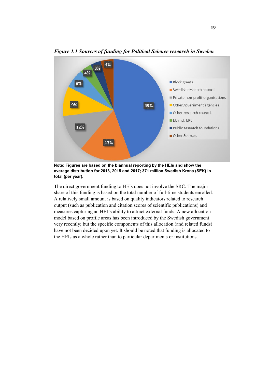

*Figure 1.1 Sources of funding for Political Science research in Sweden*

**Note: Figures are based on the biannual reporting by the HEIs and show the average distribution for 2013, 2015 and 2017; 371 million Swedish Krona (SEK) in total (per year).**

The direct government funding to HEIs does not involve the SRC. The major share of this funding is based on the total number of full-time students enrolled. A relatively small amount is based on quality indicators related to research output (such as publication and citation scores of scientific publications) and measures capturing an HEI's ability to attract external funds. A new allocation model based on profile areas has been introduced by the Swedish government very recently; but the specific components of this allocation (and related funds) have not been decided upon yet. It should be noted that funding is allocated to the HEIs as a whole rather than to particular departments or institutions.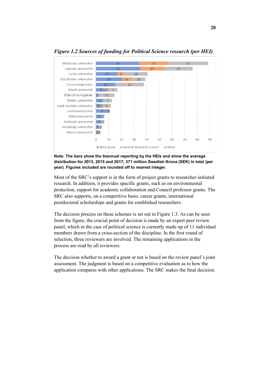

#### *Figure 1.2 Sources of funding for Political Science research (per HEI)*

**Note: The bars show the biannual reporting by the HEIs and show the average distribution for 2013, 2015 and 2017; 371 million Swedish Krona (SEK) in total (per year). Figures included are rounded off to nearest integer.**

Most of the SRC's support is in the form of project grants to researcher-initiated research. In addition, it provides specific grants, such as on environmental protection, support for academic collaboration and Council professor grants. The SRC also supports, on a competitive basis, career grants, international postdoctoral scholarships and grants for established researchers.

The decision process on these schemes is set out in Figure 1.3. As can be seen from the figure, the crucial point of decision is made by an expert peer review panel, which in the case of political science is currently made up of 11 individual members drawn from a cross-section of the discipline. In the first round of selection, three reviewers are involved. The remaining applications in the process are read by all reviewers.

The decision whether to award a grant or not is based on the review panel's joint assessment. The judgment is based on a competitive evaluation as to how the application compares with other applications. The SRC makes the final decision.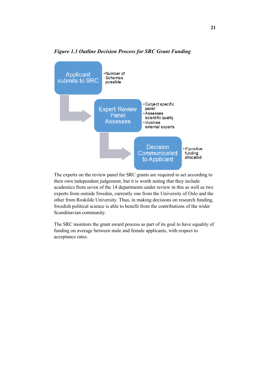

#### *Figure 1.3 Outline Decision Process for SRC Grant Funding*

The experts on the review panel for SRC grants are required to act according to their own independent judgement, but it is worth noting that they include academics from seven of the 14 departments under review in this as well as two experts from outside Sweden, currently one from the University of Oslo and the other from Roskilde University. Thus, in making decisions on research funding, Swedish political science is able to benefit from the contributions of the wider Scandinavian community.

The SRC monitors the grant award process as part of its goal to have equality of funding on average between male and female applicants, with respect to acceptance rates.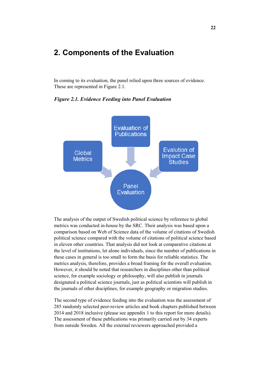## <span id="page-22-0"></span>**2. Components of the Evaluation**

In coming to its evaluation, the panel relied upon three sources of evidence. These are represented in Figure 2.1.



*Figure 2.1. Evidence Feeding into Panel Evaluation*

The analysis of the output of Swedish political science by reference to global metrics was conducted in-house by the SRC. Their analysis was based upon a comparison based on Web of Science data of the volume of citations of Swedish political science compared with the volume of citations of political science based in eleven other countries. That analysis did not look at comparative citations at the level of institutions, let alone individuals, since the number of publications in these cases in general is too small to form the basis for reliable statistics. The metrics analysis, therefore, provides a broad framing for the overall evaluation. However, it should be noted that researchers in disciplines other than political science, for example sociology or philosophy, will also publish in journals designated a political science journals, just as political scientists will publish in the journals of other disciplines, for example geography or migration studies.

The second type of evidence feeding into the evaluation was the assessment of 285 randomly selected peer-review articles and book chapters published between 2014 and 2018 inclusive (please see appendix 1 to this report for more details). The assessment of these publications was primarily carried out by 34 experts from outside Sweden. All the external reviewers approached provided a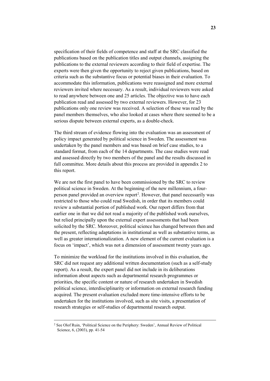specification of their fields of competence and staff at the SRC classified the publications based on the publication titles and output channels, assigning the publications to the external reviewers according to their field of expertise. The experts were then given the opportunity to reject given publications, based on criteria such as the substantive focus or potential biases in their evaluation. To accommodate this information, publications were reassigned and more external reviewers invited where necessary. As a result, individual reviewers were asked to read anywhere between one and 25 articles. The objective was to have each publication read and assessed by two external reviewers. However, for 23 publications only one review was received. A selection of these was read by the panel members themselves, who also looked at cases where there seemed to be a serious dispute between external experts, as a double-check.

The third stream of evidence flowing into the evaluation was an assessment of policy impact generated by political science in Sweden. The assessment was undertaken by the panel members and was based on brief case studies, to a standard format, from each of the 14 departments. The case studies were read and assessed directly by two members of the panel and the results discussed in full committee. More details about this process are provided in appendix 2 to this report.

We are not the first panel to have been commissioned by the SRC to review political science in Sweden. At the beginning of the new millennium, a four-person panel provided an overview report<sup>[2](#page-23-0)</sup>. However, that panel necessarily was restricted to those who could read Swedish, in order that its members could review a substantial portion of published work. Our report differs from that earlier one in that we did not read a majority of the published work ourselves, but relied principally upon the external expert assessments that had been solicited by the SRC. Moreover, political science has changed between then and the present, reflecting adaptations in institutional as well as substantive terms, as well as greater internationalization. A new element of the current evaluation is a focus on 'impact', which was not a dimension of assessment twenty years ago.

To minimize the workload for the institutions involved in this evaluation, the SRC did not request any additional written documentation (such as a self-study report). As a result, the expert panel did not include in its deliberations information about aspects such as departmental research programmes or priorities, the specific content or nature of research undertaken in Swedish political science, interdisciplinarity or information on external research funding acquired. The present evaluation excluded more time-intensive efforts to be undertaken for the institutions involved, such as site visits, a presentation of research strategies or self-studies of departmental research output.

<span id="page-23-0"></span> <sup>2</sup> See Olof Ruin, 'Political Science on the Periphery: Sweden', Annual Review of Political Science, 6, (2003), pp. 41-54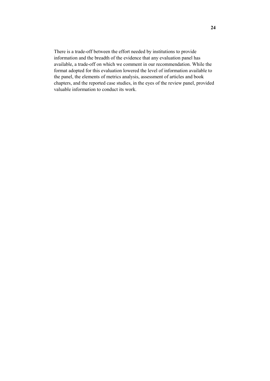There is a trade-off between the effort needed by institutions to provide information and the breadth of the evidence that any evaluation panel has available, a trade-off on which we comment in our recommendation. While the format adopted for this evaluation lowered the level of information available to the panel, the elements of metrics analysis, assessment of articles and book chapters, and the reported case studies, in the eyes of the review panel, provided valuable information to conduct its work.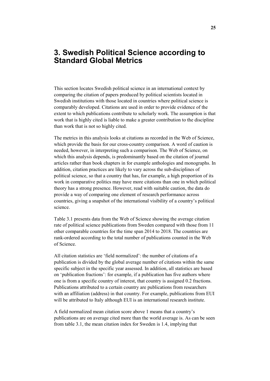## <span id="page-25-0"></span>**3. Swedish Political Science according to Standard Global Metrics**

This section locates Swedish political science in an international context by comparing the citation of papers produced by political scientists located in Swedish institutions with those located in countries where political science is comparably developed. Citations are used in order to provide evidence of the extent to which publications contribute to scholarly work. The assumption is that work that is highly cited is liable to make a greater contribution to the discipline than work that is not so highly cited.

The metrics in this analysis looks at citations as recorded in the Web of Science, which provide the basis for our cross-country comparison. A word of caution is needed, however, in interpreting such a comparison. The Web of Science, on which this analysis depends, is predominantly based on the citation of journal articles rather than book chapters in for example anthologies and monographs. In addition, citation practices are likely to vary across the sub-disciplines of political science, so that a country that has, for example, a high proportion of its work in comparative politics may have more citations than one in which political theory has a strong presence. However, read with suitable caution, the data do provide a way of comparing one element of research performance across countries, giving a snapshot of the international visibility of a country's political science.

Table 3.1 presents data from the Web of Science showing the average citation rate of political science publications from Sweden compared with those from 11 other comparable countries for the time span 2014 to 2018. The countries are rank-ordered according to the total number of publications counted in the Web of Science.

All citation statistics are 'field normalized': the number of citations of a publication is divided by the global average number of citations within the same specific subject in the specific year assessed. In addition, all statistics are based on 'publication fractions': for example, if a publication has five authors where one is from a specific country of interest, that country is assigned 0.2 fractions. Publications attributed to a certain country are publications from researchers with an affiliation (address) in that country. For example, publications from EUI will be attributed to Italy although EUI is an international research institute.

A field normalized mean citation score above 1 means that a country's publications are on average cited more than the world average is. As can be seen from table 3.1, the mean citation index for Sweden is 1.4, implying that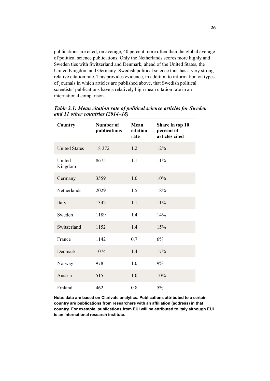publications are cited, on average, 40 percent more often than the global average of political science publications. Only the Netherlands scores more highly and Sweden ties with Switzerland and Denmark, ahead of the United States, the United Kingdom and Germany. Swedish political science thus has a very strong relative citation rate. This provides evidence, in addition to information on types of journals in which articles are published above, that Swedish political scientists' publications have a relatively high mean citation rate in an international comparison.

| Country              | Number of<br>publications | Mean<br>citation<br>rate | Share in top 10<br>percent of<br>articles cited |
|----------------------|---------------------------|--------------------------|-------------------------------------------------|
| <b>United States</b> | 18 372                    | 1.2                      | 12%                                             |
| United<br>Kingdom    | 8675                      | 1.1                      | 11%                                             |
| Germany              | 3559                      | 1.0                      | 10%                                             |
| Netherlands          | 2029                      | 1.5                      | 18%                                             |
| Italy                | 1342                      | 1.1                      | 11%                                             |
| Sweden               | 1189                      | 1.4                      | 14%                                             |
| Switzerland          | 1152                      | 1.4                      | 15%                                             |
| France               | 1142                      | 0.7                      | 6%                                              |
| Denmark              | 1074                      | 1.4                      | 17%                                             |
| Norway               | 978                       | 1.0                      | 9%                                              |
| Austria              | 515                       | 1.0                      | 10%                                             |
| Finland              | 462                       | 0.8                      | 5%                                              |

*Table 3.1: Mean citation rate of political science articles for Sweden and 11 other countries (2014–18)* 

**Note: data are based on Clarivate analytics. Publications attributed to a certain country are publications from researchers with an affiliation (address) in that country. For example, publications from EUI will be attributed to Italy although EUI is an international research institute.**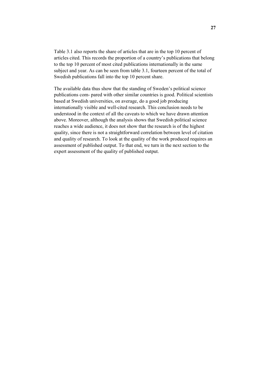Table 3.1 also reports the share of articles that are in the top 10 percent of articles cited. This records the proportion of a country's publications that belong to the top 10 percent of most cited publications internationally in the same subject and year. As can be seen from table 3.1, fourteen percent of the total of Swedish publications fall into the top 10 percent share.

The available data thus show that the standing of Sweden's political science publications com- pared with other similar countries is good. Political scientists based at Swedish universities, on average, do a good job producing internationally visible and well-cited research. This conclusion needs to be understood in the context of all the caveats to which we have drawn attention above. Moreover, although the analysis shows that Swedish political science reaches a wide audience, it does not show that the research is of the highest quality, since there is not a straightforward correlation between level of citation and quality of research. To look at the quality of the work produced requires an assessment of published output. To that end, we turn in the next section to the expert assessment of the quality of published output.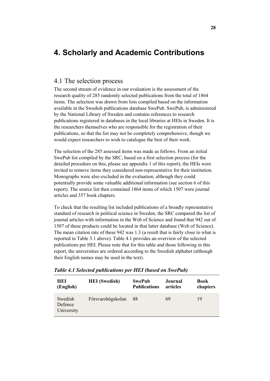## <span id="page-28-0"></span>**4. Scholarly and Academic Contributions**

## <span id="page-28-1"></span>4.1 The selection process

The second stream of evidence in our evaluation is the assessment of the research quality of 285 randomly selected publications from the total of 1864 items. The selection was drawn from lists compiled based on the information available in the Swedish publications database SwePub. SwePub, is administered by the National Library of Sweden and contains references to research publications registered in databases in the local libraries at HEIs in Sweden. It is the researchers themselves who are responsible for the registration of their publications, so that the list may not be completely comprehensive, though we would expect researchers to wish to catalogue the best of their work.

The selection of the 285 assessed items was made as follows. From an initial SwePub list compiled by the SRC, based on a first selection process (for the detailed procedure on this, please see appendix 1 of this report), the HEIs were invited to remove items they considered non-representative for their institution. Monographs were also excluded in the evaluation, although they could potentially provide some valuable additional information (see section 6 of this report). The source list then contained 1864 items of which 1507 were journal articles and 357 book chapters.

To check that the resulting list included publications of a broadly representative standard of research in political science in Sweden, the SRC compared the list of journal articles with information in the Web of Science and found that 942 out of 1507 of these products could be located in that latter database (Web of Science). The mean citation rate of these 942 was 1.3 (a result that is fairly close to what is reported in Table 3.1 above). Table 4.1 provides an overview of the selected publications per HEI. Please note that for this table and those following in this report, the universities are ordered according to the Swedish alphabet (although their English names may be used in the text).

| HEI                              | <b>HEI</b> (Swedish) | <b>SwePub</b>       | Journal  | Book     |
|----------------------------------|----------------------|---------------------|----------|----------|
| (English)                        |                      | <b>Publications</b> | articles | chapters |
| Swedish<br>Defence<br>University | Försvarshögskolan    | 88                  | 69       | 19       |

*Table 4.1 Selected publications per HEI (based on SwePub)*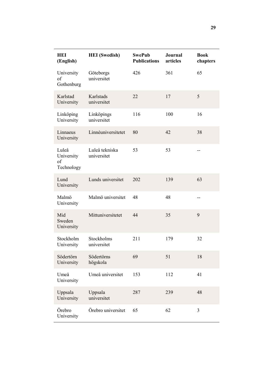| <b>HEI</b><br>(English)                 | <b>HEI</b> (Swedish)          | <b>SwePub</b><br><b>Publications</b> | <b>Journal</b><br>articles | <b>Book</b><br>chapters |
|-----------------------------------------|-------------------------------|--------------------------------------|----------------------------|-------------------------|
| University<br>of<br>Gothenburg          | Göteborgs<br>universitet      | 426                                  | 361                        | 65                      |
| Karlstad<br>University                  | Karlstads<br>universitet      | 22                                   | 17                         | 5                       |
| Linköping<br>University                 | Linköpings<br>universitet     | 116                                  | 100                        | 16                      |
| Linnaeus<br>University                  | Linnéuniversitetet            | 80                                   | 42                         | 38                      |
| Luleå<br>University<br>of<br>Technology | Luleå tekniska<br>universitet | 53                                   | 53                         | $-$                     |
| Lund<br>University                      | Lunds universitet             | 202                                  | 139                        | 63                      |
| Malmö<br>University                     | Malmö universitet             | 48                                   | 48                         | --                      |
| Mid<br>Sweden<br>University             | Mittuniversitetet             | 44                                   | 35                         | 9                       |
| Stockholm<br>University                 | Stockholms<br>universitet     | 211                                  | 179                        | 32                      |
| Södertörn<br>University                 | Södertörns<br>högskola        | 69                                   | 51                         | 18                      |
| Umeå<br>University                      | Umeå universitet              | 153                                  | 112                        | 41                      |
| Uppsala<br>University                   | Uppsala<br>universitet        | 287                                  | 239                        | 48                      |
| Örebro<br>University                    | Örebro universitet            | 65                                   | 62                         | 3                       |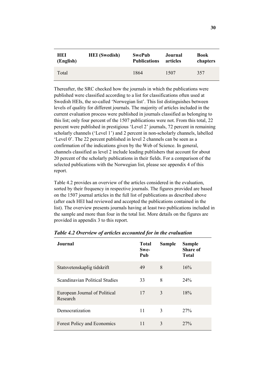| HEI       | <b>HEI</b> (Swedish) | <b>SwePub</b>       | Journal  | Book     |
|-----------|----------------------|---------------------|----------|----------|
| (English) |                      | <b>Publications</b> | articles | chapters |
| Total     |                      | 1864                | 1507     | 357      |

Thereafter, the SRC checked how the journals in which the publications were published were classified according to a list for classifications often used at Swedish HEIs, the so-called 'Norwegian list'. This list distinguishes between levels of quality for different journals. The majority of articles included in the current evaluation process were published in journals classified as belonging to this list; only four percent of the 1507 publications were not. From this total, 22 percent were published in prestigious 'Level 2' journals, 72 percent in remaining scholarly channels ('Level 1') and 2 percent in non-scholarly channels, labelled 'Level 0'. The 22 percent published in level 2 channels can be seen as a confirmation of the indications given by the Web of Science. In general, channels classified as level 2 include leading publishers that account for about 20 percent of the scholarly publications in their fields. For a comparison of the selected publications with the Norwegian list, please see appendix 4 of this report.

Table 4.2 provides an overview of the articles considered in the evaluation, sorted by their frequency in respective journals. The figures provided are based on the 1507 journal articles in the full list of publications as described above (after each HEI had reviewed and accepted the publications contained in the list). The overview presents journals having at least two publications included in the sample and more than four in the total list. More details on the figures are provided in appendix 3 to this report.

| Journal                                   | <b>Total</b><br>Swe-<br>Pub | <b>Sample</b> | <b>Sample</b><br><b>Share of</b><br><b>Total</b> |
|-------------------------------------------|-----------------------------|---------------|--------------------------------------------------|
| Statsvetenskaplig tidskrift               | 49                          | 8             | 16%                                              |
| Scandinavian Political Studies            | 33                          | 8             | 24%                                              |
| European Journal of Political<br>Research | 17                          | 3             | 18%                                              |
| Democratization                           | 11                          | 3             | 27%                                              |
| <b>Forest Policy and Economics</b>        | 11                          | 3             | 27%                                              |

*Table 4.2 Overview of articles accounted for in the evaluation*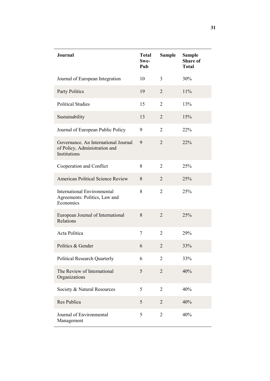| Journal                                                                               | <b>Total</b><br>Swe-<br>Pub | Sample         | <b>Sample</b><br><b>Share of</b><br><b>Total</b> |
|---------------------------------------------------------------------------------------|-----------------------------|----------------|--------------------------------------------------|
| Journal of European Integration                                                       | 10                          | $\overline{3}$ | 30%                                              |
| <b>Party Politics</b>                                                                 | 19                          | $\overline{2}$ | 11%                                              |
| <b>Political Studies</b>                                                              | 15                          | $\overline{2}$ | 13%                                              |
| Sustainability                                                                        | 13                          | $\overline{2}$ | 15%                                              |
| Journal of European Public Policy                                                     | 9                           | $\overline{2}$ | 22%                                              |
| Governance. An International Journal<br>of Policy, Administration and<br>Institutions | 9                           | $\overline{2}$ | 22%                                              |
| Cooperation and Conflict                                                              | 8                           | 2              | 25%                                              |
| American Political Science Review                                                     | 8                           | $\overline{2}$ | 25%                                              |
| <b>International Environmental</b><br>Agreements: Politics, Law and<br>Economics      | 8                           | $\overline{2}$ | 25%                                              |
| European Journal of International<br>Relations                                        | 8                           | $\overline{2}$ | 25%                                              |
| Acta Politica                                                                         | 7                           | $\overline{2}$ | 29%                                              |
| Politics & Gender                                                                     | 6                           | $\overline{2}$ | 33%                                              |
| <b>Political Research Quarterly</b>                                                   | 6                           | 2              | 33%                                              |
| The Review of International<br>Organizations                                          | 5                           | $\overline{2}$ | 40%                                              |
| Society & Natural Resources                                                           | 5                           | $\overline{2}$ | 40%                                              |
| Res Publica                                                                           | 5                           | $\overline{2}$ | 40%                                              |
| Journal of Environmental<br>Management                                                | 5                           | $\overline{2}$ | 40%                                              |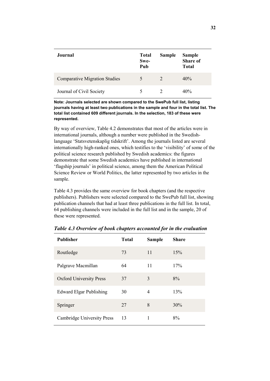| Journal                              | <b>Total</b><br>Swe-<br>Pub | <b>Sample</b> | <b>Sample</b><br><b>Share of</b><br><b>Total</b> |
|--------------------------------------|-----------------------------|---------------|--------------------------------------------------|
| <b>Comparative Migration Studies</b> | 5                           | 2             | 40%                                              |
| Journal of Civil Society             |                             |               | 40%                                              |

**Note: Journals selected are shown compared to the SwePub full list, listing journals having at least two publications in the sample and four in the total list. The total list contained 609 different journals. In the selection, 183 of these were represented.**

By way of overview, Table 4.2 demonstrates that most of the articles were in international journals, although a number were published in the Swedishlanguage 'Statsvetenskaplig tidskrift'. Among the journals listed are several internationally high-ranked ones, which testifies to the 'visibility' of some of the political science research published by Swedish academics: the figures demonstrate that some Swedish academics have published in international 'flagship journals' in political science, among them the American Political Science Review or World Politics, the latter represented by two articles in the sample.

Table 4.3 provides the same overview for book chapters (and the respective publishers). Publishers were selected compared to the SwePub full list, showing publication channels that had at least three publications in the full list. In total, 64 publishing channels were included in the full list and in the sample, 20 of these were represented.

| <b>Publisher</b>                  | <b>Total</b> | <b>Sample</b> | <b>Share</b> |
|-----------------------------------|--------------|---------------|--------------|
| Routledge                         | 73           | 11            | 15%          |
| Palgrave Macmillan                | 64           | 11            | 17%          |
| <b>Oxford University Press</b>    | 37           | 3             | 8%           |
| <b>Edward Elgar Publishing</b>    | 30           | 4             | 13%          |
| Springer                          | 27           | 8             | 30%          |
| <b>Cambridge University Press</b> | 13           | 1             | 8%           |

*Table 4.3 Overview of book chapters accounted for in the evaluation*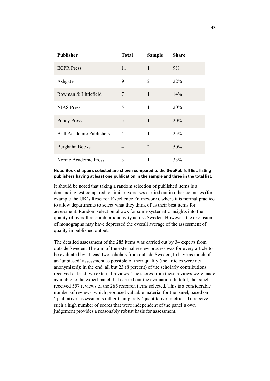| <b>Publisher</b>                 | <b>Total</b>   | <b>Sample</b>  | <b>Share</b> |
|----------------------------------|----------------|----------------|--------------|
| <b>ECPR</b> Press                | 11             | 1              | 9%           |
| Ashgate                          | 9              | $\overline{2}$ | 22%          |
| Rowman & Littlefield             | 7              | $\mathbf{1}$   | 14%          |
| <b>NIAS</b> Press                | 5              | 1              | 20%          |
| <b>Policy Press</b>              | 5              | $\mathbf{1}$   | 20%          |
| <b>Brill Academic Publishers</b> | 4              | 1              | 25%          |
| Berghahn Books                   | $\overline{4}$ | $\overline{2}$ | 50%          |
| Nordic Academic Press            | 3              | 1              | 33%          |

#### **Note: Book chapters selected are shown compared to the SwePub full list, listing publishers having at least one publication in the sample and three in the total list.**

It should be noted that taking a random selection of published items is a demanding test compared to similar exercises carried out in other countries (for example the UK's Research Excellence Framework), where it is normal practice to allow departments to select what they think of as their best items for assessment. Random selection allows for some systematic insights into the quality of overall research productivity across Sweden. However, the exclusion of monographs may have depressed the overall average of the assessment of quality in published output.

The detailed assessment of the 285 items was carried out by 34 experts from outside Sweden. The aim of the external review process was for every article to be evaluated by at least two scholars from outside Sweden, to have as much of an 'unbiased' assessment as possible of their quality (the articles were not anonymized); in the end, all but 23 (8 percent) of the scholarly contributions received at least two external reviews. The scores from these reviews were made available to the expert panel that carried out the evaluation. In total, the panel received 557 reviews of the 285 research items selected. This is a considerable number of reviews, which produced valuable material for the panel, based on 'qualitative' assessments rather than purely 'quantitative' metrics. To receive such a high number of scores that were independent of the panel's own judgement provides a reasonably robust basis for assessment.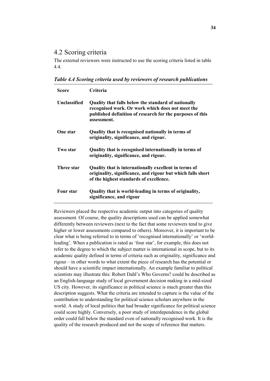### <span id="page-34-0"></span>4.2 Scoring criteria

The external reviewers were instructed to use the scoring criteria listed in table 4.4.

*Table 4.4 Scoring criteria used by reviewers of research publications*

| <b>Score</b>     | <b>Criteria</b>                                                                                                                                                                     |
|------------------|-------------------------------------------------------------------------------------------------------------------------------------------------------------------------------------|
| Unclassified     | Quality that falls below the standard of nationally<br>recognised work. Or work which does not meet the<br>published definition of research for the purposes of this<br>assessment. |
| <b>One star</b>  | Quality that is recognised nationally in terms of<br>originality, significance, and rigour.                                                                                         |
| Two star         | Quality that is recognised internationally in terms of<br>originality, significance, and rigour.                                                                                    |
| Three star       | Quality that is internationally excellent in terms of<br>originality, significance, and rigour but which falls short<br>of the highest standards of excellence.                     |
| <b>Four star</b> | Quality that is world-leading in terms of originality,<br>significance, and rigour                                                                                                  |

Reviewers placed the respective academic output into categories of quality assessment. Of course, the quality descriptions used can be applied somewhat differently between reviewers (next to the fact that some reviewers tend to give higher or lower assessments compared to others). Moreover, it is important to be clear what is being referred to in terms of 'recognised internationally' or 'worldleading'. When a publication is rated as 'four star', for example, this does not refer to the degree to which the subject matter is international in scope, but to its academic quality defined in terms of criteria such as originality, significance and rigour – in other words to what extent the piece of research has the potential or should have a scientific impact internationally. An example familiar to political scientists may illustrate this: Robert Dahl's Who Governs? could be described as an English-language study of local government decision making in a mid-sized US city. However, its significance in political science is much greater than this description suggests. What the criteria are intended to capture is the value of the contribution to understanding for political science scholars anywhere in the world. A study of local politics that had broader significance for political science could score highly. Conversely, a poor study of interdependence in the global order could fall below the standard even of nationally recognised work. It is the quality of the research produced and not the scope of reference that matters.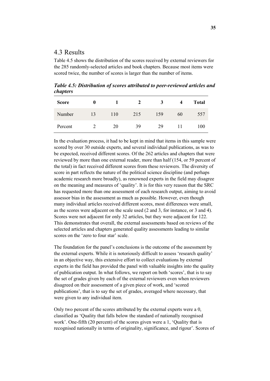### <span id="page-35-0"></span>4.3 Results

Table 4.5 shows the distribution of the scores received by external reviewers for the 285 randomly-selected articles and book chapters. Because most items were scored twice, the number of scores is larger than the number of items.

*Table 4.5: Distribution of scores attributed to peer-reviewed articles and chapters*

| <b>Score</b> |    |     | 2   | 3   |    | <b>Total</b> |
|--------------|----|-----|-----|-----|----|--------------|
| Number       | 13 | 110 | 215 | 159 | 60 | 557          |
| Percent      |    | 20  | 39  | 29  |    | 100          |

In the evaluation process, it had to be kept in mind that items in this sample were scored by over 30 outside experts, and several individual publications, as was to be expected, received different scores. Of the 262 articles and chapters that were reviewed by more than one external reader, more than half (154, or 59 percent of the total) in fact received different scores from these reviewers. The diversity of score in part reflects the nature of the political science discipline (and perhaps academic research more broadly), as renowned experts in the field may disagree on the meaning and measures of 'quality'. It is for this very reason that the SRC has requested more than one assessment of each research output, aiming to avoid assessor bias in the assessment as much as possible. However, even though many individual articles received different scores, most differences were small, as the scores were adjacent on the scale used (2 and 3, for instance, or 3 and 4). Scores were not adjacent for only 32 articles, but they were adjacent for 122. This demonstrates that overall, the external assessments based on reviews of the selected articles and chapters generated quality assessments leading to similar scores on the 'zero to four star' scale.

The foundation for the panel's conclusions is the outcome of the assessment by the external experts. While it is notoriously difficult to assess 'research quality' in an objective way, this extensive effort to collect evaluations by external experts in the field has provided the panel with valuable insights into the quality of publication output. In what follows, we report on both 'scores', that is to say the set of grades given by each of the external reviewers even when reviewers disagreed on their assessment of a given piece of work, and 'scored publications', that is to say the set of grades, averaged where necessary, that were given to any individual item.

Only two percent of the scores attributed by the external experts were a 0, classified as 'Quality that falls below the standard of nationally recognised work'. One-fifth (20 percent) of the scores given were a 1, 'Quality that is recognised nationally in terms of originality, significance, and rigour'. Scores of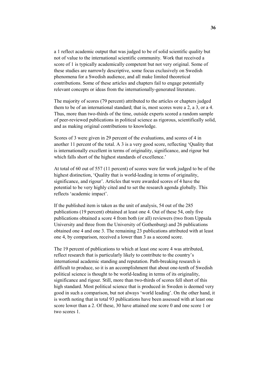a 1 reflect academic output that was judged to be of solid scientific quality but not of value to the international scientific community. Work that received a score of 1 is typically academically competent but not very original. Some of these studies are narrowly descriptive, some focus exclusively on Swedish phenomena for a Swedish audience, and all make limited theoretical contributions. Some of these articles and chapters fail to engage potentially relevant concepts or ideas from the internationally-generated literature.

The majority of scores (79 percent) attributed to the articles or chapters judged them to be of an international standard; that is, most scores were a 2, a 3, or a 4. Thus, more than two-thirds of the time, outside experts scored a random sample of peer-reviewed publications in political science as rigorous, scientifically solid, and as making original contributions to knowledge.

Scores of 3 were given in 29 percent of the evaluations, and scores of 4 in another 11 percent of the total. A 3 is a very good score, reflecting 'Quality that is internationally excellent in terms of originality, significance, and rigour but which falls short of the highest standards of excellence.'

At total of 60 out of 557 (11 percent) of scores were for work judged to be of the highest distinction, 'Quality that is world-leading in terms of originality, significance, and rigour'. Articles that were awarded scores of 4 have the potential to be very highly cited and to set the research agenda globally. This reflects 'academic impact'.

If the published item is taken as the unit of analysis, 54 out of the 285 publications (19 percent) obtained at least one 4. Out of these 54, only five publications obtained a score 4 from both (or all) reviewers (two from Uppsala University and three from the University of Gothenburg) and 26 publications obtained one 4 and one 3. The remaining 23 publications attributed with at least one 4, by comparison, received a lower than 3 as a second score.

The 19 percent of publications to which at least one score 4 was attributed, reflect research that is particularly likely to contribute to the country's international academic standing and reputation. Path-breaking research is difficult to produce, so it is an accomplishment that about one-tenth of Swedish political science is thought to be world-leading in terms of its originality, significance and rigour. Still, more than two-thirds of scores fell short of this high standard. Most political science that is produced in Sweden is deemed very good in such a comparison, but not always 'world leading'. On the other hand, it is worth noting that in total 93 publications have been assessed with at least one score lower than a 2. Of these, 30 have attained one score 0 and one score 1 or two scores 1.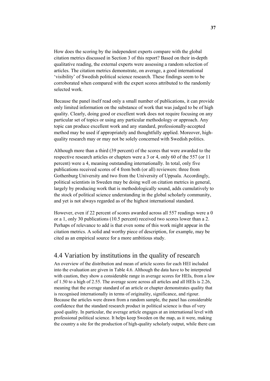How does the scoring by the independent experts compare with the global citation metrics discussed in Section 3 of this report? Based on their in-depth qualitative reading, the external experts were assessing a random selection of articles. The citation metrics demonstrate, on average, a good international 'visibility' of Swedish political science research. These findings seem to be corroborated when compared with the expert scores attributed to the randomly selected work.

Because the panel itself read only a small number of publications, it can provide only limited information on the substance of work that was judged to be of high quality. Clearly, doing good or excellent work does not require focusing on any particular set of topics or using any particular methodology or approach. Any topic can produce excellent work and any standard, professionally-accepted method may be used if appropriately and thoughtfully applied. Moreover, highquality research may or may not be solely concerned with Swedish politics.

Although more than a third (39 percent) of the scores that were awarded to the respective research articles or chapters were a 3 or 4, only 60 of the 557 (or 11 percent) were a 4, meaning outstanding internationally. In total, only five publications received scores of 4 from both (or all) reviewers: three from Gothenburg University and two from the University of Uppsala. Accordingly, political scientists in Sweden may be doing well on citation metrics in general, largely by producing work that is methodologically sound, adds cumulatively to the stock of political science understanding in the global scholarly community, and yet is not always regarded as of the highest international standard.

However, even if 22 percent of scores awarded across all 557 readings were a 0 or a 1, only 30 publications (10.5 percent) received two scores lower than a 2. Perhaps of relevance to add is that even some of this work might appear in the citation metrics. A solid and worthy piece of description, for example, may be cited as an empirical source for a more ambitious study.

# 4.4 Variation by institutions in the quality of research

An overview of the distribution and mean of article scores for each HEI included into the evaluation are given in Table 4.6. Although the data have to be interpreted with caution, they show a considerable range in average scores for HEIs, from a low of 1.50 to a high of 2.55. The average score across all articles and all HEIs is 2.26, meaning that the average standard of an article or chapter demonstrates quality that is recognised internationally in terms of originality, significance, and rigour. Because the articles were drawn from a random sample, the panel has considerable confidence that the standard research product in political science is thus of very good quality. In particular, the average article engages at an international level with professional political science. It helps keep Sweden on the map, as it were, making the country a site for the production of high-quality scholarly output, while there can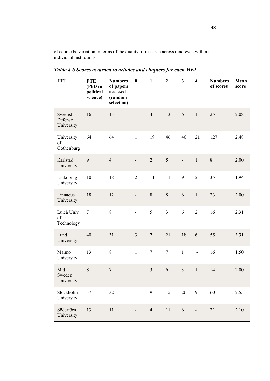of course be variation in terms of the quality of research across (and even within) individual institutions.

| HEI                              | <b>FTE</b><br>(PhD in<br>political<br>science) | <b>Numbers</b><br>of papers<br>assessed<br>(random<br>selection) | $\bf{0}$       | $\mathbf{1}$   | $\overline{2}$ | $\overline{\mathbf{3}}$ | $\overline{\mathbf{4}}$ | <b>Numbers</b><br>of scores | Mean<br>score |
|----------------------------------|------------------------------------------------|------------------------------------------------------------------|----------------|----------------|----------------|-------------------------|-------------------------|-----------------------------|---------------|
| Swedish<br>Defense<br>University | 16                                             | 13                                                               | $\mathbf{1}$   | $\overline{4}$ | 13             | 6                       | $\mathbf{1}$            | 25                          | 2.08          |
| University<br>of<br>Gothenburg   | 64                                             | 64                                                               | $\mathbf{1}$   | 19             | 46             | 40                      | 21                      | 127                         | 2.48          |
| Karlstad<br>University           | 9                                              | $\overline{4}$                                                   |                | $\overline{2}$ | 5              |                         | $\mathbf 1$             | 8                           | 2.00          |
| Linköping<br>University          | 10                                             | 18                                                               | $\overline{2}$ | 11             | 11             | 9                       | $\overline{2}$          | 35                          | 1.94          |
| Linnaeus<br>University           | 18                                             | 12                                                               | $\overline{a}$ | $8\,$          | $8\,$          | 6                       | $\mathbf{1}$            | 23                          | 2.00          |
| Luleå Univ<br>of<br>Technology   | $\boldsymbol{7}$                               | 8                                                                | $\overline{a}$ | 5              | $\overline{3}$ | 6                       | $\overline{2}$          | 16                          | 2.31          |
| Lund<br>University               | 40                                             | 31                                                               | $\overline{3}$ | $\overline{7}$ | 21             | 18                      | $\sqrt{6}$              | 55                          | 2.31          |
| Malmö<br>University              | 13                                             | 8                                                                | $\mathbf{1}$   | $\tau$         | $\tau$         | $\mathbf{1}$            | $\blacksquare$          | 16                          | 1.50          |
| Mid<br>Sweden<br>University      | 8                                              | $\boldsymbol{7}$                                                 | $\mathbf{1}$   | $\overline{3}$ | 6              | $\overline{3}$          | $\mathbf{1}$            | 14                          | 2.00          |
| Stockholm<br>University          | 37                                             | 32                                                               | $\mathbf{1}$   | 9              | 15             | 26                      | 9                       | 60                          | 2.55          |
| Södertörn<br>University          | 13                                             | 11                                                               |                | $\overline{4}$ | $11\,$         | 6                       |                         | 21                          | 2.10          |

*Table 4.6 Scores awarded to articles and chapters for each HEI*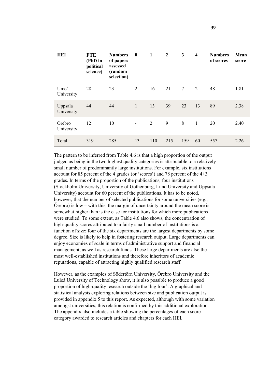| HEI                   | <b>FTE</b><br>(PhD in<br>political<br>science) | <b>Numbers</b><br>of papers<br>assessed<br>(random<br>selection) | $\mathbf{0}$   | $\mathbf{1}$ | $\overline{2}$ | 3              | $\overline{\mathbf{4}}$ | <b>Numbers</b><br>of scores | Mean<br>score |
|-----------------------|------------------------------------------------|------------------------------------------------------------------|----------------|--------------|----------------|----------------|-------------------------|-----------------------------|---------------|
| Umeå<br>University    | 28                                             | 23                                                               | 2              | 16           | 21             | $\overline{7}$ | 2                       | 48                          | 1.81          |
| Uppsala<br>University | 44                                             | 44                                                               | $\mathbf{1}$   | 13           | 39             | 23             | 13                      | 89                          | 2.38          |
| Örebro<br>University  | 12                                             | 10                                                               | $\blacksquare$ | 2            | 9              | 8              | $\mathbf{1}$            | 20                          | 2.40          |
| Total                 | 319                                            | 285                                                              | 13             | 110          | 215            | 159            | 60                      | 557                         | 2.26          |

The pattern to be inferred from Table 4.6 is that a high proportion of the output judged as being in the two highest quality categories is attributable to a relatively small number of predominantly large institutions. For example, six institutions account for 85 percent of the 4 grades (or 'scores') and 78 percent of the 4+3 grades. In terms of the proportion of the publications, four institutions (Stockholm University, University of Gothenburg, Lund University and Uppsala University) account for 60 percent of the publications. It has to be noted, however, that the number of selected publications for some universities (e.g.,  $\ddot{\text{O}}$ rebro) is low – with this, the margin of uncertainty around the mean score is somewhat higher than is the case for institutions for which more publications were studied. To some extent, as Table 4.6 also shows, the concentration of high-quality scores attributed to a fairly small number of institutions is a function of size: four of the six departments are the largest departments by some degree. Size is likely to help in fostering research output. Large departments can enjoy economies of scale in terms of administrative support and financial management, as well as research funds. These large departments are also the most well-established institutions and therefore inheritors of academic reputations, capable of attracting highly qualified research staff.

However, as the examples of Södertörn University, Örebro University and the Luleå University of Technology show, it is also possible to produce a good proportion of high-quality research outside the 'big four'. A graphical and statistical analysis exploring relations between size and publication output is provided in appendix 5 to this report. As expected, although with some variation amongst universities, this relation is confirmed by this additional exploration. The appendix also includes a table showing the percentages of each score category awarded to research articles and chapters for each HEI.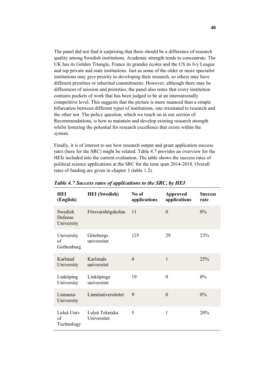The panel did not find it surprising that there should be a difference of research quality among Swedish institutions. Academic strength tends to concentrate. The UK has its Golden Triangle, France its grandes écoles and the US its Ivy League and top private and state institutions. Just as some of the older or more specialist institutions may give priority to developing their research, so others may have different priorities or inherited commitments. However, although there may be differences of mission and priorities, the panel also notes that every institution contains pockets of work that has been judged to be at an internationally competitive level. This suggests that the picture is more nuanced than a simple bifurcation between different types of institutions, one orientated to research and the other not. The policy question, which we touch on in our section of Recommendations, is how to maintain and develop existing research strength whilst fostering the potential for research excellence that exists within the system.

Finally, it is of interest to see how research output and grant application success rates (here for the SRC) might be related. Table 4.7 provides an overview for the HEIs included into the current evaluation. The table shows the success rates of political science applications at the SRC for the time span 2014-2018. Overall rates of funding are given in chapter 1 (table 1.2).

| HEI<br>(English)                 | <b>HEI</b> (Swedish)          | No of<br>applications | <b>Approved</b><br>applications | <b>Success</b><br>rate |
|----------------------------------|-------------------------------|-----------------------|---------------------------------|------------------------|
| Swedish<br>Defense<br>University | Försvarshögskolan             | 11                    | $\overline{0}$                  | $0\%$                  |
| University<br>of<br>Gothenburg   | Göteborgs<br>universitet      | 125                   | 29                              | 23%                    |
| Karlstad<br>University           | Karlstads<br>universitet      | $\overline{4}$        | $\mathbf{1}$                    | 25%                    |
| Linköping<br>University          | Linköpings<br>universitet     | 19                    | $\overline{0}$                  | $0\%$                  |
| Linnaeus<br>University           | Linnéuniversitetet            | 9                     | $\overline{0}$                  | $0\%$                  |
| Luleå Univ<br>of<br>Technology   | Luleå Tekniska<br>Universitet | 5                     | 1                               | 20%                    |

*Table 4.7 Success rates of applications to the SRC, by HEI*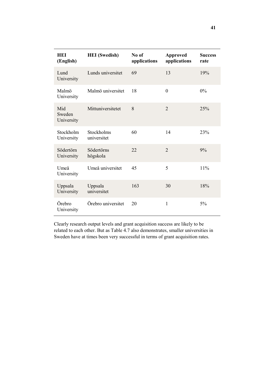| HEI<br>(English)            | <b>HEI</b> (Swedish)      | No of<br>applications | <b>Approved</b><br>applications | <b>Success</b><br>rate |
|-----------------------------|---------------------------|-----------------------|---------------------------------|------------------------|
| Lund<br>University          | Lunds universitet         | 69                    | 13                              | 19%                    |
| Malmö<br>University         | Malmö universitet         | 18                    | $\overline{0}$                  | $0\%$                  |
| Mid<br>Sweden<br>University | Mittuniversitetet         | 8                     | $\overline{2}$                  | 25%                    |
| Stockholm<br>University     | Stockholms<br>universitet | 60                    | 14                              | 23%                    |
| Södertörn<br>University     | Södertörns<br>högskola    | 22                    | $\overline{2}$                  | 9%                     |
| Umeå<br>University          | Umeå universitet          | 45                    | 5                               | 11%                    |
| Uppsala<br>University       | Uppsala<br>universitet    | 163                   | 30                              | 18%                    |
| Örebro<br>University        | Örebro universitet        | 20                    | $\mathbf{1}$                    | 5%                     |

Clearly research output levels and grant acquisition success are likely to be related to each other. But as Table 4.7 also demonstrates, smaller universities in Sweden have at times been very successful in terms of grant acquisition rates.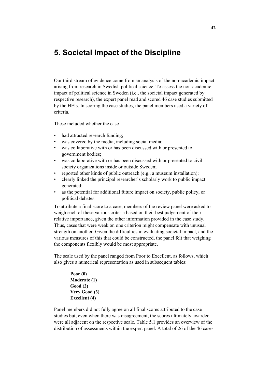# **5. Societal Impact of the Discipline**

Our third stream of evidence come from an analysis of the non-academic impact arising from research in Swedish political science. To assess the non-academic impact of political science in Sweden (i.e., the societal impact generated by respective research), the expert panel read and scored 46 case studies submitted by the HEIs. In scoring the case studies, the panel members used a variety of criteria.

These included whether the case

- had attracted research funding;
- was covered by the media, including social media;
- was collaborative with or has been discussed with or presented to government bodies;
- was collaborative with or has been discussed with or presented to civil society organizations inside or outside Sweden;
- reported other kinds of public outreach (e.g., a museum installation);
- clearly linked the principal researcher's scholarly work to public impact generated;
- as the potential for additional future impact on society, public policy, or political debates.

To attribute a final score to a case, members of the review panel were asked to weigh each of these various criteria based on their best judgement of their relative importance, given the other information provided in the case study. Thus, cases that were weak on one criterion might compensate with unusual strength on another. Given the difficulties in evaluating societal impact, and the various measures of this that could be constructed, the panel felt that weighing the components flexibly would be most appropriate.

The scale used by the panel ranged from Poor to Excellent, as follows, which also gives a numerical representation as used in subsequent tables:

> **Poor (0) Moderate (1) Good (2) Very Good (3) Excellent (4)**

Panel members did not fully agree on all final scores attributed to the case studies but, even when there was disagreement, the scores ultimately awarded were all adjacent on the respective scale. Table 5.1 provides an overview of the distribution of assessments within the expert panel. A total of 26 of the 46 cases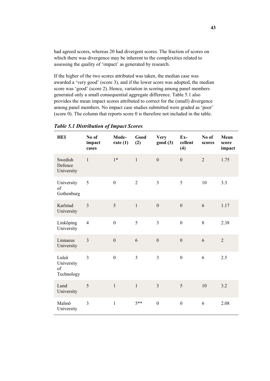had agreed scores, whereas 20 had divergent scores. The fraction of scores on which there was divergence may be inherent to the complexities related to assessing the quality of 'impact' as generated by research.

If the higher of the two scores attributed was taken, the median case was awarded a 'very good' (score 3), and if the lower score was adopted, the median score was 'good' (score 2). Hence, variation in scoring among panel members generated only a small consequential aggregate difference. Table 5.1 also provides the mean impact scores attributed to correct for the (small) divergence among panel members. No impact case studies submitted were graded as 'poor' (score 0). The column that reports score 0 is therefore not included in the table.

| HEI                                     | No of<br>impact<br>cases | Mode-<br>rate $(1)$ | Good<br>(2)    | <b>Very</b><br>good(3) | $Ex-$<br>cellent<br>(4) | No of<br>scores | Mean<br>score<br>impact |
|-----------------------------------------|--------------------------|---------------------|----------------|------------------------|-------------------------|-----------------|-------------------------|
| Swedish<br>Defence<br>University        | $\mathbf{1}$             | $1*$                | $\mathbf{1}$   | $\mathbf{0}$           | $\mathbf{0}$            | $\overline{2}$  | 1.75                    |
| University<br>of<br>Gothenburg          | 5                        | $\mathbf{0}$        | $\overline{2}$ | $\overline{3}$         | 5                       | 10              | 3.3                     |
| Karlstad<br>University                  | 3                        | 5                   | $\mathbf{1}$   | $\mathbf{0}$           | $\boldsymbol{0}$        | 6               | 1.17                    |
| Linköping<br>University                 | $\overline{4}$           | $\boldsymbol{0}$    | 5              | $\overline{3}$         | $\mathbf{0}$            | 8               | 2.38                    |
| Linnaeus<br>University                  | $\overline{3}$           | $\mathbf{0}$        | 6              | $\mathbf{0}$           | $\mathbf{0}$            | 6               | $\overline{2}$          |
| Luleå<br>University<br>of<br>Technology | $\overline{3}$           | $\boldsymbol{0}$    | $\overline{3}$ | $\overline{3}$         | $\boldsymbol{0}$        | 6               | 2.5                     |
| Lund<br>University                      | 5                        | $\mathbf{1}$        | $\mathbf{1}$   | $\overline{3}$         | 5                       | 10              | 3.2                     |
| Malmö<br>University                     | $\overline{3}$           | $\mathbf{1}$        | $5**$          | $\mathbf{0}$           | $\mathbf{0}$            | 6               | 2.08                    |

### *Table 5.1 Distribution of Impact Scores*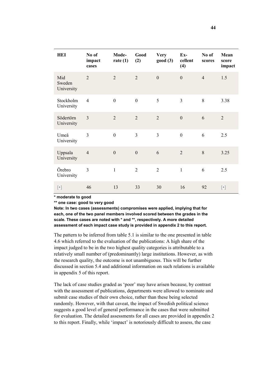| HEI                         | No of<br>impact<br>cases | Mode-<br>rate $(1)$ | Good<br>(2)      | <b>Very</b><br>good(3) | Ex-<br>cellent<br>(4) | No of<br>scores | Mean<br>score<br>impact |
|-----------------------------|--------------------------|---------------------|------------------|------------------------|-----------------------|-----------------|-------------------------|
| Mid<br>Sweden<br>University | $\overline{2}$           | $\overline{2}$      | $\overline{2}$   | $\overline{0}$         | $\mathbf{0}$          | $\overline{4}$  | 1.5                     |
| Stockholm<br>University     | $\overline{4}$           | $\boldsymbol{0}$    | $\boldsymbol{0}$ | 5                      | 3                     | 8               | 3.38                    |
| Södertörn<br>University     | 3                        | $\overline{2}$      | $\overline{2}$   | $\overline{2}$         | $\boldsymbol{0}$      | 6               | $\overline{2}$          |
| Umeå<br>University          | $\overline{3}$           | $\boldsymbol{0}$    | $\overline{3}$   | $\overline{3}$         | $\boldsymbol{0}$      | 6               | 2.5                     |
| Uppsala<br>University       | $\overline{4}$           | $\boldsymbol{0}$    | $\boldsymbol{0}$ | 6                      | $\overline{2}$        | 8               | 3.25                    |
| Örebro<br>University        | $\overline{3}$           | $\mathbf{1}$        | $\overline{2}$   | $\overline{2}$         | $\mathbf{1}$          | 6               | 2.5                     |
| $[\cdot]$                   | 46                       | 13                  | 33               | 30                     | 16                    | 92              | $[\cdot]$               |

**\* moderate to good**

**\*\* one case: good to very good**

**Note: In two cases (assessments) compromises were applied, implying that for each, one of the two panel members involved scored between the grades in the scale. These cases are noted with \* and \*\*, respectively. A more detailed assessment of each impact case study is provided in appendix 2 to this report.**

The pattern to be inferred from table 5.1 is similar to the one presented in table 4.6 which referred to the evaluation of the publications: A high share of the impact judged to be in the two highest quality categories is attributable to a relatively small number of (predominantly) large institutions. However, as with the research quality, the outcome is not unambiguous. This will be further discussed in section 5.4 and additional information on such relations is available in appendix 5 of this report.

The lack of case studies graded as 'poor' may have arisen because, by contrast with the assessment of publications, departments were allowed to nominate and submit case studies of their own choice, rather than these being selected randomly. However, with that caveat, the impact of Swedish political science suggests a good level of general performance in the cases that were submitted for evaluation. The detailed assessments for all cases are provided in appendix 2 to this report. Finally, while 'impact' is notoriously difficult to assess, the case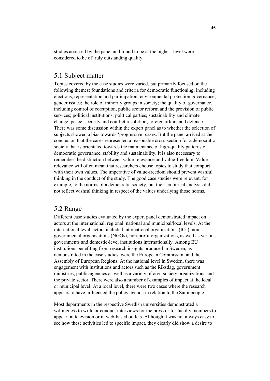studies assessed by the panel and found to be at the highest level were considered to be of truly outstanding quality.

## 5.1 Subject matter

Topics covered by the case studies were varied, but primarily focused on the following themes: foundations and criteria for democratic functioning, including elections, representation and participation; environmental protection governance; gender issues; the role of minority groups in society; the quality of governance, including control of corruption, public sector reform and the provision of public services; political institutions; political parties; sustainability and climate change; peace, security and conflict resolution; foreign affairs and defence. There was some discussion within the expert panel as to whether the selection of subjects showed a bias towards 'progressive' cases. But the panel arrived at the conclusion that the cases represented a reasonable cross-section for a democratic society that is orientated towards the maintenance of high-quality patterns of democratic governance, stability and sustainability. It is also necessary to remember the distinction between value-relevance and value-freedom. Value relevance will often mean that researchers choose topics to study that comport with their own values. The imperative of value-freedom should prevent wishful thinking in the conduct of the study. The good case studies were relevant, for example, to the norms of a democratic society, but their empirical analysis did not reflect wishful thinking in respect of the values underlying those norms.

# 5.2 Range

Different case studies evaluated by the expert panel demonstrated impact on actors at the international, regional, national and municipal/local levels. At the international level, actors included international organizations (IOs), nongovernmental organizations (NGOs), non-profit organizations, as well as various governments and domestic-level institutions internationally. Among EU institutions benefiting from research insights produced in Sweden, as demonstrated in the case studies, were the European Commission and the Assembly of European Regions. At the national level in Sweden, there was engagement with institutions and actors such as the Riksdag, government ministries, public agencies as well as a variety of civil society organizations and the private sector. There were also a number of examples of impact at the local or municipal level. At a local level, there were two cases where the research appears to have influenced the policy agenda in relation to the Sámi people.

Most departments in the respective Swedish universities demonstrated a willingness to write or conduct interviews for the press or for faculty members to appear on television or in web-based outlets. Although it was not always easy to see how these activities led to specific impact, they clearly did show a desire to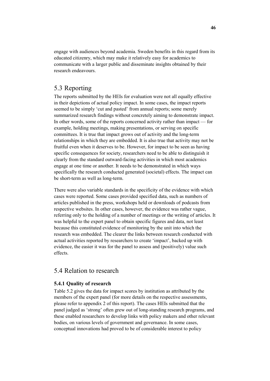engage with audiences beyond academia. Sweden benefits in this regard from its educated citizenry, which may make it relatively easy for academics to communicate with a larger public and disseminate insights obtained by their research endeavours.

# 5.3 Reporting

The reports submitted by the HEIs for evaluation were not all equally effective in their depictions of actual policy impact. In some cases, the impact reports seemed to be simply 'cut and pasted' from annual reports; some merely summarized research findings without concretely aiming to demonstrate impact. In other words, some of the reports concerned activity rather than impact — for example, holding meetings, making presentations, or serving on specific committees. It is true that impact grows out of activity and the long-term relationships in which they are embedded. It is also true that activity may not be fruitful even when it deserves to be. However, for impact to be seen as having specific consequences for society, researchers need to be able to distinguish it clearly from the standard outward-facing activities in which most academics engage at one time or another. It needs to be demonstrated in which ways specifically the research conducted generated (societal) effects. The impact can be short-term as well as long-term.

There were also variable standards in the specificity of the evidence with which cases were reported. Some cases provided specified data, such as numbers of articles published in the press, workshops held or downloads of podcasts from respective websites. In other cases, however, the evidence was rather vague, referring only to the holding of a number of meetings or the writing of articles. It was helpful to the expert panel to obtain specific figures and data, not least because this constituted evidence of monitoring by the unit into which the research was embedded. The clearer the links between research conducted with actual activities reported by researchers to create 'impact', backed up with evidence, the easier it was for the panel to assess and (positively) value such effects.

### 5.4 Relation to research

### **5.4.1 Quality of research**

Table 5.2 gives the data for impact scores by institution as attributed by the members of the expert panel (for more details on the respective assessments, please refer to appendix 2 of this report). The cases HEIs submitted that the panel judged as 'strong' often grew out of long-standing research programs, and these enabled researchers to develop links with policy makers and other relevant bodies, on various levels of government and governance. In some cases, conceptual innovations had proved to be of considerable interest to policy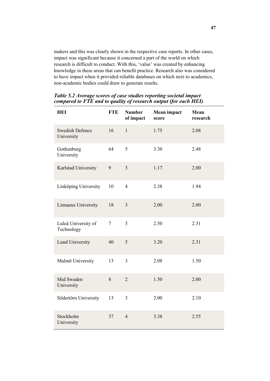makers and this was clearly shown in the respective case reports. In other cases, impact was significant because it concerned a part of the world on which research is difficult to conduct. With this, 'value' was created by enhancing knowledge in these areas that can benefit practice. Research also was considered to have impact when it provided reliable databases on which next to academics, non-academic bodies could draw to generate results.

| <b>HEI</b>                           | <b>FTE</b> | <b>Number</b><br>of impact | Mean impact<br>score | Mean<br>research |
|--------------------------------------|------------|----------------------------|----------------------|------------------|
| <b>Swedish Defence</b><br>University | 16         | $\mathbf{1}$               | 1.75                 | 2.08             |
| Gothenburg<br>University             | 64         | 5                          | 3.30                 | 2.48             |
| Karlstad University                  | 9          | $\overline{3}$             | 1.17                 | 2.00             |
| Linköping University                 | 10         | $\overline{4}$             | 2.38                 | 1.94             |
| Linnaeus University                  | 18         | $\overline{3}$             | 2.00                 | 2.00             |
| Luleå University of<br>Technology    | $\tau$     | $\overline{3}$             | 2.50                 | 2.31             |
| <b>Lund University</b>               | 40         | 5                          | 3.20                 | 2.31             |
| Malmö University                     | 13         | $\overline{3}$             | 2.08                 | 1.50             |
| Mid Sweden<br>University             | 8          | $\overline{2}$             | 1.50                 | 2.00             |
| Södertörn University                 | 13         | $\overline{3}$             | 2.00                 | 2.10             |
| Stockholm<br>University              | 37         | $\overline{4}$             | 3.38                 | 2.55             |

*Table 5.2 Average scores of case studies reporting societal impact compared to FTE and to quality of research output (for each HEI)*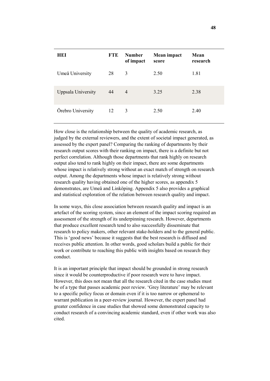| HEI                | <b>FTE</b> | <b>Number</b><br>of impact | Mean impact<br>score | Mean<br>research |
|--------------------|------------|----------------------------|----------------------|------------------|
| Umeå University    | 28         | 3                          | 2.50                 | 1.81             |
| Uppsala University | 44         | $\overline{4}$             | 3.25                 | 2.38             |
| Örebro University  | 12         | 3                          | 2.50                 | 2.40             |

How close is the relationship between the quality of academic research, as judged by the external reviewers, and the extent of societal impact generated, as assessed by the expert panel? Comparing the ranking of departments by their research output scores with their ranking on impact, there is a definite but not perfect correlation. Although those departments that rank highly on research output also tend to rank highly on their impact, there are some departments whose impact is relatively strong without an exact match of strength on research output. Among the departments whose impact is relatively strong without research quality having obtained one of the higher scores, as appendix 5 demonstrates, are Umeå and Linköping. Appendix 5 also provides a graphical and statistical exploration of the relation between research quality and impact.

In some ways, this close association between research quality and impact is an artefact of the scoring system, since an element of the impact scoring required an assessment of the strength of its underpinning research. However, departments that produce excellent research tend to also successfully disseminate that research to policy makers, other relevant stake-holders and to the general public. This is 'good news' because it suggests that the best research is diffused and receives public attention. In other words, good scholars build a public for their work or contribute to reaching this public with insights based on research they conduct.

It is an important principle that impact should be grounded in strong research since it would be counterproductive if poor research were to have impact. However, this does not mean that all the research cited in the case studies must be of a type that passes academic peer review. 'Grey literature' may be relevant to a specific policy focus or domain even if it is too narrow or ephemeral to warrant publication in a peer-review journal. However, the expert panel had greater confidence in case studies that showed some demonstrated capacity to conduct research of a convincing academic standard, even if other work was also cited.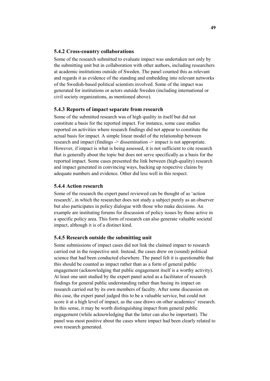#### **5.4.2 Cross-country collaborations**

Some of the research submitted to evaluate impact was undertaken not only by the submitting unit but in collaboration with other authors, including researchers at academic institutions outside of Sweden. The panel counted this as relevant and regards it as evidence of the standing and embedding into relevant networks of the Swedish-based political scientists involved. Some of the impact was generated for institutions or actors outside Sweden (including international or civil society organizations, as mentioned above).

#### **5.4.3 Reports of impact separate from research**

Some of the submitted research was of high quality in itself but did not constitute a basis for the reported impact. For instance, some case studies reported on activities where research findings did not appear to constitute the actual basis for impact. A simple linear model of the relationship between research and impact (findings -> dissemination -> impact is not appropriate. However, if impact is what is being assessed, it is not sufficient to cite research that is generally about the topic but does not serve specifically as a basis for the reported impact. Some cases presented the link between (high-quality) research and impact generated in convincing ways, backing up respective claims by adequate numbers and evidence. Other did less well in this respect.

### **5.4.4 Action research**

Some of the research the expert panel reviewed can be thought of as 'action research', in which the researcher does not study a subject purely as an observer but also participates in policy dialogue with those who make decisions. An example are instituting forums for discussion of policy issues by those active in a specific policy area. This form of research can also generate valuable societal impact, although it is of a distinct kind.

### **5.4.5 Research outside the submitting unit**

Some submissions of impact cases did not link the claimed impact to research carried out in the respective unit. Instead, the cases drew on (sound) political science that had been conducted elsewhere. The panel felt it is questionable that this should be counted as impact rather than as a form of general public engagement (acknowledging that public engagement itself is a worthy activity). At least one unit studied by the expert panel acted as a facilitator of research findings for general public understanding rather than basing its impact on research carried out by its own members of faculty. After some discussion on this case, the expert panel judged this to be a valuable service, but could not score it at a high level of impact, as the case draws on other academics' research. In this sense, it may be worth distinguishing impact from general public engagement (while acknowledging that the latter can also be important). The panel was most positive about the cases where impact had been clearly related to own research generated.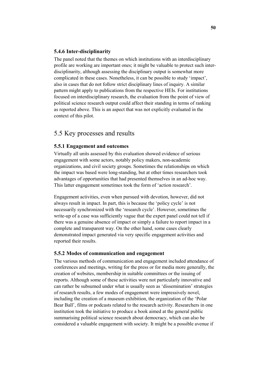### **5.4.6 Inter-disciplinarity**

The panel noted that the themes on which institutions with an interdisciplinary profile are working are important ones; it might be valuable to protect such interdisciplinarity, although assessing the disciplinary output is somewhat more complicated in these cases. Nonetheless, it can be possible to study 'impact', also in cases that do not follow strict disciplinary lines of inquiry. A similar pattern might apply to publications from the respective HEIs. For institutions focused on interdisciplinary research, the evaluation from the point of view of political science research output could affect their standing in terms of ranking as reported above. This is an aspect that was not explicitly evaluated in the context of this pilot.

# 5.5 Key processes and results

### **5.5.1 Engagement and outcomes**

Virtually all units assessed by this evaluation showed evidence of serious engagement with some actors, notably policy makers, non-academic organizations, and civil society groups. Sometimes the relationships on which the impact was based were long-standing, but at other times researchers took advantages of opportunities that had presented themselves in an ad-hoc way. This latter engagement sometimes took the form of 'action research'.

Engagement activities, even when pursued with devotion, however, did not always result in impact. In part, this is because the 'policy cycle' is not necessarily synchronized with the 'research cycle'. However, sometimes the write-up of a case was sufficiently vague that the expert panel could not tell if there was a genuine absence of impact or simply a failure to report impact in a complete and transparent way. On the other hand, some cases clearly demonstrated impact generated via very specific engagement activities and reported their results.

#### **5.5.2 Modes of communication and engagement**

The various methods of communication and engagement included attendance of conferences and meetings, writing for the press or for media more generally, the creation of websites, membership in suitable committees or the issuing of reports. Although some of these activities were not particularly innovative and can rather be subsumed under what is usually seen as 'dissemination' strategies of research results, a few modes of engagement were impressively novel, including the creation of a museum exhibition, the organization of the 'Polar Bear Ball', films or podcasts related to the research activity. Researchers in one institution took the initiative to produce a book aimed at the general public summarising political science research about democracy, which can also be considered a valuable engagement with society. It might be a possible avenue if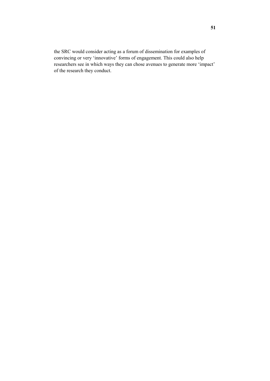the SRC would consider acting as a forum of dissemination for examples of convincing or very 'innovative' forms of engagement. This could also help researchers see in which ways they can chose avenues to generate more 'impact' of the research they conduct.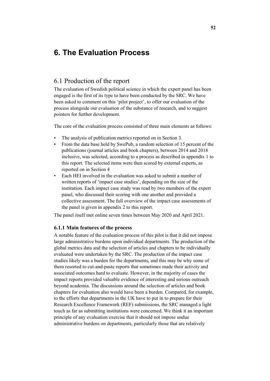# **6. The Evaluation Process**

# 6.1 Production of the report

The evaluation of Swedish political science in which the expert panel has been engaged is the first of its type to have been conducted by the SRC. We have been asked to comment on this 'pilot project', to offer our evaluation of the process alongside our evaluation of the substance of research, and to suggest pointers for further development.

The core of the evaluation process consisted of three main elements as follows:

- The analysis of publication metrics reported on in Section 3.
- From the data base held by SwePub, a random selection of 15 percent of the publications (journal articles and book chapters), between 2014 and 2018 inclusive, was selected, according to a process as described in appendix 1 to this report. The selected items were then scored by external experts, as reported on in Section 4
- Each HEI involved in the evaluation was asked to submit a number of written reports of 'impact case studies', depending on the size of the institution. Each impact case study was read by two members of the expert panel, who discussed their scoring with one another and provided a collective assessment. The full overview of the impact case assessments of the panel is given in appendix 2 to this report.

The panel itself met online seven times between May 2020 and April 2021.

### **6.1.1 Main features of the process**

A notable feature of the evaluation process of this pilot is that it did not impose large administrative burdens upon individual departments. The production of the global metrics data and the selection of articles and chapters to be individually evaluated were undertaken by the SRC. The production of the impact case studies likely was a burden for the departments, and this may be why some of them resorted to cut-and-paste reports that sometimes made their activity and associated outcomes hard to evaluate. However, in the majority of cases the impact reports provided valuable evidence of interesting and serious outreach beyond academia. The discussions around the selection of articles and book chapters for evaluation also would have been a burden. Compared, for example, to the efforts that departments in the UK have to put in to prepare for their Research Excellence Framework (REF) submissions, the SRC managed a light touch as far as submitting institutions were concerned. We think it an important principle of any evaluation exercise that it should not impose undue administrative burdens on departments, particularly those that are relatively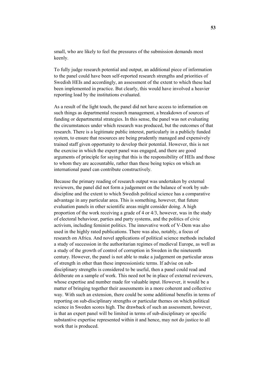small, who are likely to feel the pressures of the submission demands most keenly.

To fully judge research potential and output, an additional piece of information to the panel could have been self-reported research strengths and priorities of Swedish HEIs and accordingly, an assessment of the extent to which these had been implemented in practice. But clearly, this would have involved a heavier reporting load by the institutions evaluated.

As a result of the light touch, the panel did not have access to information on such things as departmental research management, a breakdown of sources of funding or departmental strategies. In this sense, the panel was not evaluating the circumstances under which research was produced, but the outcomes of that research. There is a legitimate public interest, particularly in a publicly funded system, to ensure that resources are being prudently managed and expensively trained staff given opportunity to develop their potential. However, this is not the exercise in which the expert panel was engaged, and there are good arguments of principle for saying that this is the responsibility of HEIs and those to whom they are accountable, rather than these being topics on which an international panel can contribute constructively.

Because the primary reading of research output was undertaken by external reviewers, the panel did not form a judgement on the balance of work by subdiscipline and the extent to which Swedish political science has a comparative advantage in any particular area. This is something, however, that future evaluation panels in other scientific areas might consider doing. A high proportion of the work receiving a grade of 4 or 4/3, however, was in the study of electoral behaviour, parties and party systems, and the politics of civic activism, including feminist politics. The innovative work of V-Dem was also used in the highly rated publications. There was also, notably, a focus of research on Africa. And novel applications of political science methods included a study of succession in the authoritarian regimes of medieval Europe, as well as a study of the growth of control of corruption in Sweden in the nineteenth century. However, the panel is not able to make a judgement on particular areas of strength in other than these impressionistic terms. If advise on subdisciplinary strengths is considered to be useful, then a panel could read and deliberate on a sample of work. This need not be in place of external reviewers, whose expertise and number made for valuable input. However, it would be a matter of bringing together their assessments in a more coherent and collective way. With such an extension, there could be some additional benefits in terms of reporting on sub-disciplinary strengths or particular themes on which political science in Sweden scores high. The drawback of such an assessment, however, is that an expert panel will be limited in terms of sub-disciplinary or specific substantive expertise represented within it and hence, may not do justice to all work that is produced.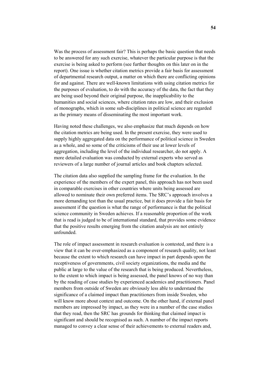Was the process of assessment fair? This is perhaps the basic question that needs to be answered for any such exercise, whatever the particular purpose is that the exercise is being asked to perform (see further thoughts on this later on in the report). One issue is whether citation metrics provide a fair basis for assessment of departmental research output, a matter on which there are conflicting opinions for and against. There are well-known limitations with using citation metrics for the purposes of evaluation, to do with the accuracy of the data, the fact that they are being used beyond their original purpose, the inapplicability to the humanities and social sciences, where citation rates are low, and their exclusion of monographs, which in some sub-disciplines in political science are regarded as the primary means of disseminating the most important work.

Having noted these challenges, we also emphasize that much depends on how the citation metrics are being used. In the present exercise, they were used to supply highly aggregated data on the performance of political science in Sweden as a whole, and so some of the criticisms of their use at lower levels of aggregation, including the level of the individual researcher, do not apply. A more detailed evaluation was conducted by external experts who served as reviewers of a large number of journal articles and book chapters selected.

The citation data also supplied the sampling frame for the evaluation. In the experience of the members of the expert panel, this approach has not been used in comparable exercises in other countries where units being assessed are allowed to nominate their own preferred items. The SRC's approach involves a more demanding test than the usual practice, but it does provide a fair basis for assessment if the question is what the range of performance is that the political science community in Sweden achieves. If a reasonable proportion of the work that is read is judged to be of international standard, that provides some evidence that the positive results emerging from the citation analysis are not entirely unfounded.

The role of impact assessment in research evaluation is contested, and there is a view that it can be over-emphasized as a component of research quality, not least because the extent to which research can have impact in part depends upon the receptiveness of governments, civil society organizations, the media and the public at large to the value of the research that is being produced. Nevertheless, to the extent to which impact is being assessed, the panel knows of no way than by the reading of case studies by experienced academics and practitioners. Panel members from outside of Sweden are obviously less able to understand the significance of a claimed impact than practitioners from inside Sweden, who will know more about context and outcome. On the other hand, if external panel members are impressed by impact, as they were in a number of the case studies that they read, then the SRC has grounds for thinking that claimed impact is significant and should be recognised as such. A number of the impact reports managed to convey a clear sense of their achievements to external readers and,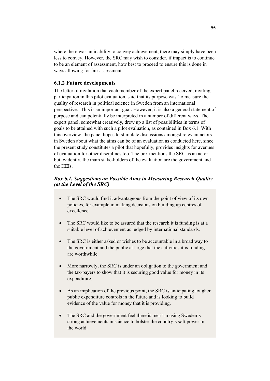where there was an inability to convey achievement, there may simply have been less to convey. However, the SRC may wish to consider, if impact is to continue to be an element of assessment, how best to proceed to ensure this is done in ways allowing for fair assessment.

### **6.1.2 Future developments**

The letter of invitation that each member of the expert panel received, inviting participation in this pilot evaluation, said that its purpose was 'to measure the quality of research in political science in Sweden from an international perspective.' This is an important goal. However, it is also a general statement of purpose and can potentially be interpreted in a number of different ways. The expert panel, somewhat creatively, drew up a list of possibilities in terms of goals to be attained with such a pilot evaluation, as contained in Box 6.1. With this overview, the panel hopes to stimulate discussions amongst relevant actors in Sweden about what the aims can be of an evaluation as conducted here, since the present study constitutes a pilot that hopefully, provides insights for avenues of evaluation for other disciplines too. The box mentions the SRC as an actor, but evidently, the main stake-holders of the evaluation are the government and the HEIs.

### *Box 6.1. Suggestions on Possible Aims in Measuring Research Quality (at the Level of the SRC)*

- The SRC would find it advantageous from the point of view of its own policies, for example in making decisions on building up centres of excellence.
- The SRC would like to be assured that the research it is funding is at a suitable level of achievement as judged by international standards.
- The SRC is either asked or wishes to be accountable in a broad way to the government and the public at large that the activities it is funding are worthwhile.
- More narrowly, the SRC is under an obligation to the government and the tax-payers to show that it is securing good value for money in its expenditure.
- As an implication of the previous point, the SRC is anticipating tougher public expenditure controls in the future and is looking to build evidence of the value for money that it is providing.
- The SRC and the government feel there is merit in using Sweden's strong achievements in science to bolster the country's soft power in the world.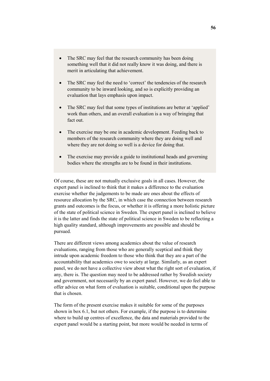- The SRC may feel that the research community has been doing something well that it did not really know it was doing, and there is merit in articulating that achievement.
- The SRC may feel the need to 'correct' the tendencies of the research community to be inward looking, and so is explicitly providing an evaluation that lays emphasis upon impact.
- The SRC may feel that some types of institutions are better at 'applied' work than others, and an overall evaluation is a way of bringing that fact out.
- The exercise may be one in academic development. Feeding back to members of the research community where they are doing well and where they are not doing so well is a device for doing that.
- The exercise may provide a guide to institutional heads and governing bodies where the strengths are to be found in their institutions.

Of course, these are not mutually exclusive goals in all cases. However, the expert panel is inclined to think that it makes a difference to the evaluation exercise whether the judgements to be made are ones about the effects of resource allocation by the SRC, in which case the connection between research grants and outcomes is the focus, or whether it is offering a more holistic picture of the state of political science in Sweden. The expert panel is inclined to believe it is the latter and finds the state of political science in Sweden to be reflecting a high quality standard, although improvements are possible and should be pursued.

There are different views among academics about the value of research evaluations, ranging from those who are generally sceptical and think they intrude upon academic freedom to those who think that they are a part of the accountability that academics owe to society at large. Similarly, as an expert panel, we do not have a collective view about what the right sort of evaluation, if any, there is. The question may need to be addressed rather by Swedish society and government, not necessarily by an expert panel. However, we do feel able to offer advice on what form of evaluation is suitable, conditional upon the purpose that is chosen.

The form of the present exercise makes it suitable for some of the purposes shown in box 6.1, but not others. For example, if the purpose is to determine where to build up centres of excellence, the data and materials provided to the expert panel would be a starting point, but more would be needed in terms of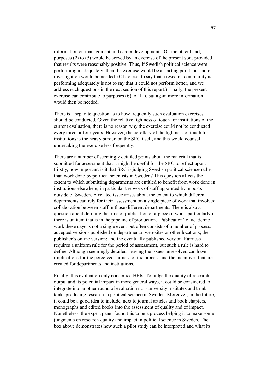information on management and career developments. On the other hand, purposes (2) to (5) would be served by an exercise of the present sort, provided that results were reasonably positive. Thus, if Swedish political science were performing inadequately, then the exercise would be a starting point, but more investigation would be needed. (Of course, to say that a research community is performing adequately is not to say that it could not perform better, and we address such questions in the next section of this report.) Finally, the present exercise can contribute to purposes (6) to (11), but again more information would then be needed.

There is a separate question as to how frequently such evaluation exercises should be conducted. Given the relative lightness of touch for institutions of the current evaluation, there is no reason why the exercise could not be conducted every three or four years. However, the corollary of the lightness of touch for institutions is the heavy burden on the SRC itself, and this would counsel undertaking the exercise less frequently.

There are a number of seemingly detailed points about the material that is submitted for assessment that it might be useful for the SRC to reflect upon. Firstly, how important is it that SRC is judging Swedish political science rather than work done by political scientists in Sweden? This question affects the extent to which submitting departments are entitled to benefit from work done in institutions elsewhere, in particular the work of staff appointed from posts outside of Sweden. A related issue arises about the extent to which different departments can rely for their assessment on a single piece of work that involved collaboration between staff in those different departments. There is also a question about defining the time of publication of a piece of work, particularly if there is an item that is in the pipeline of production. 'Publication' of academic work these days is not a single event but often consists of a number of process: accepted versions published on departmental web-sites or other locations; the publisher's online version; and the eventually published version. Fairness requires a uniform rule for the period of assessment, but such a rule is hard to define. Although seemingly detailed, leaving the issues unresolved can have implications for the perceived fairness of the process and the incentives that are created for departments and institutions.

Finally, this evaluation only concerned HEIs. To judge the quality of research output and its potential impact in more general ways, it could be considered to integrate into another round of evaluation non-university institutes and think tanks producing research in political science in Sweden. Moreover, in the future, it could be a good idea to include, next to journal articles and book chapters, monographs and edited books into the assessment of quality and of impact. Nonetheless, the expert panel found this to be a process helping it to make some judgments on research quality and impact in political science in Sweden. The box above demonstrates how such a pilot study can be interpreted and what its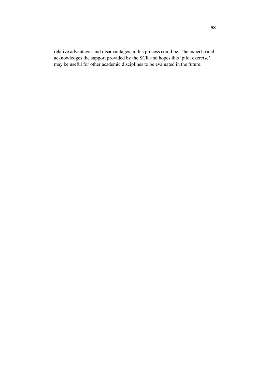relative advantages and disadvantages in this process could be. The expert panel acknowledges the support provided by the SCR and hopes this 'pilot exercise' may be useful for other academic disciplines to be evaluated in the future.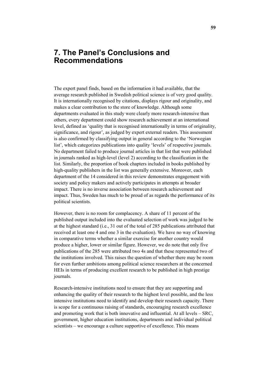# **7. The Panel's Conclusions and Recommendations**

The expert panel finds, based on the information it had available, that the average research published in Swedish political science is of very good quality. It is internationally recognised by citations, displays rigour and originality, and makes a clear contribution to the store of knowledge. Although some departments evaluated in this study were clearly more research-intensive than others, every department could show research achievement at an international level, defined as 'quality that is recognised internationally in terms of originality, significance, and rigour', as judged by expert external readers. This assessment is also confirmed by classifying output in general according to the 'Norwegian list', which categorizes publications into quality 'levels' of respective journals. No department failed to produce journal articles in that list that were published in journals ranked as high-level (level 2) according to the classification in the list. Similarly, the proportion of book chapters included in books published by high-quality publishers in the list was generally extensive. Moreover, each department of the 14 considered in this review demonstrates engagement with society and policy makers and actively participates in attempts at broader impact. There is no inverse association between research achievement and impact. Thus, Sweden has much to be proud of as regards the performance of its political scientists.

However, there is no room for complacency. A share of 11 percent of the published output included into the evaluated selection of work was judged to be at the highest standard (i.e., 31 out of the total of 285 publications attributed that received at least one 4 and one 3 in the evaluation). We have no way of knowing in comparative terms whether a similar exercise for another country would produce a higher, lower or similar figure. However, we do note that only five publications of the 285 were attributed two 4s and that these represented two of the institutions involved. This raises the question of whether there may be room for even further ambitions among political science researchers at the concerned HEIs in terms of producing excellent research to be published in high prestige journals.

Research-intensive institutions need to ensure that they are supporting and enhancing the quality of their research to the highest level possible, and the less intensive institutions need to identify and develop their research capacity. There is scope for a continuous raising of standards, encouraging research excellence and promoting work that is both innovative and influential. At all levels – SRC, government, higher education institutions, departments and individual political scientists – we encourage a culture supportive of excellence. This means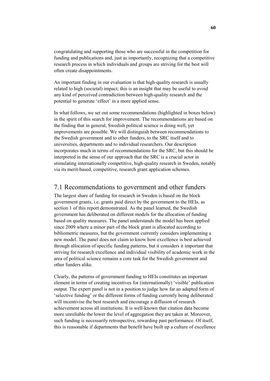congratulating and supporting those who are successful in the competition for funding and publications and, just as importantly, recognizing that a competitive research process in which individuals and groups are striving for the best will often create disappointments.

An important finding in our evaluation is that high-quality research is usually related to high (societal) impact; this is an insight that may be useful to avoid any kind of perceived contradiction between high-quality research and the potential to generate 'effect' in a more applied sense.

In what follows, we set out some recommendations (highlighted in boxes below) in the spirit of this search for improvement. The recommendations are based on the finding that in general, Swedish political science is doing well, yet improvements are possible. We will distinguish between recommendations to the Swedish government and to other funders, to the SRC itself and to universities, departments and to individual researchers. Our description incorporates much in terms of recommendations for the SRC, but this should be interpreted in the sense of our approach that the SRC is a crucial actor in stimulating internationally competitive, high-quality research in Sweden, notably via its merit-based, competitive, research grant application schemes.

# 7.1 Recommendations to government and other funders

The largest share of funding for research in Sweden is based on the block government grants, i.e. grants paid direct by the government to the HEIs, as section 1 of this report demonstrated. As the panel learned, the Swedish government has deliberated on different models for the allocation of funding based on quality measures. The panel understands the model has been applied since 2009 where a minor part of the block grant is allocated according to bibliometric measures, but the government currently considers implementing a new model. The panel does not claim to know how excellence is best achieved through allocation of specific funding patterns, but it considers it important that striving for research excellence and individual visibility of academic work in the area of political science remains a core task for the Swedish government and other funders alike.

Clearly, the patterns of government funding to HEIs constitutes an important element in terms of creating incentives for (internationally) 'visible' publication output. The expert panel is not in a position to judge how far an adapted form of 'selective funding' or the different forms of funding currently being deliberated will incentivise the best research and encourage a diffusion of research achievement across all institutions. It is well-known that citation data become more unreliable the lower the level of aggregation they are taken at. Moreover, such funding is necessarily retrospective, rewarding past performance. Of itself, this is reasonable if departments that benefit have built up a culture of excellence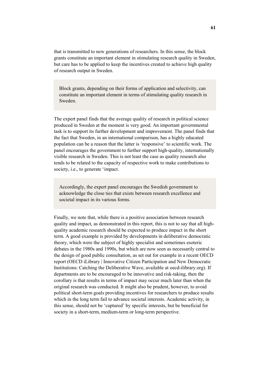that is transmitted to new generations of researchers. In this sense, the block grants constitute an important element in stimulating research quality in Sweden, but care has to be applied to keep the incentives created to achieve high quality of research output in Sweden.

Block grants, depending on their forms of application and selectivity, can constitute an important element in terms of stimulating quality research in Sweden.

The expert panel finds that the average quality of research in political science produced in Sweden at the moment is very good. An important governmental task is to support its further development and improvement. The panel finds that the fact that Sweden, in an international comparison, has a highly educated population can be a reason that the latter is 'responsive' to scientific work. The panel encourages the government to further support high-quality, internationally visible research in Sweden. This is not least the case as quality research also tends to be related to the capacity of respective work to make contributions to society, i.e., to generate 'impact.

Accordingly, the expert panel encourages the Swedish government to acknowledge the close ties that exists between research excellence and societal impact in its various forms.

Finally, we note that, while there is a positive association between research quality and impact, as demonstrated in this report, this is not to say that all highquality academic research should be expected to produce impact in the short term. A good example is provided by developments in deliberative democratic theory, which were the subject of highly specialist and sometimes esoteric debates in the 1980s and 1990s, but which are now seen as necessarily central to the design of good public consultation, as set out for example in a recent OECD report (OECD iLibrary | Innovative Citizen Participation and New Democratic Institutions: Catching the Deliberative Wave, available at oecd-ilibrary.org). If departments are to be encouraged to be innovative and risk-taking, then the corollary is that results in terms of impact may occur much later than when the original research was conducted. It might also be prudent, however, to avoid political short-term goals providing incentives for researchers to produce results which in the long term fail to advance societal interests. Academic activity, in this sense, should not be 'captured' by specific interests, but be beneficial for society in a short-term, medium-term or long-term perspective.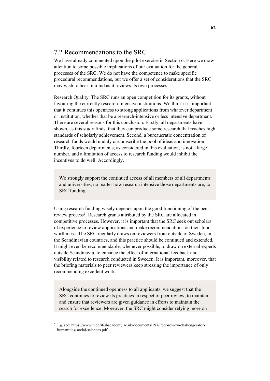# 7.2 Recommendations to the SRC

We have already commented upon the pilot exercise in Section 6. Here we draw attention to some possible implications of our evaluation for the general processes of the SRC. We do not have the competence to make specific procedural recommendations, but we offer a set of considerations that the SRC may wish to bear in mind as it reviews its own processes.

Research Quality: The SRC runs an open competition for its grants, without favouring the currently research-intensive institutions. We think it is important that it continues this openness to strong applications from whatever department or institution, whether that be a research-intensive or less intensive department. There are several reasons for this conclusion. Firstly, all departments have shown, as this study finds, that they can produce some research that reaches high standards of scholarly achievement. Second, a bureaucratic concentration of research funds would unduly circumscribe the pool of ideas and innovation. Thirdly, fourteen departments, as considered in this evaluation, is not a large number, and a limitation of access to research funding would inhibit the incentives to do well. Accordingly.

We strongly support the continued access of all members of all departments and universities, no matter how research intensive those departments are, to SRC funding.

Using research funding wisely depends upon the good functioning of the peer-review process<sup>[3](#page-62-0)</sup>. Research grants attributed by the SRC are allocated in competitive processes. However, it is important that the SRC seek out scholars of experience to review applications and make recommendations on their fundworthiness. The SRC regularly draws on reviewers from outside of Sweden, in the Scandinavian countries, and this practice should be continued and extended. It might even be recommendable, whenever possible, to draw on external experts outside Scandinavia, to enhance the effect of international feedback and visibility related to research conducted in Sweden. It is important, moreover, that the briefing materials to peer reviewers keep stressing the importance of only recommending excellent work.

Alongside the continued openness to all applicants, we suggest that the SRC continues to review its practices in respect of peer review, to maintain and ensure that reviewers are given guidance in efforts to maintain the search for excellence. Moreover, the SRC might consider relying more on

<span id="page-62-0"></span> <sup>3</sup> E.g. see: https://www.thebritishacademy.ac.uk/documents/197/Peer-review-challenges-forhumanities-social-sciences.pdf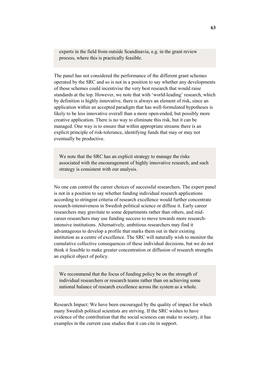experts in the field from outside Scandinavia, e.g. in the grant review process, where this is practically feasible.

The panel has not considered the performance of the different grant schemes operated by the SRC and so is not in a position to say whether any developments of those schemes could incentivise the very best research that would raise standards at the top. However, we note that with 'world-leading' research, which by definition is highly innovative, there is always an element of risk, since an application within an accepted paradigm that has well-formulated hypotheses is likely to be less innovative overall than a more open-ended, but possibly more creative application. There is no way to eliminate this risk, but it can be managed. One way is to ensure that within appropriate streams there is an explicit principle of risk-tolerance, identifying funds that may or may not eventually be productive.

We note that the SRC has an explicit strategy to manage the risks associated with the encouragement of highly innovative research, and such strategy is consistent with our analysis.

No one can control the career choices of successful researchers. The expert panel is not in a position to say whether funding individual research applications according to stringent criteria of research excellence would further concentrate research-intensiveness in Swedish political science or diffuse it. Early career researchers may gravitate to some departments rather than others, and midcareer researchers may use funding success to move towards more researchintensive institutions. Alternatively, ambitious researchers may find it advantageous to develop a profile that marks them out in their existing institution as a centre of excellence. The SRC will naturally wish to monitor the cumulative collective consequences of these individual decisions, but we do not think it feasible to make greater concentration or diffusion of research strengths an explicit object of policy.

We recommend that the focus of funding policy be on the strength of individual researchers or research teams rather than on achieving some national balance of research excellence across the system as a whole.

Research Impact: We have been encouraged by the quality of impact for which many Swedish political scientists are striving. If the SRC wishes to have evidence of the contribution that the social sciences can make to society, it has examples in the current case studies that it can cite in support.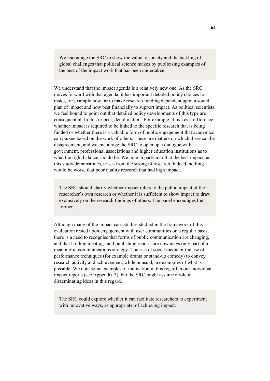We encourage the SRC to show the value to society and the tackling of global challenges that political science makes by publicising examples of the best of the impact work that has been undertaken.

We understand that the impact agenda is a relatively new one. As the SRC moves forward with that agenda, it has important detailed policy choices to make, for example how far to make research funding dependent upon a sound plan of impact and how best financially to support impact. As political scientists, we feel bound to point out that detailed policy developments of this type are consequential. In this respect, detail matters. For example, it makes a difference whether impact is required to be linked to the specific research that is being funded or whether there is a valuable form of public engagement that academics can pursue based on the work of others. These are matters on which there can be disagreement, and we encourage the SRC to open up a dialogue with government, professional associations and higher education institutions as to what the right balance should be. We note in particular that the best impact, as this study demonstrates, arises from the strongest research. Indeed, nothing would be worse that poor quality research that had high impact.

The SRC should clarify whether impact refers to the public impact of the researcher's own research or whether it is sufficient to show impact to draw exclusively on the research findings of others. The panel encourages the former.

Although many of the impact case studies studied in the framework of this evaluation rested upon engagement with user communities on a regular basis, there is a need to recognise that forms of public communication are changing, and that holding meetings and publishing reports are nowadays only part of a meaningful communications strategy. The rise of social media or the use of performance techniques (for example drama or stand-up comedy) to convey research activity and achievement, while unusual, are examples of what is possible. We note some examples of innovation in this regard in our individual impact reports (see Appendix 3), but the SRC might assume a role in disseminating ideas in this regard.

The SRC could explore whether it can facilitate researchers to experiment with innovative ways, as appropriate, of achieving impact.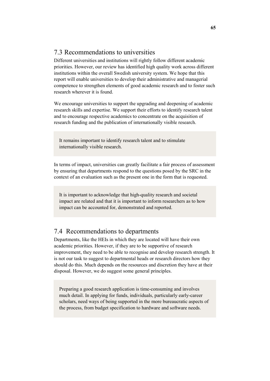# 7.3 Recommendations to universities

Different universities and institutions will rightly follow different academic priorities. However, our review has identified high quality work across different institutions within the overall Swedish university system. We hope that this report will enable universities to develop their administrative and managerial competence to strengthen elements of good academic research and to foster such research wherever it is found.

We encourage universities to support the upgrading and deepening of academic research skills and expertise. We support their efforts to identify research talent and to encourage respective academics to concentrate on the acquisition of research funding and the publication of internationally visible research.

It remains important to identify research talent and to stimulate internationally visible research.

In terms of impact, universities can greatly facilitate a fair process of assessment by ensuring that departments respond to the questions posed by the SRC in the context of an evaluation such as the present one in the form that is requested.

It is important to acknowledge that high-quality research and societal impact are related and that it is important to inform researchers as to how impact can be accounted for, demonstrated and reported.

# 7.4 Recommendations to departments

Departments, like the HEIs in which they are located will have their own academic priorities. However, if they are to be supportive of research improvement, they need to be able to recognise and develop research strength. It is not our task to suggest to departmental heads or research directors how they should do this. Much depends on the resources and discretion they have at their disposal. However, we do suggest some general principles.

Preparing a good research application is time-consuming and involves much detail. In applying for funds, individuals, particularly early-career scholars, need ways of being supported in the more bureaucratic aspects of the process, from budget specification to hardware and software needs.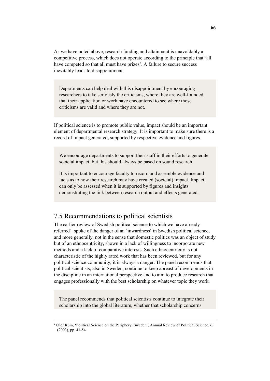As we have noted above, research funding and attainment is unavoidably a competitive process, which does not operate according to the principle that 'all have competed so that all must have prizes'. A failure to secure success inevitably leads to disappointment.

Departments can help deal with this disappointment by encouraging researchers to take seriously the criticisms, where they are well-founded, that their application or work have encountered to see where those criticisms are valid and where they are not.

If political science is to promote public value, impact should be an important element of departmental research strategy. It is important to make sure there is a record of impact generated, supported by respective evidence and figures.

We encourage departments to support their staff in their efforts to generate societal impact, but this should always be based on sound research.

It is important to encourage faculty to record and assemble evidence and facts as to how their research may have created (societal) impact. Impact can only be assessed when it is supported by figures and insights demonstrating the link between research output and effects generated.

# 7.5 Recommendations to political scientists

The earlier review of Swedish political science to which we have already referred<sup>[4](#page-66-0)</sup> spoke of the danger of an 'inwardness' in Swedish political science, and more generally, not in the sense that domestic politics was an object of study but of an ethnocentricity, shown in a lack of willingness to incorporate new methods and a lack of comparative interests. Such ethnocentricity is not characteristic of the highly rated work that has been reviewed, but for any political science community; it is always a danger. The panel recommends that political scientists, also in Sweden, continue to keep abreast of developments in the discipline in an international perspective and to aim to produce research that engages professionally with the best scholarship on whatever topic they work.

The panel recommends that political scientists continue to integrate their scholarship into the global literature, whether that scholarship concerns

<span id="page-66-0"></span> <sup>4</sup> Olof Ruin, 'Political Science on the Periphery: Sweden', Annual Review of Political Science, 6, (2003), pp. 41-54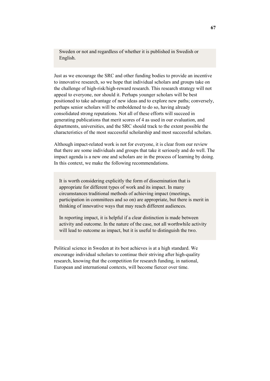Sweden or not and regardless of whether it is published in Swedish or English.

Just as we encourage the SRC and other funding bodies to provide an incentive to innovative research, so we hope that individual scholars and groups take on the challenge of high-risk/high-reward research. This research strategy will not appeal to everyone, nor should it. Perhaps younger scholars will be best positioned to take advantage of new ideas and to explore new paths; conversely, perhaps senior scholars will be emboldened to do so, having already consolidated strong reputations. Not all of these efforts will succeed in generating publications that merit scores of 4 as used in our evaluation, and departments, universities, and the SRC should track to the extent possible the characteristics of the most successful scholarship and most successful scholars.

Although impact-related work is not for everyone, it is clear from our review that there are some individuals and groups that take it seriously and do well. The impact agenda is a new one and scholars are in the process of learning by doing. In this context, we make the following recommendations.

It is worth considering explicitly the form of dissemination that is appropriate for different types of work and its impact. In many circumstances traditional methods of achieving impact (meetings, participation in committees and so on) are appropriate, but there is merit in thinking of innovative ways that may reach different audiences.

In reporting impact, it is helpful if a clear distinction is made between activity and outcome. In the nature of the case, not all worthwhile activity will lead to outcome as impact, but it is useful to distinguish the two.

Political science in Sweden at its best achieves is at a high standard. We encourage individual scholars to continue their striving after high-quality research, knowing that the competition for research funding, in national, European and international contexts, will become fiercer over time.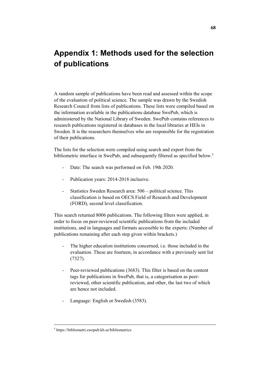# **Appendix 1: Methods used for the selection of publications**

A random sample of publications have been read and assessed within the scope of the evaluation of political science. The sample was drawn by the Swedish Research Council from lists of publications. These lists were compiled based on the information available in the publications database SwePub, which is administered by the National Library of Sweden. SwePub contains references to research publications registered in databases in the local libraries at HEIs in Sweden. It is the researchers themselves who are responsible for the registration of their publications.

The lists for the selection were compiled using search and export from the bibliometric interface in SwePub, and subsequently filtered as specified below.<sup>[5](#page-68-0)</sup>

- Date: The search was performed on Feb. 19th 2020.
- Publication years: 2014-2018 inclusive.
- Statistics Sweden Research area: 506 political science. This classification is based on OECS Field of Research and Development (FORD), second level classification.

This search returned 8006 publications. The following filters were applied, in order to focus on peer-reviewed scientific publications from the included institutions, and in languages and formats accessible to the experts: (Number of publications remaining after each step given within brackets.)

- The higher education institutions concerned, i.e. those included in the evaluation. These are fourteen, in accordance with a previously sent list (7327).
- Peer-reviewed publications (3683). This filter is based on the content tags for publications in SwePub, that is, a categorisation as peerreviewed, other scientific publication, and other, the last two of which are hence not included.
- Language: English or Swedish (3583).

<span id="page-68-0"></span> $5$  https://bibliometri.swepub.kb.se/bibliometrics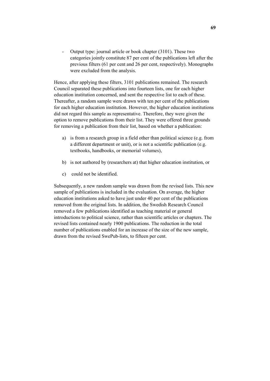- Output type: journal article or book chapter (3101). These two categories jointly constitute 87 per cent of the publications left after the previous filters (61 per cent and 26 per cent, respectively). Monographs were excluded from the analysis.

Hence, after applying these filters, 3101 publications remained. The research Council separated these publications into fourteen lists, one for each higher education institution concerned, and sent the respective list to each of these. Thereafter, a random sample were drawn with ten per cent of the publications for each higher education institution. However, the higher education institutions did not regard this sample as representative. Therefore, they were given the option to remove publications from their list. They were offered three grounds for removing a publication from their list, based on whether a publication:

- a) is from a research group in a field other than political science (e.g. from a different department or unit), or is not a scientific publication (e.g. textbooks, handbooks, or memorial volumes),
- b) is not authored by (researchers at) that higher education institution, or
- c) could not be identified.

Subsequently, a new random sample was drawn from the revised lists. This new sample of publications is included in the evaluation. On average, the higher education institutions asked to have just under 40 per cent of the publications removed from the original lists. In addition, the Swedish Research Council removed a few publications identified as teaching material or general introductions to political science, rather than scientific articles or chapters. The revised lists contained nearly 1900 publications. The reduction in the total number of publications enabled for an increase of the size of the new sample, drawn from the revised SwePub-lists, to fifteen per cent.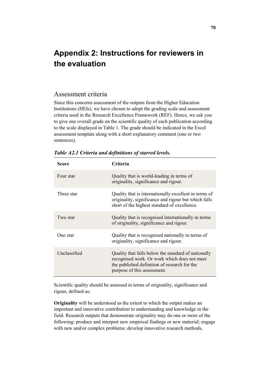# **Appendix 2: Instructions for reviewers in the evaluation**

### Assessment criteria

Since this concerns assessment of the outputs from the Higher Education Institutions (HEIs), we have chosen to adopt the grading scale and assessment criteria used in the Research Excellence Framework (REF). Hence, we ask you to give one overall grade on the scientific quality of each publication according to the scale displayed in Table 1. The grade should be indicated in the Excel assessment template along with a short explanatory comment (one or two sentences).

| Score        | Criteria                                                                                                                                                                           |
|--------------|------------------------------------------------------------------------------------------------------------------------------------------------------------------------------------|
| Four star    | Quality that is world-leading in terms of<br>originality, significance and rigour.                                                                                                 |
| Three star   | Quality that is internationally excellent in terms of<br>originality, significance and rigour but which falls<br>short of the highest standard of excellence.                      |
| Two star     | Quality that is recognised internationally in terms<br>of originality, significance and rigour.                                                                                    |
| One star     | Quality that is recognised nationally in terms of<br>originality, significance and rigour.                                                                                         |
| Unclassified | Quality that falls below the standard of nationally<br>recognised work. Or work which does not meet<br>the published definition of research for the<br>purpose of this assessment. |

*Table A2.1 Criteria and definitions of starred levels.*

Scientific quality should be assessed in terms of originality, significance and rigour, defined as:

**Originality** will be understood as the extent to which the output makes an important and innovative contribution to understanding and knowledge in the field. Research outputs that demonstrate originality may do one or more of the following: produce and interpret new empirical findings or new material; engage with new and/or complex problems; develop innovative research methods,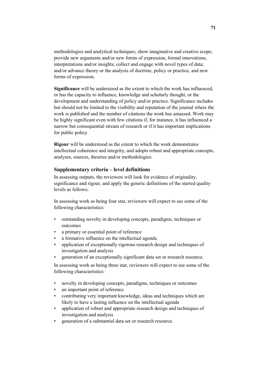methodologies and analytical techniques; show imaginative and creative scope; provide new arguments and/or new forms of expression, formal innovations, interpretations and/or insights; collect and engage with novel types of data; and/or advance theory or the analysis of doctrine, policy or practice, and new forms of expression.

**Significance** will be understood as the extent to which the work has influenced, or has the capacity to influence, knowledge and scholarly thought, or the development and understanding of policy and/or practice. Significance includes but should not be limited to the visibility and reputation of the journal where the work is published and the number of citations the work has amassed. Work may be highly significant even with few citations if, for instance, it has influenced a narrow but consequential stream of research or if it has important implications for public policy.

**Rigour** will be understood as the extent to which the work demonstrates intellectual coherence and integrity, and adopts robust and appropriate concepts, analyses, sources, theories and/or methodologies.

### **Supplementary criteria – level definitions**

In assessing outputs, the reviewers will look for evidence of originality, significance and rigour, and apply the generic definitions of the starred quality levels as follows:

In assessing work as being four star, reviewers will expect to see some of the following characteristics:

- outstanding novelty in developing concepts, paradigms, techniques or outcomes
- a primary or essential point of reference
- a formative influence on the intellectual agenda
- application of exceptionally rigorous research design and techniques of investigation and analysis
- generation of an exceptionally significant data set or research resource.

In assessing work as being three star, reviewers will expect to see some of the following characteristics:

- novelty in developing concepts, paradigms, techniques or outcomes
- an important point of reference
- contributing very important knowledge, ideas and techniques which are likely to have a lasting influence on the intellectual agenda
- application of robust and appropriate research design and techniques of investigation and analysis
- generation of a substantial data set or research resource.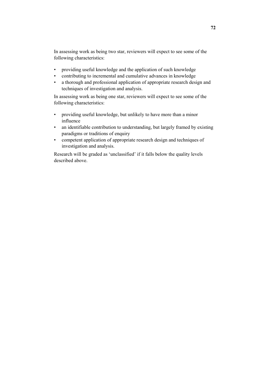In assessing work as being two star, reviewers will expect to see some of the following characteristics:

- providing useful knowledge and the application of such knowledge
- contributing to incremental and cumulative advances in knowledge
- a thorough and professional application of appropriate research design and techniques of investigation and analysis.

In assessing work as being one star, reviewers will expect to see some of the following characteristics:

- providing useful knowledge, but unlikely to have more than a minor influence
- an identifiable contribution to understanding, but largely framed by existing paradigms or traditions of enquiry
- competent application of appropriate research design and techniques of investigation and analysis.

Research will be graded as 'unclassified' if it falls below the quality levels described above.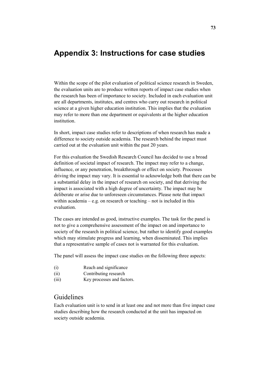# **Appendix 3: Instructions for case studies**

Within the scope of the pilot evaluation of political science research in Sweden, the evaluation units are to produce written reports of impact case studies when the research has been of importance to society. Included in each evaluation unit are all departments, institutes, and centres who carry out research in political science at a given higher education institution. This implies that the evaluation may refer to more than one department or equivalents at the higher education institution.

In short, impact case studies refer to descriptions of when research has made a difference to society outside academia. The research behind the impact must carried out at the evaluation unit within the past 20 years.

For this evaluation the Swedish Research Council has decided to use a broad definition of societal impact of research. The impact may refer to a change, influence, or any penetration, breakthrough or effect on society. Processes driving the impact may vary. It is essential to acknowledge both that there can be a substantial delay in the impact of research on society, and that deriving the impact is associated with a high degree of uncertainty. The impact may be deliberate or arise due to unforeseen circumstances. Please note that impact within academia – e.g. on research or teaching – not is included in this evaluation.

The cases are intended as good, instructive examples. The task for the panel is not to give a comprehensive assessment of the impact on and importance to society of the research in political science, but rather to identify good examples which may stimulate progress and learning, when disseminated. This implies that a representative sample of cases not is warranted for this evaluation.

The panel will assess the impact case studies on the following three aspects:

- (i) Reach and significance
- (ii) Contributing research
- (iii) Key processes and factors.

## Guidelines

Each evaluation unit is to send in at least one and not more than five impact case studies describing how the research conducted at the unit has impacted on society outside academia.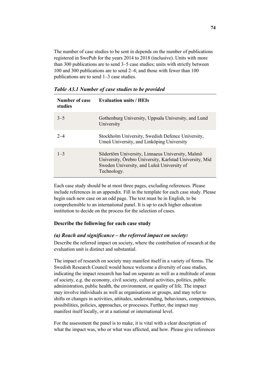The number of case studies to be sent in depends on the number of publications registered in SwePub for the years 2014 to 2018 (inclusive). Units with more than 300 publications are to send 3–5 case studies; units with strictly between 100 and 300 publications are to send 2–4; and those with fewer than 100 publications are to send 1–3 case studies.

| Number of case<br>studies | <b>Evaluation units / HEIs</b>                                                                                                                                           |
|---------------------------|--------------------------------------------------------------------------------------------------------------------------------------------------------------------------|
| $3 - 5$                   | Gothenburg University, Uppsala University, and Lund<br>University                                                                                                        |
| $2 - 4$                   | Stockholm University, Swedish Defence University,<br>Umeå University, and Linköping University                                                                           |
| $1 - 3$                   | Södertörn University, Linnaeus University, Malmö<br>University, Örebro University, Karlstad University, Mid<br>Sweden University, and Luleå University of<br>Technology. |

*Table A3.1 Number of case studies to be provided* 

Each case study should be at most three pages, excluding references. Please include references in an appendix. Fill in the template for each case study. Please begin each new case on an odd page. The text must be in English, to be comprehensible to an international panel. It is up to each higher education institution to decide on the process for the selection of cases.

#### **Describe the following for each case study**

#### *(a) Reach and significance – the referred impact on society:*

Describe the referred impact on society, where the contribution of research at the evaluation unit is distinct and substantial.

The impact of research on society may manifest itself in a variety of forms. The Swedish Research Council would hence welcome a diversity of case studies, indicating the impact research has had on separate as well as a multitude of areas of society, e.g. the economy, civil society, cultural activities, politics, public administration, public health, the environment, or quality of life. The impact may involve individuals as well as organisations or groups, and may refer to shifts or changes in activities, attitudes, understanding, behaviours, competences, possibilities, policies, approaches, or processes. Further, the impact may manifest itself locally, or at a national or international level.

For the assessment the panel is to make, it is vital with a clear description of what the impact was, who or what was affected, and how. Please give references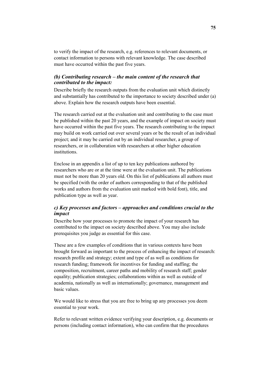to verify the impact of the research, e.g. references to relevant documents, or contact information to persons with relevant knowledge. The case described must have occurred within the past five years.

#### *(b) Contributing research – the main content of the research that contributed to the impact:*

Describe briefly the research outputs from the evaluation unit which distinctly and substantially has contributed to the importance to society described under (a) above. Explain how the research outputs have been essential.

The research carried out at the evaluation unit and contributing to the case must be published within the past 20 years, and the example of impact on society must have occurred within the past five years. The research contributing to the impact may build on work carried out over several years or be the result of an individual project; and it may be carried out by an individual researcher, a group of researchers, or in collaboration with researchers at other higher education institutions.

Enclose in an appendix a list of up to ten key publications authored by researchers who are or at the time were at the evaluation unit. The publications must not be more than 20 years old. On this list of publications all authors must be specified (with the order of authors corresponding to that of the published works and authors from the evaluation unit marked with bold font), title, and publication type as well as year.

#### *c) Key processes and factors – approaches and conditions crucial to the impact*

Describe how your processes to promote the impact of your research has contributed to the impact on society described above. You may also include prerequisites you judge as essential for this case.

These are a few examples of conditions that in various contexts have been brought forward as important to the process of enhancing the impact of research: research profile and strategy; extent and type of as well as conditions for research funding; framework for incentives for funding and staffing; the composition, recruitment, career paths and mobility of research staff; gender equality; publication strategies; collaborations within as well as outside of academia, nationally as well as internationally; governance, management and basic values.

We would like to stress that you are free to bring up any processes you deem essential to your work.

Refer to relevant written evidence verifying your description, e.g. documents or persons (including contact information), who can confirm that the procedures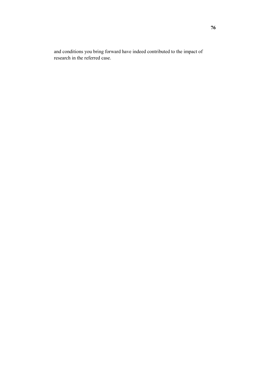and conditions you bring forward have indeed contributed to the impact of research in the referred case.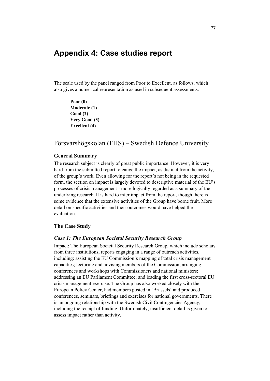# **Appendix 4: Case studies report**

The scale used by the panel ranged from Poor to Excellent, as follows, which also gives a numerical representation as used in subsequent assessments:

> **Poor (0) Moderate (1) Good (2) Very Good (3) Excellent (4)**

### Försvarshögskolan (FHS) – Swedish Defence University

#### **General Summary**

The research subject is clearly of great public importance. However, it is very hard from the submitted report to gauge the impact, as distinct from the activity, of the group's work. Even allowing for the report's not being in the requested form, the section on impact is largely devoted to descriptive material of the EU's processes of crisis management - more logically regarded as a summary of the underlying research. It is hard to infer impact from the report, though there is some evidence that the extensive activities of the Group have borne fruit. More detail on specific activities and their outcomes would have helped the evaluation.

#### **The Case Study**

#### *Case 1: The European Societal Security Research Group*

Impact: The European Societal Security Research Group, which include scholars from three institutions, reports engaging in a range of outreach activities, including: assisting the EU Commission's mapping of total crisis management capacities; lecturing and advising members of the Commission; arranging conferences and workshops with Commissioners and national ministers; addressing an EU Parliament Committee; and leading the first cross-sectoral EU crisis management exercise. The Group has also worked closely with the European Policy Center, had members posted in 'Brussels' and produced conferences, seminars, briefings and exercises for national governments. There is an ongoing relationship with the Swedish Civil Contingencies Agency, including the receipt of funding. Unfortunately, insufficient detail is given to assess impact rather than activity.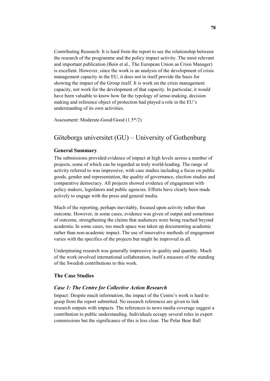Contributing Research: It is hard from the report to see the relationship between the research of the programme and the policy impact activity. The most relevant and important publication (Boin et al., The European Union as Crisis Manager) is excellent. However, since the work is an analysis of the development of crisis management capacity in the EU, it does not in itself provide the basis for showing the impact of the Group itself. It is work on the crisis management capacity, not work for the development of that capacity. In particular, it would have been valuable to know how far the typology of sense-making, decision making and reference object of protection had played a role in the EU's understanding of its own activities.

Assessment: Moderate-Good/Good (1.5\*/2)

# Göteborgs universitet (GU) – University of Gothenburg

#### **General Summary**

The submissions provided evidence of impact at high levels across a number of projects, some of which can be regarded as truly world-leading. The range of activity referred to was impressive, with case studies including a focus on public goods, gender and representation, the quality of governance, election studies and comparative democracy. All projects showed evidence of engagement with policy makers, legislators and public agencies. Efforts have clearly been made actively to engage with the press and general media.

Much of the reporting, perhaps inevitably, focused upon activity rather than outcome. However, in some cases, evidence was given of output and sometimes of outcome, strengthening the claims that audiences were being reached beyond academia. In some cases, too much space was taken up documenting academic rather than non-academic impact. The use of innovative methods of engagement varies with the specifics of the projects but might be improved in all.

Underpinning research was generally impressive in quality and quantity. Much of the work involved international collaboration, itself a measure of the standing of the Swedish contributions to this work.

#### **The Case Studies**

#### *Case 1: The Centre for Collective Action Research*

Impact: Despite much information, the impact of the Centre's work is hard to grasp from the report submitted. No research references are given to link research outputs with impacts. The references to news media coverage suggest a contribution to public understanding. Individuals occupy several roles in expert commissions but the significance of this is less clear. The Polar Bear Ball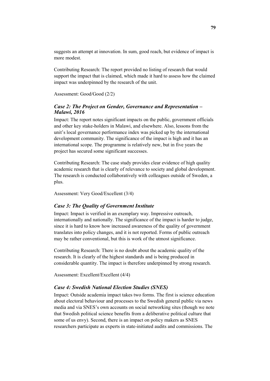suggests an attempt at innovation. In sum, good reach, but evidence of impact is more modest.

Contributing Research: The report provided no listing of research that would support the impact that is claimed, which made it hard to assess how the claimed impact was underpinned by the research of the unit.

Assessment: Good/Good (2/2)

#### *Case 2: The Project on Gender, Governance and Representation – Malawi, 2016*

Impact: The report notes significant impacts on the public, government officials and other key stake-holders in Malawi, and elsewhere. Also, lessons from the unit's local governance performance index was picked up by the international development community. The significance of the impact is high and it has an international scope. The programme is relatively new, but in five years the project has secured some significant successes.

Contributing Research: The case study provides clear evidence of high quality academic research that is clearly of relevance to society and global development. The research is conducted collaboratively with colleagues outside of Sweden, a plus.

Assessment: Very Good/Excellent (3/4)

#### *Case 3: The Quality of Government Institute*

Impact: Impact is verified in an exemplary way. Impressive outreach, internationally and nationally. The significance of the impact is harder to judge, since it is hard to know how increased awareness of the quality of government translates into policy changes, and it is not reported. Forms of public outreach may be rather conventional, but this is work of the utmost significance.

Contributing Research: There is no doubt about the academic quality of the research. It is clearly of the highest standards and is being produced in considerable quantity. The impact is therefore underpinned by strong research.

Assessment: Excellent/Excellent (4/4)

#### *Case 4: Swedish National Election Studies (SNES)*

Impact: Outside academia impact takes two forms. The first is science education about electoral behaviour and processes to the Swedish general public via news media and via SNES's own accounts on social networking sites (though we note that Swedish political science benefits from a deliberative political culture that some of us envy). Second, there is an impact on policy makers as SNES researchers participate as experts in state-initiated audits and commissions. The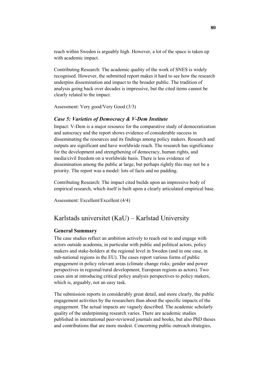reach within Sweden is arguably high. However, a lot of the space is taken up with academic impact.

Contributing Research: The academic quality of the work of SNES is widely recognised. However, the submitted report makes it hard to see how the research underpins dissemination and impact to the broader public. The tradition of analysis going back over decades is impressive, but the cited items cannot be clearly related to the impact.

Assessment: Very good/Very Good (3/3)

#### *Case 5: Varieties of Democracy & V-Dem Institute*

Impact: V-Dem is a major resource for the comparative study of democratization and autocracy and the report shows evidence of considerable success in disseminating the resources and its findings among policy makers. Research and outputs are significant and have worldwide reach. The research has significance for the development and strengthening of democracy, human rights, and media/civil freedom on a worldwide basis. There is less evidence of dissemination among the public at large, but perhaps rightly this may not be a priority. The report was a model: lots of facts and no padding.

Contributing Research: The impact cited builds upon an impressive body of empirical research, which itself is built upon a clearly articulated empirical base.

Assessment: Excellent/Excellent (4/4)

# Karlstads universitet (KaU) – Karlstad University

#### **General Summary**

The case studies reflect an ambition actively to reach out to and engage with actors outside academia, in particular with public and political actors, policy makers and stake-holders at the regional level in Sweden (and in one case, in sub-national regions in the EU). The cases report various forms of public engagement in policy relevant areas (climate change risks; gender and power perspectives in regional/rural development; European regions as actors). Two cases aim at introducing critical policy analysis perspectives to policy makers, which is, arguably, not an easy task.

The submission reports in considerably great detail, and more clearly, the public engagement activities by the researchers than about the specific impacts of the engagement. The actual impacts are vaguely described. The academic scholarly quality of the underpinning research varies. There are academic studies published in international peer-reviewed journals and books, but also PhD theses and contributions that are more modest. Concerning public outreach strategies,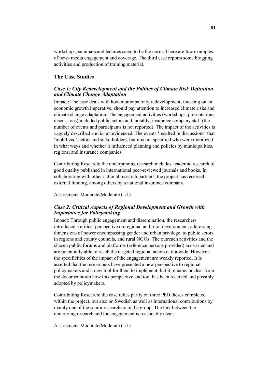workshops, seminars and lectures seem to be the norm. There are few examples of news media engagement and coverage. The third case reports some blogging activities and production of training material.

#### **The Case Studies**

#### *Case 1: City Redevelopment and the Politics of Climate Risk Definition and Climate Change Adaptation*

Impact: The case deals with how municipal/city redevelopment, focusing on an economic growth imperative, should pay attention to increased climate risks and climate change adaptation. The engagement activities (workshops, presentations, discussions) included public actors and, notably, insurance company staff (the number of events and participants is not reported). The impact of the activities is vaguely described and is not evidenced. The events 'resulted in discussions' that 'mobilized' actors and stake-holders, but it is not specified who were mobilized in what ways and whether it influenced planning and policies by municipalities, regions, and insurance companies.

Contributing Research: the underpinning research includes academic research of good quality published in international peer-reviewed journals and books. In collaborating with other national research partners, the project has received external funding, among others by a national insurance company.

Assessment: Moderate/Moderate (1/1)

#### *Case 2: Critical Aspects of Regional Development and Growth with Importance for Policymaking*

Impact: Through public engagement and dissemination, the researchers introduced a critical perspective on regional and rural development, addressing dimensions of power encompassing gender and urban privilege, to public actors in regions and county councils, and rural NGOs. The outreach activities and the chosen public forums and platforms (reference persons provided) are varied and are potentially able to reach the targeted regional actors nationwide. However, the specificities of the impact of the engagement are weakly reported. It is asserted that the researchers have presented a new perspective to regional policymakers and a new tool for them to implement, but it remains unclear from the documentation how this perspective and tool has been received and possibly adopted by policymakers.

Contributing Research: the case relies partly on three PhD theses completed within the project, but also on Swedish as well as international contributions by mainly one of the senior researchers in the group. The link between the underlying research and the engagement is reasonably clear.

Assessment: Moderate/Moderate (1/1)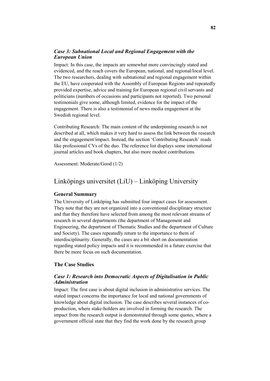#### *Case 3: Subnational Local and Regional Engagement with the European Union*

Impact: In this case, the impacts are somewhat more convincingly stated and evidenced, and the reach covers the European, national, and regional/local level. The two researchers, dealing with subnational and regional engagement within the EU, have cooperated with the Assembly of European Regions and repeatedly provided expertise, advice and training for European regional civil servants and politicians (numbers of occasions and participants not reported). Two personal testimonials give some, although limited, evidence for the impact of the engagement. There is also a testimonial of news media engagement at the Swedish regional level.

Contributing Research: The main content of the underpinning research is not described at all, which makes it very hard to assess the link between the research and the engagement/impact. Instead, the section 'Contributing Research' reads like professional CVs of the duo. The reference list displays some international journal articles and book chapters, but also more modest contributions.

Assessment: Moderate/Good (1/2)

# Linköpings universitet (LiU) – Linköping University

#### **General Summary**

The University of Linköping has submitted four impact cases for assessment. They note that they are not organized into a conventional disciplinary structure and that they therefore have selected from among the most relevant streams of research in several departments (the department of Management and Engineering, the department of Thematic Studies and the department of Culture and Society). The cases repeatedly return to the importance to them of interdisciplinarity. Generally, the cases are a bit short on documentation regarding stated policy impacts and it is recommended in a future exercise that there be more focus on such documentation.

### **The Case Studies**

#### *Case 1: Research into Democratic Aspects of Digitalisation in Public Administration*

Impact: The first case is about digital inclusion in administrative services. The stated impact concerns the importance for local and national governments of knowledge about digital inclusion. The case describes several instances of coproduction, where stake-holders are involved in forming the research. The impact from the research output is demonstrated through some quotes, where a government official state that they find the work done by the research group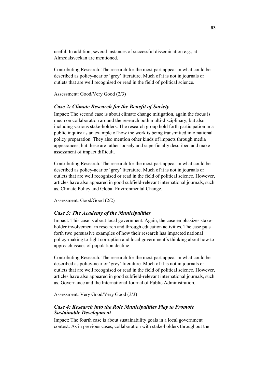useful. In addition, several instances of successful dissemination e.g., at Almedalsveckan are mentioned.

Contributing Research: The research for the most part appear in what could be described as policy-near or 'grey' literature. Much of it is not in journals or outlets that are well recognised or read in the field of political science.

Assessment: Good/Very Good (2/3)

#### *Case 2: Climate Research for the Benefit of Society*

Impact: The second case is about climate change mitigation, again the focus is much on collaboration around the research both multi-disciplinary, but also including various stake-holders. The research group hold forth participation in a public inquiry as an example of how the work is being transmitted into national policy preparation. They also mention other kinds of impacts through media appearances, but these are rather loosely and superficially described and make assessment of impact difficult.

Contributing Research: The research for the most part appear in what could be described as policy-near or 'grey' literature. Much of it is not in journals or outlets that are well recognised or read in the field of political science. However, articles have also appeared in good subfield-relevant international journals, such as, Climate Policy and Global Environmental Change.

Assessment: Good/Good (2/2)

#### *Case 3: The Academy of the Municipalities*

Impact: This case is about local government. Again, the case emphasizes stakeholder involvement in research and through education activities. The case puts forth two persuasive examples of how their research has impacted national policy-making to fight corruption and local government´s thinking about how to approach issues of population decline.

Contributing Research: The research for the most part appear in what could be described as policy-near or 'grey' literature. Much of it is not in journals or outlets that are well recognised or read in the field of political science. However, articles have also appeared in good subfield-relevant international journals, such as, Governance and the International Journal of Public Administration.

Assessment: Very Good/Very Good (3/3)

#### *Case 4: Research into the Role Municipalities Play to Promote Sustainable Development*

Impact: The fourth case is about sustainability goals in a local government context. As in previous cases, collaboration with stake-holders throughout the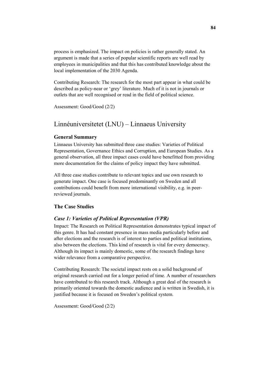process is emphasized. The impact on policies is rather generally stated. An argument is made that a series of popular scientific reports are well read by employees in municipalities and that this has contributed knowledge about the local implementation of the 2030 Agenda.

Contributing Research: The research for the most part appear in what could be described as policy-near or 'grey' literature. Much of it is not in journals or outlets that are well recognised or read in the field of political science.

Assessment: Good/Good (2/2)

### Linnéuniversitetet (LNU) – Linnaeus University

#### **General Summary**

Linnaeus University has submitted three case studies: Varieties of Political Representation, Governance Ethics and Corruption, and European Studies. As a general observation, all three impact cases could have benefitted from providing more documentation for the claims of policy impact they have submitted.

All three case studies contribute to relevant topics and use own research to generate impact. One case is focused predominantly on Sweden and all contributions could benefit from more international visibility, e.g. in peerreviewed journals.

#### **The Case Studies**

#### *Case 1: Varieties of Political Representation (VPR)*

Impact: The Research on Political Representation demonstrates typical impact of this genre. It has had constant presence in mass media particularly before and after elections and the research is of interest to parties and political institutions, also between the elections. This kind of research is vital for every democracy. Although its impact is mainly domestic, some of the research findings have wider relevance from a comparative perspective.

Contributing Research: The societal impact rests on a solid background of original research carried out for a longer period of time. A number of researchers have contributed to this research track. Although a great deal of the research is primarily oriented towards the domestic audience and is written in Swedish, it is justified because it is focused on Sweden's political system.

Assessment: Good/Good (2/2)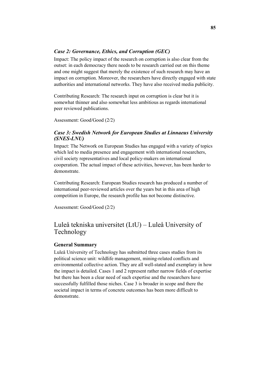#### *Case 2: Governance, Ethics, and Corruption (GEC)*

Impact: The policy impact of the research on corruption is also clear from the outset: in each democracy there needs to be research carried out on this theme and one might suggest that merely the existence of such research may have an impact on corruption. Moreover, the researchers have directly engaged with state authorities and international networks. They have also received media publicity.

Contributing Research: The research input on corruption is clear but it is somewhat thinner and also somewhat less ambitious as regards international peer reviewed publications.

Assessment: Good/Good (2/2)

#### *Case 3: Swedish Network for European Studies at Linnaeus University (SNES-LNU)*

Impact: The Network on European Studies has engaged with a variety of topics which led to media presence and engagement with international researchers, civil society representatives and local policy-makers on international cooperation. The actual impact of these activities, however, has been harder to demonstrate.

Contributing Research: European Studies research has produced a number of international peer-reviewed articles over the years but in this area of high competition in Europe, the research profile has not become distinctive.

Assessment: Good/Good (2/2)

## Luleå tekniska universitet (LtU) – Luleå University of Technology

#### **General Summary**

Luleå University of Technology has submitted three cases studies from its political science unit: wildlife management, mining-related conflicts and environmental collective action. They are all well-stated and exemplary in how the impact is detailed. Cases 1 and 2 represent rather narrow fields of expertise but there has been a clear need of such expertise and the researchers have successfully fulfilled those niches. Case 3 is broader in scope and there the societal impact in terms of concrete outcomes has been more difficult to demonstrate.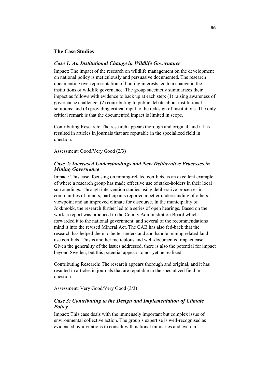#### **The Case Studies**

#### *Case 1: An Institutional Change in Wildlife Governance*

Impact: The impact of the research on wildlife management on the development on national policy is meticulously and persuasive documented. The research documenting overrepresentation of hunting interests led to a change in the institutions of wildlife governance. The group succinctly summarizes their impact as follows with evidence to back up at each step: (1) raising awareness of governance challenge; (2) contributing to public debate about institutional solutions; and (3) providing critical input to the redesign of institutions. The only critical remark is that the documented impact is limited in scope.

Contributing Research: The research appears thorough and original, and it has resulted in articles in journals that are reputable in the specialized field in question.

Assessment: Good/Very Good (2/3)

#### *Case 2: Increased Understandings and New Deliberative Processes in Mining Governance*

Impact: This case, focusing on mining-related conflicts, is an excellent example of where a research group has made effective use of stake-holders in their local surroundings. Through intervention studies using deliberative processes in communities of miners, participants reported a better understanding of others´ viewpoint and an improved climate for discourse. In the municipality of Jokkmokk, the research further led to a series of open hearings. Based on the work, a report was produced to the County Administration Board which forwarded it to the national government, and several of the recommendations mind it into the revised Mineral Act. The CAB has also fed-back that the research has helped them to better understand and handle mining related land use conflicts. This is another meticulous and well-documented impact case. Given the generality of the issues addressed, there is also the potential for impact beyond Sweden, but this potential appears to not yet be realized.

Contributing Research: The research appears thorough and original, and it has resulted in articles in journals that are reputable in the specialized field in question.

Assessment: Very Good/Very Good (3/3)

#### *Case 3: Contributing to the Design and Implementation of Climate Policy*

Impact: This case deals with the immensely important but complex issue of environmental collective action. The group´s expertise is well-recognised as evidenced by invitations to consult with national ministries and even in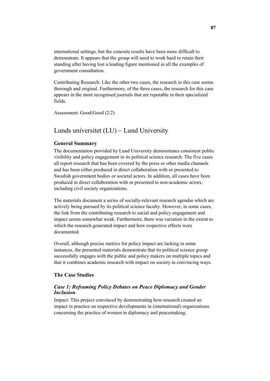international settings, but the concrete results have been more difficult to demonstrate. It appears that the group will need to work hard to retain their standing after having lost a leading figure mentioned in all the examples of government consultation.

Contributing Research: Like the other two cases, the research in this case seems thorough and original. Furthermore, of the three cases, the research for this case appears in the most recognised journals that are reputable in their specialized fields.

Assessment: Good/Good (2/2)

### Lunds universitet (LU) – Lund University

#### **General Summary**

The documentation provided by Lund University demonstrates consistent public visibility and policy engagement in its political science research. The five cases all report research that has been covered by the press or other media channels and has been either produced in direct collaboration with or presented to Swedish government bodies or societal actors. In addition, all cases have been produced in direct collaboration with or presented to non-academic actors, including civil society organizations.

The materials document a series of socially-relevant research agendas which are actively being pursued by its political science faculty. However, in some cases, the link from the contributing research to social and policy engagement and impact seems somewhat weak. Furthermore, there was variation in the extent to which the research generated impact and how respective effects were documented.

Overall, although precise metrics for policy impact are lacking in some instances, the presented materials demonstrate that its political science group successfully engages with the public and policy makers on multiple topics and that it combines academic research with impact on society in convincing ways.

#### **The Case Studies**

#### *Case 1: Reframing Policy Debates on Peace Diplomacy and Gender Inclusion*

Impact: This project convinced by demonstrating how research created an impact in practice on respective developments in (international) organizations concerning the practice of women in diplomacy and peacemaking.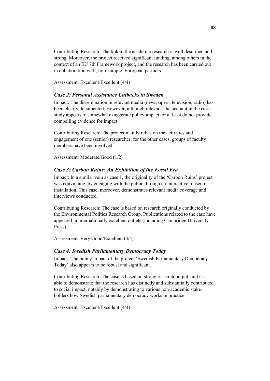Contributing Research: The link to the academic research is well described and strong. Moreover, the project received significant funding, among others in the context of an EU 7th Framework project, and the research has been carried out in collaboration with, for example, European partners.

Assessment: Excellent/Excellent (4/4)

#### *Case 2: Personal Assistance Cutbacks in Sweden*

Impact: The dissemination in relevant media (newspapers, television, radio) has been clearly documented. However, although relevant, the account in the case study appears to somewhat exaggerate policy impact, or at least do not provide compelling evidence for impact.

Contributing Research: The project mainly relies on the activities and engagement of one (senior) researcher; for the other cases, groups of faculty members have been involved.

Assessment: Moderate/Good (1/2)

#### *Case 3: Carbon Ruins: An Exhibition of the Fossil Era*

Impact: In a similar vein as case 1, the originality of the 'Carbon Ruins' project was convincing, by engaging with the public through an interactive museum installation. This case, moreover, demonstrates relevant media coverage and interviews conducted.

Contributing Research: The case is based on research originally conducted by the Environmental Politics Research Group. Publications related to the case have appeared in internationally excellent outlets (including Cambridge University Press).

Assessment: Very Good/Excellent (3/4)

#### *Case 4: Swedish Parliamentary Democracy Today*

Impact: The policy impact of the project 'Swedish Parliamentary Democracy Today' also appears to be robust and significant.

Contributing Research: The case is based on strong research output, and it is able to demonstrate that the research has distinctly and substantially contributed to social impact, notably by demonstrating to various non-academic stakeholders how Swedish parliamentary democracy works in practice.

Assessment: Excellent/Excellent (4/4)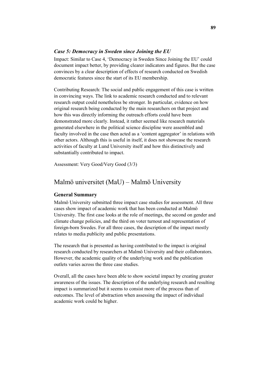#### *Case 5: Democracy in Sweden since Joining the EU*

Impact: Similar to Case 4, 'Democracy in Sweden Since Joining the EU' could document impact better, by providing clearer indicators and figures. But the case convinces by a clear description of effects of research conducted on Swedish democratic features since the start of its EU membership.

Contributing Research: The social and public engagement of this case is written in convincing ways. The link to academic research conducted and to relevant research output could nonetheless be stronger. In particular, evidence on how original research being conducted by the main researchers on that project and how this was directly informing the outreach efforts could have been demonstrated more clearly. Instead, it rather seemed like research materials generated elsewhere in the political science discipline were assembled and faculty involved in the case then acted as a 'content aggregator' in relations with other actors. Although this is useful in itself, it does not showcase the research activities of faculty at Lund University itself and how this distinctively and substantially contributed to impact.

Assessment: Very Good/Very Good (3/3)

### Malmö universitet (MaU) – Malmö University

#### **General Summary**

Malmö University submitted three impact case studies for assessment. All three cases show impact of academic work that has been conducted at Malmö University. The first case looks at the role of meetings, the second on gender and climate change policies, and the third on voter turnout and representation of foreign-born Swedes. For all three cases, the description of the impact mostly relates to media publicity and public presentations.

The research that is presented as having contributed to the impact is original research conducted by researchers at Malmö University and their collaborators. However, the academic quality of the underlying work and the publication outlets varies across the three case studies.

Overall, all the cases have been able to show societal impact by creating greater awareness of the issues. The description of the underlying research and resulting impact is summarized but it seems to consist more of the process than of outcomes. The level of abstraction when assessing the impact of individual academic work could be higher.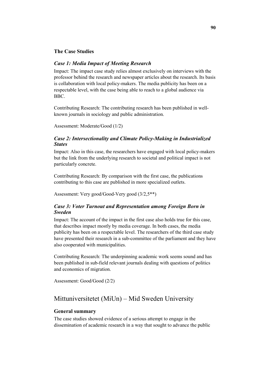#### **The Case Studies**

#### *Case 1: Media Impact of Meeting Research*

Impact: The impact case study relies almost exclusively on interviews with the professor behind the research and newspaper articles about the research. Its basis is collaboration with local policy-makers. The media publicity has been on a respectable level, with the case being able to reach to a global audience via BBC.

Contributing Research: The contributing research has been published in wellknown journals in sociology and public administration.

Assessment: Moderate/Good (1/2)

#### *Case 2: Intersectionality and Climate Policy-Making in Industrialized States*

Impact: Also in this case, the researchers have engaged with local policy-makers but the link from the underlying research to societal and political impact is not particularly concrete.

Contributing Research: By comparison with the first case, the publications contributing to this case are published in more specialized outlets.

Assessment: Very good/Good-Very good (3/2,5\*\*)

#### *Case 3: Voter Turnout and Representation among Foreign Born in Sweden*

Impact: The account of the impact in the first case also holds true for this case, that describes impact mostly by media coverage. In both cases, the media publicity has been on a respectable level. The researchers of the third case study have presented their research in a sub-committee of the parliament and they have also cooperated with municipalities.

Contributing Research: The underpinning academic work seems sound and has been published in sub-field relevant journals dealing with questions of politics and economics of migration.

Assessment: Good/Good (2/2)

# Mittuniversitetet (MiUn) – Mid Sweden University

#### **General summary**

The case studies showed evidence of a serious attempt to engage in the dissemination of academic research in a way that sought to advance the public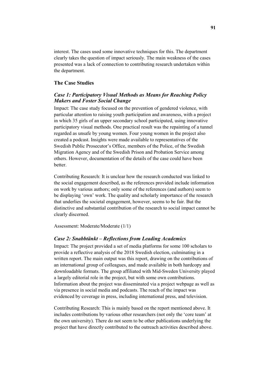interest. The cases used some innovative techniques for this. The department clearly takes the question of impact seriously. The main weakness of the cases presented was a lack of connection to contributing research undertaken within the department.

#### **The Case Studies**

#### *Case 1: Participatory Visual Methods as Means for Reaching Policy Makers and Foster Social Change*

Impact: The case study focused on the prevention of gendered violence, with particular attention to raising youth participation and awareness, with a project in which 35 girls of an upper secondary school participated, using innovative participatory visual methods. One practical result was the repainting of a tunnel regarded as unsafe by young women. Four young women in the project also created a podcast. Insights were made available to representatives of the Swedish Public Prosecutor's Office, members of the Police, of the Swedish Migration Agency and of the Swedish Prison and Probation Service among others. However, documentation of the details of the case could have been better.

Contributing Research: It is unclear how the research conducted was linked to the social engagement described, as the references provided include information on work by various authors; only some of the references (and authors) seem to be displaying 'own' work. The quality and scholarly importance of the research that underlies the societal engagement, however, seems to be fair. But the distinctive and substantial contribution of the research to social impact cannot be clearly discerned.

#### Assessment: Moderate/Moderate (1/1)

#### *Case 2: Snabbtänkt – Reflections from Leading Academics*

Impact: The project provided a set of media platforms for some 100 scholars to provide a reflective analysis of the 2018 Swedish election, culminating in a written report. The main output was this report, drawing on the contributions of an international group of colleagues, and made available in both hardcopy and downloadable formats. The group affiliated with Mid-Sweden University played a largely editorial role in the project, but with some own contributions. Information about the project was disseminated via a project webpage as well as via presence in social media and podcasts. The reach of the impact was evidenced by coverage in press, including international press, and television.

Contributing Research: This is mainly based on the report mentioned above. It includes contributions by various other researchers (not only the 'core team' at the own university). There do not seem to be other publications underlying the project that have directly contributed to the outreach activities described above.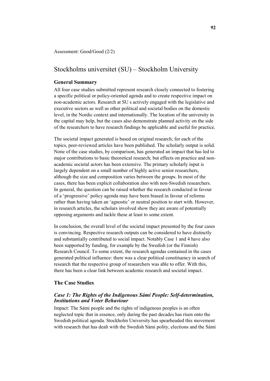Assessment: Good/Good (2/2)

### Stockholms universitet (SU) – Stockholm University

#### **General Summary**

All four case studies submitted represent research closely connected to fostering a specific political or policy-oriented agenda and to create respective impact on non-academic actors. Research at SU s actively engaged with the legislative and executive sectors as well as other political and societal bodies on the domestic level, in the Nordic context and internationally. The location of the university in the capital may help, but the cases also demonstrate planned activity on the side of the researchers to have research findings be applicable and useful for practice.

The societal impact generated is based on original research; for each of the topics, peer-reviewed articles have been published. The scholarly output is solid. None of the case studies, by comparison, has generated an impact that has led to major contributions to basic theoretical research; but effects on practice and nonacademic societal actors has been extensive. The primary scholarly input is largely dependent on a small number of highly active senior researchers, although the size and composition varies between the groups. In most of the cases, there has been explicit collaboration also with non-Swedish researchers. In general, the question can be raised whether the research conducted in favour of a 'progressive' policy agenda may have been biased in favour of reforms rather than having taken an 'agnostic' or neutral position to start with. However, in research articles, the scholars involved show they are aware of potentially opposing arguments and tackle these at least to some extent.

In conclusion, the overall level of the societal impact presented by the four cases is convincing. Respective research outputs can be considered to have distinctly and substantially contributed to social impact. Notably Case 1 and 4 have also been supported by funding, for example by the Swedish (or the Finnish) Research Council. To some extent, the research agendas contained in the cases generated political influence: there was a clear political constituency in search of research that the respective group of researchers was able to offer. With this, there has been a clear link between academic research and societal impact.

#### **The Case Studies**

#### *Case 1: The Rights of the Indigenous Sámi People: Self-determination, Institutions and Voter Behaviour*

Impact: The Sámi people and the rights of indigenous peoples is an often neglected topic that in essence, only during the past decades has risen onto the Swedish political agenda. Stockholm University has spearheaded this movement with research that has dealt with the Swedish Sámi polity, elections and the Sámi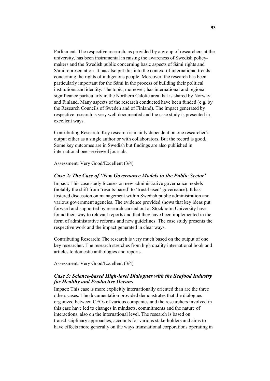Parliament. The respective research, as provided by a group of researchers at the university, has been instrumental in raising the awareness of Swedish policymakers and the Swedish public concerning basic aspects of Sámi rights and Sámi representation. It has also put this into the context of international trends concerning the rights of indigenous people. Moreover, the research has been particularly important for the Sámi in the process of building their political institutions and identity. The topic, moreover, has international and regional significance particularly in the Northern Calotte area that is shared by Norway and Finland. Many aspects of the research conducted have been funded (e.g. by the Research Councils of Sweden and of Finland). The impact generated by respective research is very well documented and the case study is presented in excellent ways.

Contributing Research: Key research is mainly dependent on one researcher's output either as a single author or with collaborators. But the record is good. Some key outcomes are in Swedish but findings are also published in international peer-reviewed journals.

Assessment: Very Good/Excellent (3/4)

#### *Case 2: The Case of 'New Governance Models in the Public Sector'*

Impact: This case study focuses on new administrative governance models (notably the shift from 'results-based' to 'trust-based' governance). It has fostered discussion on management within Swedish public administration and various government agencies. The evidence provided shows that key ideas put forward and supported by research carried out at Stockholm University have found their way to relevant reports and that they have been implemented in the form of administrative reforms and new guidelines. The case study presents the respective work and the impact generated in clear ways.

Contributing Research: The research is very much based on the output of one key researcher. The research stretches from high quality international book and articles to domestic anthologies and reports.

Assessment: Very Good/Excellent (3/4)

#### *Case 3: Science-based High-level Dialogues with the Seafood Industry for Healthy and Productive Oceans*

Impact: This case is more explicitly internationally oriented than are the three others cases. The documentation provided demonstrates that the dialogues organized between CEOs of various companies and the researchers involved in this case have led to changes in mindsets, commitments and the nature of interactions, also on the international level. The research is based on transdisciplinary approaches, accounts for various stake-holders and aims to have effects more generally on the ways transnational corporations operating in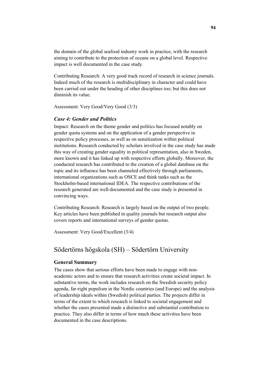the domain of the global seafood industry work in practice, with the research aiming to contribute to the protection of oceans on a global level. Respective impact is well documented in the case study.

Contributing Research: A very good track record of research in science journals. Indeed much of the research is multidisciplinary in character and could have been carried out under the heading of other disciplines too; but this does not diminish its value.

Assessment: Very Good/Very Good (3/3)

#### *Case 4: Gender and Politics*

Impact: Research on the theme gender and politics has focused notably on gender quota systems and on the application of a gender perspective in respective policy processes, as well as on sensitization within political institutions. Research conducted by scholars involved in the case study has made this way of creating gender equality in political representation, also in Sweden, more known and it has linked up with respective efforts globally. Moreover, the conducted research has contributed to the creation of a global database on the topic and its influence has been channeled effectively through parliaments, international organizations such as OSCE and think tanks such as the Stockholm-based international IDEA. The respective contributions of the research generated are well-documented and the case study is presented in convincing ways.

Contributing Research: Research is largely based on the output of two people. Key articles have been published in quality journals but research output also covers reports and international surveys of gender quotas.

Assessment: Very Good/Excellent (3/4)

## Södertörns högskola (SH) – Södertörn University

#### **General Summary**

The cases show that serious efforts have been made to engage with nonacademic actors and to ensure that research activities create societal impact. In substantive terms, the work includes research on the Swedish security policy agenda, far-right populism in the Nordic countries (and Europe) and the analysis of leadership ideals within (Swedish) political parties. The projects differ in terms of the extent to which research is linked to societal engagement and whether the cases presented made a distinctive and substantial contribution to practice. They also differ in terms of how much these activities have been documented in the case descriptions.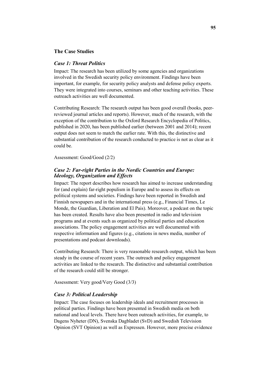#### **The Case Studies**

#### *Case 1: Threat Politics*

Impact: The research has been utilized by some agencies and organizations involved in the Swedish security policy environment. Findings have been important, for example, for security policy analysts and defense policy experts. They were integrated into courses, seminars and other teaching activities. These outreach activities are well documented.

Contributing Research: The research output has been good overall (books, peerreviewed journal articles and reports). However, much of the research, with the exception of the contribution to the Oxford Research Encyclopedia of Politics, published in 2020, has been published earlier (between 2001 and 2014); recent output does not seem to match the earlier rate. With this, the distinctive and substantial contribution of the research conducted to practice is not as clear as it could be.

Assessment: Good/Good (2/2)

#### *Case 2: Far-right Parties in the Nordic Countries and Europe: Ideology, Organization and Effects*

Impact: The report describes how research has aimed to increase understanding for (and explain) far-right populism in Europe and to assess its effects on political systems and societies. Findings have been reported in Swedish and Finnish newspapers and in the international press (e.g., Financial Times, Le Monde, the Guardian, Liberation and El Pais). Moreover, a podcast on the topic has been created. Results have also been presented in radio and television programs and at events such as organized by political parties and education associations. The policy engagement activities are well documented with respective information and figures (e.g., citations in news media, number of presentations and podcast downloads).

Contributing Research: There is very reasonable research output, which has been steady in the course of recent years. The outreach and policy engagement activities are linked to the research. The distinctive and substantial contribution of the research could still be stronger.

Assessment: Very good/Very Good (3/3)

#### *Case 3: Political Leadership*

Impact: The case focuses on leadership ideals and recruitment processes in political parties. Findings have been presented in Swedish media on both national and local levels. There have been outreach activities, for example, to Dagens Nyheter (DN), Svenska Dagbladet (SvD) and Swedish Television Opinion (SVT Opinion) as well as Expressen. However, more precise evidence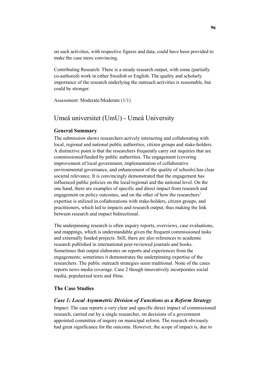on such activities, with respective figures and data, could have been provided to make the case more convincing.

Contributing Research: There is a steady research output, with some (partially co-authored) work in either Swedish or English. The quality and scholarly importance of the research underlying the outreach activities is reasonable, but could be stronger.

Assessment: Moderate/Moderate (1/1)

# Umeå universitet (UmU) - Umeå University

#### **General Summary**

The submission shows researchers actively interacting and collaborating with local, regional and national public authorities, citizen groups and stake-holders. A distinctive point is that the researchers frequently carry out inquiries that are commissioned/funded by public authorities. The engagement (covering improvement of local government, implementation of collaborative environmental governance, and enhancement of the quality of schools) has clear societal relevance. It is convincingly demonstrated that the engagement has influenced public policies on the local/regional and the national level. On the one hand, there are examples of specific and direct impact from research and engagement on policy outcomes, and on the other of how the researchers' expertise is utilized in collaborations with stake-holders, citizen groups, and practitioners, which led to impacts and research output, thus making the link between research and impact bidirectional.

The underpinning research is often inquiry reports, overviews, case evaluations, and mappings, which is understandable given the frequent commissioned tasks and externally funded projects. Still, there are also references to academic research published in international peer-reviewed journals and books. Sometimes that output elaborates on reports and experiences from the engagements; sometimes it demonstrates the underpinning expertise of the researchers. The public outreach strategies seem traditional. None of the cases reports news media coverage. Case 2 though innovatively incorporates social media, popularized texts and films.

#### **The Case Studies**

#### *Case 1: Local Asymmetric Division of Functions as a Reform Strategy*

Impact: The case reports a very clear and specific direct impact of commissioned research, carried out by a single researcher, on decisions of a government appointed committee of inquiry on municipal reform. The research obviously had great significance for the outcome. However, the scope of impact is, due to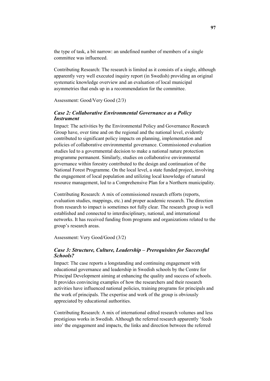the type of task, a bit narrow: an undefined number of members of a single committee was influenced.

Contributing Research: The research is limited as it consists of a single, although apparently very well executed inquiry report (in Swedish) providing an original systematic knowledge overview and an evaluation of local municipal asymmetries that ends up in a recommendation for the committee.

Assessment: Good/Very Good (2/3)

#### *Case 2: Collaborative Environmental Governance as a Policy Instrument*

Impact: The activities by the Environmental Policy and Governance Research Group have, over time and on the regional and the national level, evidently contributed to significant policy impacts on planning, implementation and policies of collaborative environmental governance. Commissioned evaluation studies led to a governmental decision to make a national nature protection programme permanent. Similarly, studies on collaborative environmental governance within forestry contributed to the design and continuation of the National Forest Programme. On the local level, a state funded project, involving the engagement of local population and utilizing local knowledge of natural resource management, led to a Comprehensive Plan for a Northern municipality.

Contributing Research: A mix of commissioned research efforts (reports, evaluation studies, mappings, etc.) and proper academic research. The direction from research to impact is sometimes not fully clear. The research group is well established and connected to interdisciplinary, national, and international networks. It has received funding from programs and organizations related to the group's research areas.

Assessment: Very Good/Good (3/2)

#### *Case 3: Structure, Culture, Leadership – Prerequisites for Successful Schools?*

Impact: The case reports a longstanding and continuing engagement with educational governance and leadership in Swedish schools by the Centre for Principal Development aiming at enhancing the quality and success of schools. It provides convincing examples of how the researchers and their research activities have influenced national policies, training programs for principals and the work of principals. The expertise and work of the group is obviously appreciated by educational authorities.

Contributing Research: A mix of international edited research volumes and less prestigious works in Swedish. Although the referred research apparently 'feeds into' the engagement and impacts, the links and direction between the referred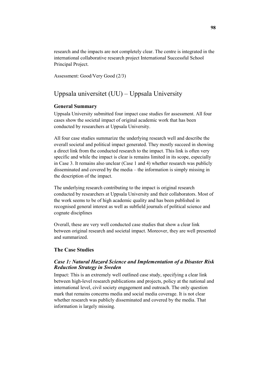research and the impacts are not completely clear. The centre is integrated in the international collaborative research project International Successful School Principal Project.

Assessment: Good/Very Good (2/3)

# Uppsala universitet (UU) – Uppsala University

#### **General Summary**

Uppsala University submitted four impact case studies for assessment. All four cases show the societal impact of original academic work that has been conducted by researchers at Uppsala University.

All four case studies summarize the underlying research well and describe the overall societal and political impact generated. They mostly succeed in showing a direct link from the conducted research to the impact. This link is often very specific and while the impact is clear is remains limited in its scope, especially in Case 3. It remains also unclear (Case 1 and 4) whether research was publicly disseminated and covered by the media – the information is simply missing in the description of the impact.

The underlying research contributing to the impact is original research conducted by researchers at Uppsala University and their collaborators. Most of the work seems to be of high academic quality and has been published in recognised general interest as well as subfield journals of political science and cognate disciplines

Overall, these are very well conducted case studies that show a clear link between original research and societal impact. Moreover, they are well presented and summarized.

#### **The Case Studies**

#### *Case 1: Natural Hazard Science and Implementation of a Disaster Risk Reduction Strategy in Sweden*

Impact: This is an extremely well outlined case study, specifying a clear link between high-level research publications and projects, policy at the national and international level, civil society engagement and outreach. The only question mark that remains concerns media and social media coverage. It is not clear whether research was publicly disseminated and covered by the media. That information is largely missing.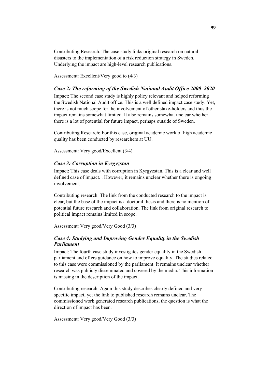Contributing Research: The case study links original research on natural disasters to the implementation of a risk reduction strategy in Sweden. Underlying the impact are high-level research publications.

Assessment: Excellent/Very good to (4/3)

#### *Case 2: The reforming of the Swedish National Audit Office 2000–2020*

Impact: The second case study is highly policy relevant and helped reforming the Swedish National Audit office. This is a well defined impact case study. Yet, there is not much scope for the involvement of other stake-holders and thus the impact remains somewhat limited. It also remains somewhat unclear whether there is a lot of potential for future impact, perhaps outside of Sweden.

Contributing Research: For this case, original academic work of high academic quality has been conducted by researchers at UU.

Assessment: Very good/Excellent (3/4)

#### *Case 3: Corruption in Kyrgyzstan*

Impact: This case deals with corruption in Kyrgyzstan. This is a clear and well defined case of impact. . However, it remains unclear whether there is ongoing involvement.

Contributing research: The link from the conducted research to the impact is clear, but the base of the impact is a doctoral thesis and there is no mention of potential future research and collaboration. The link from original research to political impact remains limited in scope.

Assessment: Very good/Very Good (3/3)

#### *Case 4: Studying and Improving Gender Equality in the Swedish Parliament*

Impact: The fourth case study investigates gender equality in the Swedish parliament and offers guidance on how to improve equality. The studies related to this case were commissioned by the parliament. It remains unclear whether research was publicly disseminated and covered by the media. This information is missing in the description of the impact.

Contributing research: Again this study describes clearly defined and very specific impact, yet the link to published research remains unclear. The commissioned work generated research publications, the question is what the direction of impact has been.

Assessment: Very good/Very Good (3/3)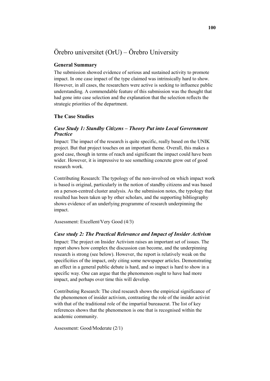# Örebro universitet (OrU) – Örebro University

#### **General Summary**

The submission showed evidence of serious and sustained activity to promote impact. In one case impact of the type claimed was intrinsically hard to show. However, in all cases, the researchers were active is seeking to influence public understanding. A commendable feature of this submission was the thought that had gone into case selection and the explanation that the selection reflects the strategic priorities of the department.

#### **The Case Studies**

#### *Case Study 1: Standby Citizens – Theory Put into Local Government Practice*

Impact: The impact of the research is quite specific, really based on the UNIK project. But that project touches on an important theme. Overall, this makes a good case, though in terms of reach and significant the impact could have been wider. However, it is impressive to see something concrete grow out of good research work.

Contributing Research: The typology of the non-involved on which impact work is based is original, particularly in the notion of standby citizens and was based on a person-centred cluster analysis. As the submission notes, the typology that resulted has been taken up by other scholars, and the supporting bibliography shows evidence of an underlying programme of research underpinning the impact.

Assessment: Excellent/Very Good (4/3)

#### *Case study 2: The Practical Relevance and Impact of Insider Activism*

Impact: The project on Insider Activism raises an important set of issues. The report shows how complex the discussion can become, and the underpinning research is strong (see below). However, the report is relatively weak on the specificities of the impact, only citing some newspaper articles. Demonstrating an effect in a general public debate is hard, and so impact is hard to show in a specific way. One can argue that the phenomenon ought to have had more impact, and perhaps over time this will develop.

Contributing Research: The cited research shows the empirical significance of the phenomenon of insider activism, contrasting the role of the insider activist with that of the traditional role of the impartial bureaucrat. The list of key references shows that the phenomenon is one that is recognised within the academic community.

Assessment: Good/Moderate (2/1)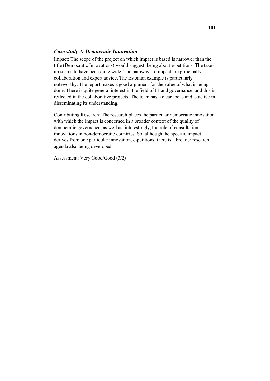### *Case study 3: Democratic Innovation*

Impact: The scope of the project on which impact is based is narrower than the title (Democratic Innovations) would suggest, being about e-petitions. The takeup seems to have been quite wide. The pathways to impact are principally collaboration and expert advice. The Estonian example is particularly noteworthy. The report makes a good argument for the value of what is being done. There is quite general interest in the field of IT and governance, and this is reflected in the collaborative projects. The team has a clear focus and is active in disseminating its understanding.

Contributing Research: The research places the particular democratic innovation with which the impact is concerned in a broader context of the quality of democratic governance, as well as, interestingly, the role of consultation innovations in non-democratic countries. So, although the specific impact derives from one particular innovation, e-petitions, there is a broader research agenda also being developed.

Assessment: Very Good/Good (3/2)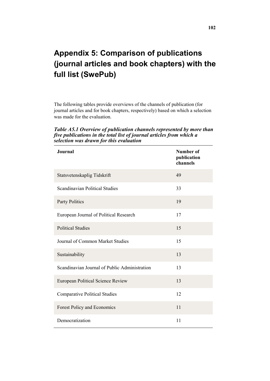# **Appendix 5: Comparison of publications (journal articles and book chapters) with the full list (SwePub)**

The following tables provide overviews of the channels of publication (for journal articles and for book chapters, respectively) based on which a selection was made for the evaluation.

*Table A5.1 Overview of publication channels represented by more than five publications in the total list of journal articles from which a selection was drawn for this evaluation*

| <b>Journal</b>                                | <b>Number of</b><br>publication<br>channels |
|-----------------------------------------------|---------------------------------------------|
| Statsvetenskaplig Tidskrift                   | 49                                          |
| Scandinavian Political Studies                | 33                                          |
| <b>Party Politics</b>                         | 19                                          |
| European Journal of Political Research        | 17                                          |
| <b>Political Studies</b>                      | 15                                          |
| Journal of Common Market Studies              | 15                                          |
| Sustainability                                | 13                                          |
| Scandinavian Journal of Public Administration | 13                                          |
| European Political Science Review             | 13                                          |
| <b>Comparative Political Studies</b>          | 12                                          |
| Forest Policy and Economics                   | 11                                          |
| Democratization                               | 11                                          |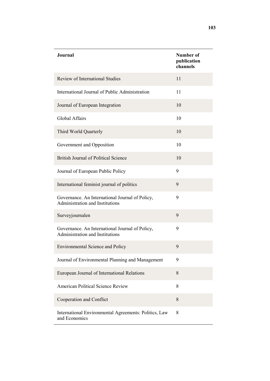| <b>Journal</b>                                                                     | Number of<br>publication<br>channels |
|------------------------------------------------------------------------------------|--------------------------------------|
| Review of International Studies                                                    | 11                                   |
| International Journal of Public Administration                                     | 11                                   |
| Journal of European Integration                                                    | 10                                   |
| Global Affairs                                                                     | 10                                   |
| Third World Quarterly                                                              | 10                                   |
| Government and Opposition                                                          | 10                                   |
| British Journal of Political Science                                               | 10                                   |
| Journal of European Public Policy                                                  | 9                                    |
| International feminist journal of politics                                         | 9                                    |
| Governance. An International Journal of Policy,<br>Administration and Institutions | 9                                    |
| Surveyjournalen                                                                    | 9                                    |
| Governance. An International Journal of Policy,<br>Administration and Institutions | 9                                    |
| <b>Environmental Science and Policy</b>                                            | 9                                    |
| Journal of Environmental Planning and Management                                   | 9                                    |
| European Journal of International Relations                                        | 8                                    |
| American Political Science Review                                                  | 8                                    |
| Cooperation and Conflict                                                           | 8                                    |
| International Environmental Agreements: Politics, Law<br>and Economics             | 8                                    |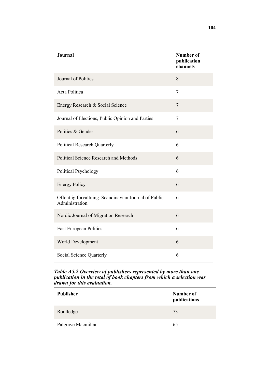| <b>Journal</b>                                                          | <b>Number of</b><br>publication<br>channels |
|-------------------------------------------------------------------------|---------------------------------------------|
| Journal of Politics                                                     | 8                                           |
| Acta Politica                                                           | 7                                           |
| Energy Research & Social Science                                        | 7                                           |
| Journal of Elections, Public Opinion and Parties                        | 7                                           |
| Politics & Gender                                                       | 6                                           |
| <b>Political Research Quarterly</b>                                     | 6                                           |
| <b>Political Science Research and Methods</b>                           | 6                                           |
| <b>Political Psychology</b>                                             | 6                                           |
| <b>Energy Policy</b>                                                    | 6                                           |
| Offentlig förvaltning. Scandinavian Journal of Public<br>Administration | 6                                           |
| Nordic Journal of Migration Research                                    | 6                                           |
| East European Politics                                                  | 6                                           |
| World Development                                                       | 6                                           |
| Social Science Quarterly                                                | 6                                           |

#### *Table A5.2 Overview of publishers represented by more than one publication in the total of book chapters from which a selection was drawn for this evaluation.*

| <b>Publisher</b>   | Number of<br>publications |
|--------------------|---------------------------|
| Routledge          | 73                        |
| Palgrave Macmillan | 65                        |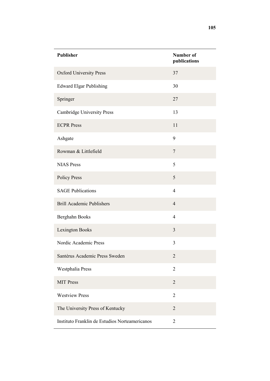| <b>Publisher</b>                               | <b>Number of</b><br>publications |
|------------------------------------------------|----------------------------------|
| <b>Oxford University Press</b>                 | 37                               |
| <b>Edward Elgar Publishing</b>                 | 30                               |
| Springer                                       | 27                               |
| <b>Cambridge University Press</b>              | 13                               |
| <b>ECPR Press</b>                              | 11                               |
| Ashgate                                        | 9                                |
| Rowman & Littlefield                           | $\overline{7}$                   |
| <b>NIAS Press</b>                              | 5                                |
| <b>Policy Press</b>                            | 5                                |
| <b>SAGE Publications</b>                       | $\overline{4}$                   |
| <b>Brill Academic Publishers</b>               | $\overline{4}$                   |
| Berghahn Books                                 | $\overline{4}$                   |
| <b>Lexington Books</b>                         | 3                                |
| Nordic Academic Press                          | $\overline{3}$                   |
| Santérus Academic Press Sweden                 | $\overline{2}$                   |
| Westphalia Press                               | $\overline{2}$                   |
| <b>MIT Press</b>                               | $\overline{2}$                   |
| <b>Westview Press</b>                          | $\overline{2}$                   |
| The University Press of Kentucky               | $\overline{2}$                   |
| Instituto Franklin de Estudios Norteamericanos | $\overline{2}$                   |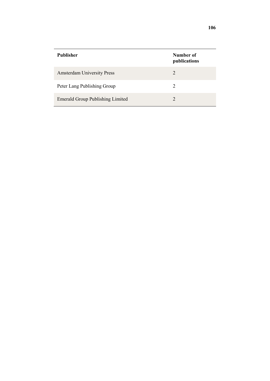| <b>Publisher</b>                        | Number of<br>publications |
|-----------------------------------------|---------------------------|
| <b>Amsterdam University Press</b>       | $\mathcal{D}$             |
| Peter Lang Publishing Group             | $\mathcal{D}$             |
| <b>Emerald Group Publishing Limited</b> | $\mathcal{D}$             |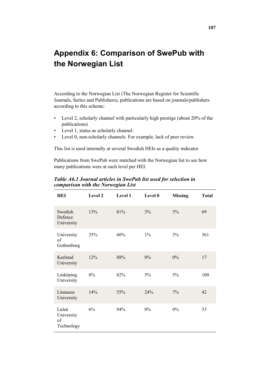# **Appendix 6: Comparison of SwePub with the Norwegian List**

According to the Norwegian List (The Norwegian Register for Scientific Journals, Series and Publishers), publications are based on journals/publishers according to this scheme:

- Level 2, scholarly channel with particularly high prestige (about 20% of the publications)
- Level 1, status as scholarly channel.
- Level 0, non-scholarly channels. For example, lack of peer review

This list is used internally at several Swedish HEIs as a quality indicator

Publications from SwePub were matched with the Norwegian list to see how many publications were at each level per HEI.

*Table A6.1 Journal articles in SwePub list used for selection in comparison with the Norwegian List* 

| HEI                                     | Level 2 | <b>Level 1</b> | Level 0 | <b>Missing</b> | <b>Total</b> |
|-----------------------------------------|---------|----------------|---------|----------------|--------------|
| Swedish<br>Defence<br>University        | 13%     | 81%            | 3%      | 3%             | 69           |
| University<br>of<br>Gothenburg          | 35%     | 60%            | $1\%$   | 3%             | 361          |
| Karlstad<br>University                  | 12%     | 88%            | $0\%$   | $0\%$          | 17           |
| Linköping<br>University                 | 8%      | 82%            | 5%      | 5%             | 100          |
| Linnaeus<br>University                  | 14%     | 55%            | 24%     | 7%             | 42           |
| Luleå<br>University<br>of<br>Technology | 6%      | 94%            | $0\%$   | $0\%$          | 53           |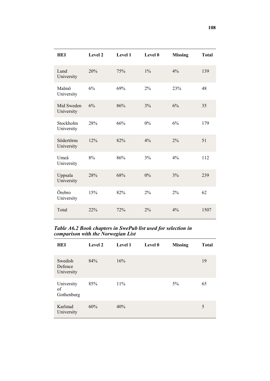| HEI                      | Level 2 | Level 1 | Level 0 | <b>Missing</b> | <b>Total</b> |
|--------------------------|---------|---------|---------|----------------|--------------|
| Lund<br>University       | 20%     | 75%     | $1\%$   | 4%             | 139          |
| Malmö<br>University      | 6%      | 69%     | 2%      | 23%            | 48           |
| Mid Sweden<br>University | 6%      | 86%     | 3%      | 6%             | 35           |
| Stockholm<br>University  | 28%     | 66%     | 0%      | 6%             | 179          |
| Södertörns<br>University | 12%     | 82%     | 4%      | 2%             | 51           |
| Umeå<br>University       | 8%      | 86%     | 3%      | 4%             | 112          |
| Uppsala<br>University    | 28%     | 68%     | 0%      | 3%             | 239          |
| Örebro<br>University     | 15%     | 82%     | 2%      | 2%             | 62           |
| Total                    | 22%     | 72%     | 2%      | 4%             | 1507         |

*Table A6.2 Book chapters in SwePub list used for selection in comparison with the Norwegian List* 

| HEI                              | Level 2 | Level 1 | Level 0 | <b>Missing</b> | <b>Total</b> |
|----------------------------------|---------|---------|---------|----------------|--------------|
| Swedish<br>Defence<br>University | 84%     | 16%     |         |                | 19           |
| University<br>of<br>Gothenburg   | 85%     | $11\%$  |         | 5%             | 65           |
| Karlstad<br>University           | 60%     | 40%     |         |                | 5            |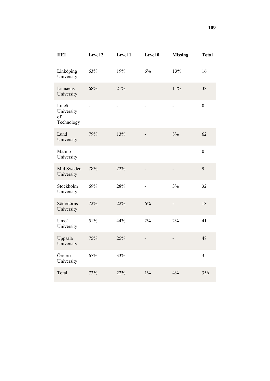| <b>HEI</b>                              | Level 2                  | Level 1        | Level 0                      | <b>Missing</b> | <b>Total</b>   |
|-----------------------------------------|--------------------------|----------------|------------------------------|----------------|----------------|
| Linköping<br>University                 | 63%                      | 19%            | 6%                           | 13%            | 16             |
| Linnaeus<br>University                  | 68%                      | 21%            |                              | 11%            | 38             |
| Luleå<br>University<br>of<br>Technology | $\overline{a}$           | $\overline{a}$ | $\overline{a}$               | $\overline{a}$ | $\mathbf{0}$   |
| Lund<br>University                      | 79%                      | 13%            |                              | 8%             | 62             |
| Malmö<br>University                     | $\overline{\phantom{a}}$ | ٠              |                              | ٠              | $\overline{0}$ |
| Mid Sweden<br>University                | 78%                      | 22%            | $\overline{a}$               | $\overline{a}$ | 9              |
| Stockholm<br>University                 | 69%                      | 28%            | $\overline{\phantom{0}}$     | 3%             | 32             |
| Södertörns<br>University                | 72%                      | 22%            | 6%                           |                | 18             |
| Umeå<br>University                      | 51%                      | 44%            | 2%                           | 2%             | 41             |
| Uppsala<br>University                   | 75%                      | 25%            |                              |                | 48             |
| Örebro<br>University                    | 67%                      | 33%            | $\qquad \qquad \blacksquare$ | $\frac{1}{2}$  | 3              |
| Total                                   | 73%                      | 22%            | $1\%$                        | 4%             | 356            |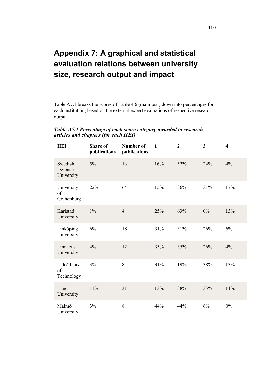## **Appendix 7: A graphical and statistical evaluation relations between university size, research output and impact**

Table A7.1 breaks the scores of Table 4.6 (main text) down into percentages for each institution, based on the external expert evaluations of respective research output.

| <b>HEI</b>                       | <b>Share of</b><br>publications | <b>Number of</b><br>publications | $\mathbf{1}$ | $\overline{2}$ | $\mathbf{3}$ | $\overline{\mathbf{4}}$ |
|----------------------------------|---------------------------------|----------------------------------|--------------|----------------|--------------|-------------------------|
| Swedish<br>Defense<br>University | $5\%$                           | 13                               | 16%          | 52%            | 24%          | 4%                      |
| University<br>of<br>Gothenburg   | 22%                             | 64                               | 15%          | 36%            | 31%          | 17%                     |
| Karlstad<br>University           | $1\%$                           | $\overline{4}$                   | 25%          | 63%            | $0\%$        | 13%                     |
| Linköping<br>University          | 6%                              | 18                               | 31%          | 31%            | 26%          | 6%                      |
| Linnaeus<br>University           | 4%                              | 12                               | 35%          | 35%            | 26%          | 4%                      |
| Luleå Univ<br>of<br>Technology   | 3%                              | 8                                | 31%          | 19%            | 38%          | 13%                     |
| Lund<br>University               | 11%                             | 31                               | 13%          | 38%            | 33%          | 11%                     |
| Malmö<br>University              | 3%                              | 8                                | 44%          | 44%            | 6%           | 0%                      |

*Table A7.1 Percentage of each score category awarded to research articles and chapters (for each HEI)*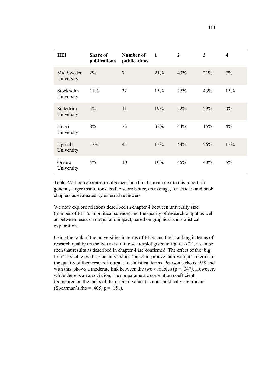| HEI                      | <b>Share of</b><br>publications | Number of<br>publications | $\mathbf{1}$ | $\overline{2}$ | 3   | 4     |
|--------------------------|---------------------------------|---------------------------|--------------|----------------|-----|-------|
| Mid Sweden<br>University | $2\%$                           | $\overline{7}$            | 21%          | 43%            | 21% | 7%    |
| Stockholm<br>University  | 11%                             | 32                        | 15%          | 25%            | 43% | 15%   |
| Södertörn<br>University  | $4\%$                           | 11                        | 19%          | 52%            | 29% | $0\%$ |
| Umeå<br>University       | 8%                              | 23                        | 33%          | 44%            | 15% | 4%    |
| Uppsala<br>University    | 15%                             | 44                        | 15%          | 44%            | 26% | 15%   |
| Örebro<br>University     | 4%                              | 10                        | 10%          | 45%            | 40% | 5%    |

Table A7.1 corroborates results mentioned in the main text to this report: in general, larger institutions tend to score better, on average, for articles and book chapters as evaluated by external reviewers.

We now explore relations described in chapter 4 between university size (number of FTE's in political science) and the quality of research output as well as between research output and impact, based on graphical and statistical explorations.

Using the rank of the universities in terms of FTEs and their ranking in terms of research quality on the two axis of the scatterplot given in figure A7.2, it can be seen that results as described in chapter 4 are confirmed. The effect of the 'big four' is visible, with some universities 'punching above their weight' in terms of the quality of their research output. In statistical terms, Pearson's rho is .538 and with this, shows a moderate link between the two variables ( $p = .047$ ). However, while there is an association, the nonparametric correlation coefficient (computed on the ranks of the original values) is not statistically significant (Spearman's rho = .405;  $p = .151$ ).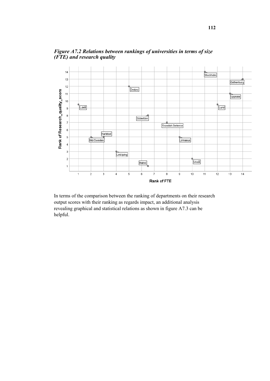

*Figure A7.2 Relations between rankings of universities in terms of size (FTE) and research quality* 

In terms of the comparison between the ranking of departments on their research output scores with their ranking as regards impact, an additional analysis revealing graphical and statistical relations as shown in figure A7.3 can be helpful.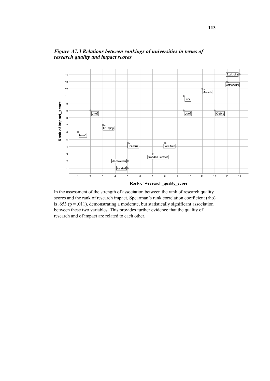

*Figure A7.3 Relations between rankings of universities in terms of research quality and impact scores* 

In the assessment of the strength of association between the rank of research quality scores and the rank of research impact, Spearman's rank correlation coefficient (rho) is .653 ( $p = .011$ ), demonstrating a moderate, but statistically significant association between these two variables. This provides further evidence that the quality of research and of impact are related to each other.